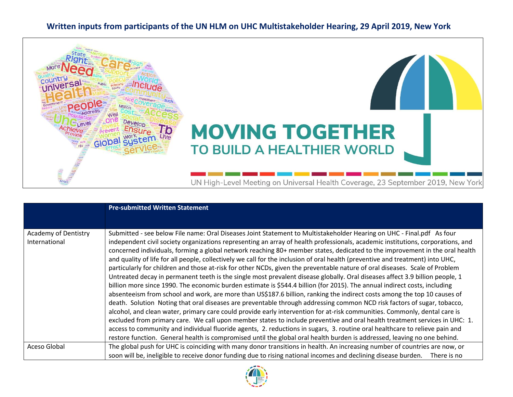## **Written inputs from participants of the UN HLM on UHC Multistakeholder Hearing, 29 April 2019, New York**



|                                       | <b>Pre-submitted Written Statement</b>                                                                                                                                                                                                                                                                                                                                                                                                                                                                                                                                                                                                                                                                                                                                                                                                                                                                                                                                                                                                                                                                                                                                                                                                                                                                                                                                                                                                                                                                                                                                                                                                                                                             |
|---------------------------------------|----------------------------------------------------------------------------------------------------------------------------------------------------------------------------------------------------------------------------------------------------------------------------------------------------------------------------------------------------------------------------------------------------------------------------------------------------------------------------------------------------------------------------------------------------------------------------------------------------------------------------------------------------------------------------------------------------------------------------------------------------------------------------------------------------------------------------------------------------------------------------------------------------------------------------------------------------------------------------------------------------------------------------------------------------------------------------------------------------------------------------------------------------------------------------------------------------------------------------------------------------------------------------------------------------------------------------------------------------------------------------------------------------------------------------------------------------------------------------------------------------------------------------------------------------------------------------------------------------------------------------------------------------------------------------------------------------|
|                                       |                                                                                                                                                                                                                                                                                                                                                                                                                                                                                                                                                                                                                                                                                                                                                                                                                                                                                                                                                                                                                                                                                                                                                                                                                                                                                                                                                                                                                                                                                                                                                                                                                                                                                                    |
| Academy of Dentistry<br>International | Submitted - see below File name: Oral Diseases Joint Statement to Multistakeholder Hearing on UHC - Final.pdf As four<br>independent civil society organizations representing an array of health professionals, academic institutions, corporations, and<br>concerned individuals, forming a global network reaching 80+ member states, dedicated to the improvement in the oral health<br>and quality of life for all people, collectively we call for the inclusion of oral health (preventive and treatment) into UHC,<br>particularly for children and those at-risk for other NCDs, given the preventable nature of oral diseases. Scale of Problem<br>Untreated decay in permanent teeth is the single most prevalent disease globally. Oral diseases affect 3.9 billion people, 1<br>billion more since 1990. The economic burden estimate is \$544.4 billion (for 2015). The annual indirect costs, including<br>absenteeism from school and work, are more than US\$187.6 billion, ranking the indirect costs among the top 10 causes of<br>death. Solution Noting that oral diseases are preventable through addressing common NCD risk factors of sugar, tobacco,<br>alcohol, and clean water, primary care could provide early intervention for at-risk communities. Commonly, dental care is<br>excluded from primary care. We call upon member states to include preventive and oral health treatment services in UHC: 1.<br>access to community and individual fluoride agents, 2. reductions in sugars, 3. routine oral healthcare to relieve pain and<br>restore function. General health is compromised until the global oral health burden is addressed, leaving no one behind. |
| Aceso Global                          | The global push for UHC is coinciding with many donor transitions in health. An increasing number of countries are now, or<br>soon will be, ineligible to receive donor funding due to rising national incomes and declining disease burden.<br>There is no                                                                                                                                                                                                                                                                                                                                                                                                                                                                                                                                                                                                                                                                                                                                                                                                                                                                                                                                                                                                                                                                                                                                                                                                                                                                                                                                                                                                                                        |

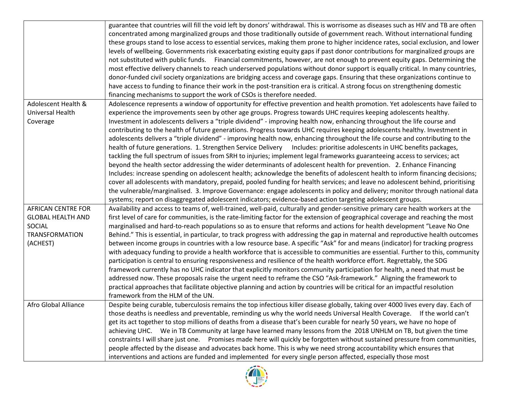|                           | guarantee that countries will fill the void left by donors' withdrawal. This is worrisome as diseases such as HIV and TB are often |
|---------------------------|------------------------------------------------------------------------------------------------------------------------------------|
|                           | concentrated among marginalized groups and those traditionally outside of government reach. Without international funding          |
|                           | these groups stand to lose access to essential services, making them prone to higher incidence rates, social exclusion, and lower  |
|                           | levels of wellbeing. Governments risk exacerbating existing equity gaps if past donor contributions for marginalized groups are    |
|                           | not substituted with public funds. Financial commitments, however, are not enough to prevent equity gaps. Determining the          |
|                           | most effective delivery channels to reach underserved populations without donor support is equally critical. In many countries,    |
|                           | donor-funded civil society organizations are bridging access and coverage gaps. Ensuring that these organizations continue to      |
|                           | have access to funding to finance their work in the post-transition era is critical. A strong focus on strengthening domestic      |
|                           | financing mechanisms to support the work of CSOs is therefore needed.                                                              |
| Adolescent Health &       | Adolescence represents a window of opportunity for effective prevention and health promotion. Yet adolescents have failed to       |
| Universal Health          | experience the improvements seen by other age groups. Progress towards UHC requires keeping adolescents healthy.                   |
| Coverage                  | Investment in adolescents delivers a "triple dividend" - improving health now, enhancing throughout the life course and            |
|                           | contributing to the health of future generations. Progress towards UHC requires keeping adolescents healthy. Investment in         |
|                           | adolescents delivers a "triple dividend" - improving health now, enhancing throughout the life course and contributing to the      |
|                           | health of future generations. 1. Strengthen Service Delivery Includes: prioritise adolescents in UHC benefits packages,            |
|                           | tackling the full spectrum of issues from SRH to injuries; implement legal frameworks guaranteeing access to services; act         |
|                           | beyond the health sector addressing the wider determinants of adolescent health for prevention. 2. Enhance Financing               |
|                           | Includes: increase spending on adolescent health; acknowledge the benefits of adolescent health to inform financing decisions;     |
|                           | cover all adolescents with mandatory, prepaid, pooled funding for health services; and leave no adolescent behind, prioritising    |
|                           | the vulnerable/marginalised. 3. Improve Governance: engage adolescents in policy and delivery; monitor through national data       |
|                           | systems; report on disaggregated adolescent indicators; evidence-based action targeting adolescent groups.                         |
| <b>AFRICAN CENTRE FOR</b> | Availability and access to teams of, well-trained, well-paid, culturally and gender-sensitive primary care health workers at the   |
| <b>GLOBAL HEALTH AND</b>  | first level of care for communities, is the rate-limiting factor for the extension of geographical coverage and reaching the most  |
| SOCIAL                    | marginalised and hard-to-reach populations so as to ensure that reforms and actions for health development "Leave No One           |
| <b>TRANSFORMATION</b>     | Behind." This is essential, in particular, to track progress with addressing the gap in maternal and reproductive health outcomes  |
| (ACHEST)                  | between income groups in countries with a low resource base. A specific "Ask" for and means (indicator) for tracking progress      |
|                           | with adequacy funding to provide a health workforce that is accessible to communities are essential. Further to this, community    |
|                           | participation is central to ensuring responsiveness and resilience of the health workforce effort. Regrettably, the SDG            |
|                           | framework currently has no UHC indicator that explicitly monitors community participation for health, a need that must be          |
|                           | addressed now. These proposals raise the urgent need to reframe the CSO "Ask-framework." Aligning the framework to                 |
|                           | practical approaches that facilitate objective planning and action by countries will be critical for an impactful resolution       |
|                           | framework from the HLM of the UN.                                                                                                  |
| Afro Global Alliance      | Despite being curable, tuberculosis remains the top infectious killer disease globally, taking over 4000 lives every day. Each of  |
|                           | those deaths is needless and preventable, reminding us why the world needs Universal Health Coverage. If the world can't           |
|                           | get its act together to stop millions of deaths from a disease that's been curable for nearly 50 years, we have no hope of         |
|                           | achieving UHC. We in TB Community at large have learned many lessons from the 2018 UNHLM on TB, but given the time                 |
|                           | constraints I will share just one. Promises made here will quickly be forgotten without sustained pressure from communities,       |
|                           | people affected by the disease and advocates back home. This is why we need strong accountability which ensures that               |
|                           | interventions and actions are funded and implemented for every single person affected, especially those most                       |

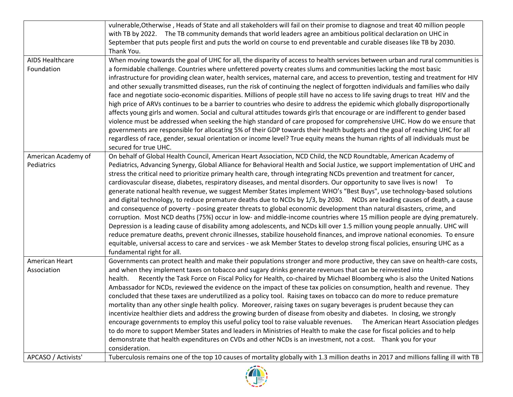|                        | vulnerable, Otherwise, Heads of State and all stakeholders will fail on their promise to diagnose and treat 40 million people        |
|------------------------|--------------------------------------------------------------------------------------------------------------------------------------|
|                        | with TB by 2022. The TB community demands that world leaders agree an ambitious political declaration on UHC in                      |
|                        | September that puts people first and puts the world on course to end preventable and curable diseases like TB by 2030.               |
|                        | Thank You.                                                                                                                           |
| <b>AIDS Healthcare</b> | When moving towards the goal of UHC for all, the disparity of access to health services between urban and rural communities is       |
| Foundation             | a formidable challenge. Countries where unfettered poverty creates slums and communities lacking the most basic                      |
|                        | infrastructure for providing clean water, health services, maternal care, and access to prevention, testing and treatment for HIV    |
|                        | and other sexually transmitted diseases, run the risk of continuing the neglect of forgotten individuals and families who daily      |
|                        | face and negotiate socio-economic disparities. Millions of people still have no access to life saving drugs to treat HIV and the     |
|                        | high price of ARVs continues to be a barrier to countries who desire to address the epidemic which globally disproportionally        |
|                        | affects young girls and women. Social and cultural attitudes towards girls that encourage or are indifferent to gender based         |
|                        | violence must be addressed when seeking the high standard of care proposed for comprehensive UHC. How do we ensure that              |
|                        | governments are responsible for allocating 5% of their GDP towards their health budgets and the goal of reaching UHC for all         |
|                        | regardless of race, gender, sexual orientation or income level? True equity means the human rights of all individuals must be        |
|                        | secured for true UHC.                                                                                                                |
| American Academy of    | On behalf of Global Health Council, American Heart Association, NCD Child, the NCD Roundtable, American Academy of                   |
| Pediatrics             | Pediatrics, Advancing Synergy, Global Alliance for Behavioral Health and Social Justice, we support implementation of UHC and        |
|                        | stress the critical need to prioritize primary health care, through integrating NCDs prevention and treatment for cancer,            |
|                        | cardiovascular disease, diabetes, respiratory diseases, and mental disorders. Our opportunity to save lives is now! To               |
|                        | generate national health revenue, we suggest Member States implement WHO's "Best Buys", use technology-based solutions               |
|                        | and digital technology, to reduce premature deaths due to NCDs by 1/3, by 2030. NCDs are leading causes of death, a cause            |
|                        | and consequence of poverty - posing greater threats to global economic development than natural disasters, crime, and                |
|                        | corruption. Most NCD deaths (75%) occur in low- and middle-income countries where 15 million people are dying prematurely.           |
|                        | Depression is a leading cause of disability among adolescents, and NCDs kill over 1.5 million young people annually. UHC will        |
|                        | reduce premature deaths, prevent chronic illnesses, stabilize household finances, and improve national economies. To ensure          |
|                        | equitable, universal access to care and services - we ask Member States to develop strong fiscal policies, ensuring UHC as a         |
|                        | fundamental right for all.                                                                                                           |
| American Heart         | Governments can protect health and make their populations stronger and more productive, they can save on health-care costs,          |
| Association            | and when they implement taxes on tobacco and sugary drinks generate revenues that can be reinvested into                             |
|                        | Recently the Task Force on Fiscal Policy for Health, co-chaired by Michael Bloomberg who is also the United Nations<br>health.       |
|                        | Ambassador for NCDs, reviewed the evidence on the impact of these tax policies on consumption, health and revenue. They              |
|                        | concluded that these taxes are underutilized as a policy tool. Raising taxes on tobacco can do more to reduce premature              |
|                        | mortality than any other single health policy. Moreover, raising taxes on sugary beverages is prudent because they can               |
|                        | incentivize healthier diets and address the growing burden of disease from obesity and diabetes. In closing, we strongly             |
|                        | encourage governments to employ this useful policy tool to raise valuable revenues. The American Heart Association pledges           |
|                        | to do more to support Member States and leaders in Ministries of Health to make the case for fiscal policies and to help             |
|                        | demonstrate that health expenditures on CVDs and other NCDs is an investment, not a cost.  Thank you for your                        |
|                        | consideration.                                                                                                                       |
| APCASO / Activists'    | Tuberculosis remains one of the top 10 causes of mortality globally with 1.3 million deaths in 2017 and millions falling ill with TB |

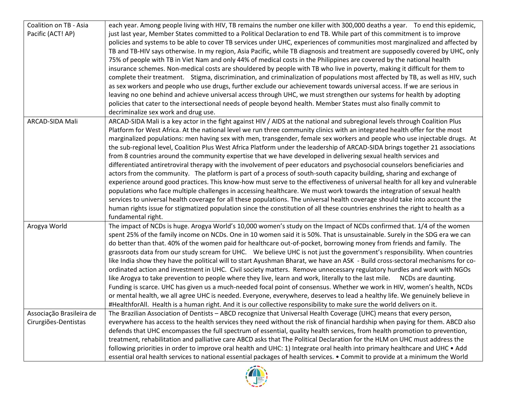| Coalition on TB - Asia<br>Pacific (ACT! AP)      | each year. Among people living with HIV, TB remains the number one killer with 300,000 deaths a year. To end this epidemic,<br>just last year, Member States committed to a Political Declaration to end TB. While part of this commitment is to improve<br>policies and systems to be able to cover TB services under UHC, experiences of communities most marginalized and affected by<br>TB and TB-HIV says otherwise. In my region, Asia Pacific, while TB diagnosis and treatment are supposedly covered by UHC, only<br>75% of people with TB in Viet Nam and only 44% of medical costs in the Philippines are covered by the national health<br>insurance schemes. Non-medical costs are shouldered by people with TB who live in poverty, making it difficult for them to<br>complete their treatment. Stigma, discrimination, and criminalization of populations most affected by TB, as well as HIV, such                                                                                                                                                                                                                                                                                                                                                                                                                                                                                                                                        |
|--------------------------------------------------|------------------------------------------------------------------------------------------------------------------------------------------------------------------------------------------------------------------------------------------------------------------------------------------------------------------------------------------------------------------------------------------------------------------------------------------------------------------------------------------------------------------------------------------------------------------------------------------------------------------------------------------------------------------------------------------------------------------------------------------------------------------------------------------------------------------------------------------------------------------------------------------------------------------------------------------------------------------------------------------------------------------------------------------------------------------------------------------------------------------------------------------------------------------------------------------------------------------------------------------------------------------------------------------------------------------------------------------------------------------------------------------------------------------------------------------------------------|
|                                                  | as sex workers and people who use drugs, further exclude our achievement towards universal access. If we are serious in<br>leaving no one behind and achieve universal access through UHC, we must strengthen our systems for health by adopting<br>policies that cater to the intersectional needs of people beyond health. Member States must also finally commit to<br>decriminalize sex work and drug use.                                                                                                                                                                                                                                                                                                                                                                                                                                                                                                                                                                                                                                                                                                                                                                                                                                                                                                                                                                                                                                             |
| ARCAD-SIDA Mali                                  | ARCAD-SIDA Mali is a key actor in the fight against HIV / AIDS at the national and subregional levels through Coalition Plus<br>Platform for West Africa. At the national level we run three community clinics with an integrated health offer for the most<br>marginalized populations: men having sex with men, transgender, female sex workers and people who use injectable drugs. At<br>the sub-regional level, Coalition Plus West Africa Platform under the leadership of ARCAD-SIDA brings together 21 associations<br>from 8 countries around the community expertise that we have developed in delivering sexual health services and<br>differentiated antiretroviral therapy with the involvement of peer educators and psychosocial counselors beneficiaries and<br>actors from the community. The platform is part of a process of south-south capacity building, sharing and exchange of<br>experience around good practices. This know-how must serve to the effectiveness of universal health for all key and vulnerable<br>populations who face multiple challenges in accessing healthcare. We must work towards the integration of sexual health<br>services to universal health coverage for all these populations. The universal health coverage should take into account the<br>human rights issue for stigmatized population since the constitution of all these countries enshrines the right to health as a<br>fundamental right. |
| Arogya World                                     | The impact of NCDs is huge. Arogya World's 10,000 women's study on the Impact of NCDs confirmed that. 1/4 of the women<br>spent 25% of the family income on NCDs. One in 10 women said it is 50%. That is unsustainable. Surely in the SDG era we can<br>do better than that. 40% of the women paid for healthcare out-of-pocket, borrowing money from friends and family. The<br>grassroots data from our study scream for UHC. We believe UHC is not just the government's responsibility. When countries<br>like India show they have the political will to start Ayushman Bharat, we have an ASK - Build cross-sectoral mechanisms for co-<br>ordinated action and investment in UHC. Civil society matters. Remove unnecessary regulatory hurdles and work with NGOs<br>like Arogya to take prevention to people where they live, learn and work, literally to the last mile.<br>NCDs are daunting.<br>Funding is scarce. UHC has given us a much-needed focal point of consensus. Whether we work in HIV, women's health, NCDs<br>or mental health, we all agree UHC is needed. Everyone, everywhere, deserves to lead a healthy life. We genuinely believe in<br>#HealthforAll. Health is a human right. And it is our collective responsibility to make sure the world delivers on it.                                                                                                                                                             |
| Associação Brasileira de<br>Cirurgiões-Dentistas | The Brazilian Association of Dentists - ABCD recognize that Universal Health Coverage (UHC) means that every person,<br>everywhere has access to the health services they need without the risk of financial hardship when paying for them. ABCD also<br>defends that UHC encompasses the full spectrum of essential, quality health services, from health promotion to prevention,<br>treatment, rehabilitation and palliative care ABCD asks that The Political Declaration for the HLM on UHC must address the<br>following priorities in order to improve oral health and UHC: 1) Integrate oral health into primary healthcare and UHC . Add<br>essential oral health services to national essential packages of health services. • Commit to provide at a minimum the World                                                                                                                                                                                                                                                                                                                                                                                                                                                                                                                                                                                                                                                                          |

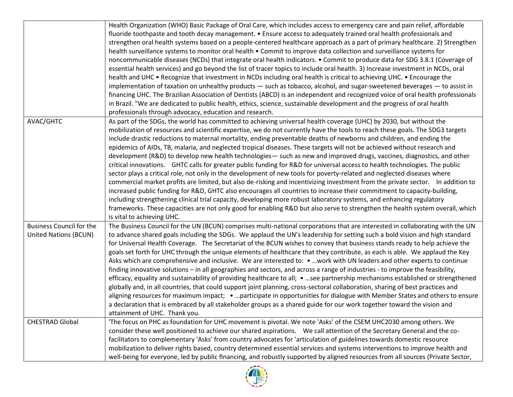|                                                                                                                                 | Health Organization (WHO) Basic Package of Oral Care, which includes access to emergency care and pain relief, affordable       |
|---------------------------------------------------------------------------------------------------------------------------------|---------------------------------------------------------------------------------------------------------------------------------|
|                                                                                                                                 | fluoride toothpaste and tooth decay management. • Ensure access to adequately trained oral health professionals and             |
|                                                                                                                                 | strengthen oral health systems based on a people-centered healthcare approach as a part of primary healthcare. 2) Strengthen    |
|                                                                                                                                 | health surveillance systems to monitor oral health . Commit to improve data collection and surveillance systems for             |
|                                                                                                                                 | noncommunicable diseases (NCDs) that integrate oral health indicators. • Commit to produce data for SDG 3.8.1 (Coverage of      |
|                                                                                                                                 | essential health services) and go beyond the list of tracer topics to include oral health. 3) Increase investment in NCDs, oral |
|                                                                                                                                 | health and UHC . Recognize that investment in NCDs including oral health is critical to achieving UHC. . Encourage the          |
|                                                                                                                                 | implementation of taxation on unhealthy products - such as tobacco, alcohol, and sugar-sweetened beverages - to assist in       |
|                                                                                                                                 | financing UHC. The Brazilian Association of Dentists (ABCD) is an independent and recognized voice of oral health professionals |
|                                                                                                                                 | in Brazil. "We are dedicated to public health, ethics, science, sustainable development and the progress of oral health         |
|                                                                                                                                 | professionals through advocacy, education and research.                                                                         |
| AVAC/GHTC                                                                                                                       | As part of the SDGs, the world has committed to achieving universal health coverage (UHC) by 2030, but without the              |
|                                                                                                                                 | mobilization of resources and scientific expertise, we do not currently have the tools to reach these goals. The SDG3 targets   |
|                                                                                                                                 | include drastic reductions to maternal mortality, ending preventable deaths of newborns and children, and ending the            |
|                                                                                                                                 | epidemics of AIDs, TB, malaria, and neglected tropical diseases. These targets will not be achieved without research and        |
|                                                                                                                                 | development (R&D) to develop new health technologies - such as new and improved drugs, vaccines, diagnostics, and other         |
|                                                                                                                                 | critical innovations. GHTC calls for greater public funding for R&D for universal access to health technologies. The public     |
|                                                                                                                                 | sector plays a critical role, not only in the development of new tools for poverty-related and neglected diseases where         |
|                                                                                                                                 | commercial market profits are limited, but also de-risking and incentivizing investment from the private sector. In addition to |
|                                                                                                                                 | increased public funding for R&D, GHTC also encourages all countries to increase their commitment to capacity-building,         |
|                                                                                                                                 | including strengthening clinical trial capacity, developing more robust laboratory systems, and enhancing regulatory            |
|                                                                                                                                 | frameworks. These capacities are not only good for enabling R&D but also serve to strengthen the health system overall, which   |
|                                                                                                                                 | is vital to achieving UHC.                                                                                                      |
| <b>Business Council for the</b>                                                                                                 | The Business Council for the UN (BCUN) comprises multi-national corporations that are interested in collaborating with the UN   |
| <b>United Nations (BCUN)</b>                                                                                                    | to advance shared goals including the SDGs. We applaud the UN's leadership for setting such a bold vision and high standard     |
|                                                                                                                                 | for Universal Health Coverage. The Secretariat of the BCUN wishes to convey that business stands ready to help achieve the      |
|                                                                                                                                 | goals set forth for UHC through the unique elements of healthcare that they contribute, as each is able. We applaud the Key     |
|                                                                                                                                 | Asks which are comprehensive and inclusive. We are interested to: • work with UN leaders and other experts to continue          |
|                                                                                                                                 | finding innovative solutions – in all geographies and sectors, and across a range of industries - to improve the feasibility,   |
|                                                                                                                                 | efficacy, equality and sustainability of providing healthcare to all; • see partnership mechanisms established or strengthened  |
|                                                                                                                                 | globally and, in all countries, that could support joint planning, cross-sectoral collaboration, sharing of best practices and  |
|                                                                                                                                 | aligning resources for maximum impact; participate in opportunities for dialogue with Member States and others to ensure        |
|                                                                                                                                 | a declaration that is embraced by all stakeholder groups as a shared guide for our work together toward the vision and          |
|                                                                                                                                 | attainment of UHC. Thank you.                                                                                                   |
| <b>CHESTRAD Global</b>                                                                                                          | 'The focus on PHC as foundation for UHC movement is pivotal. We note 'Asks' of the CSEM UHC2030 among others. We                |
|                                                                                                                                 | consider these well positioned to achieve our shared aspirations.  We call attention of the Secretary General and the co-       |
|                                                                                                                                 | facilitators to complementary 'Asks' from country advocates for 'articulation of guidelines towards domestic resource           |
|                                                                                                                                 | mobilization to deliver rights based, country determined essential services and systems interventions to improve health and     |
| well-being for everyone, led by public financing, and robustly supported by aligned resources from all sources (Private Sector, |                                                                                                                                 |

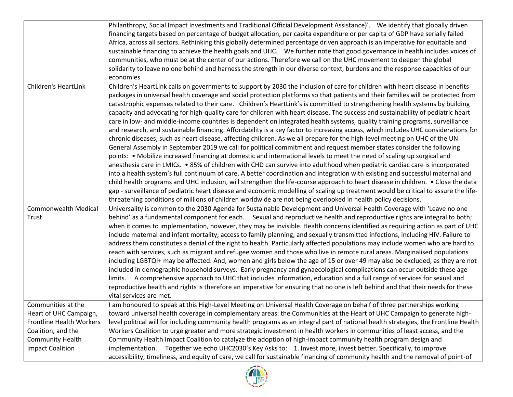|                             | Philanthropy, Social Impact Investments and Traditional Official Development Assistance)'. We identify that globally driven          |
|-----------------------------|--------------------------------------------------------------------------------------------------------------------------------------|
|                             | financing targets based on percentage of budget allocation, per capita expenditure or per capita of GDP have serially failed         |
|                             | Africa, across all sectors. Rethinking this globally determined percentage driven approach is an imperative for equitable and        |
|                             | sustainable financing to achieve the health goals and UHC. We further note that good governance in health includes voices of         |
|                             | communities, who must be at the center of our actions. Therefore we call on the UHC movement to deepen the global                    |
|                             | solidarity to leave no one behind and harness the strength in our diverse context, burdens and the response capacities of our        |
|                             | economies                                                                                                                            |
| <b>Children's HeartLink</b> | Children's HeartLink calls on governments to support by 2030 the inclusion of care for children with heart disease in benefits       |
|                             | packages in universal health coverage and social protection platforms so that patients and their families will be protected from     |
|                             | catastrophic expenses related to their care. Children's HeartLink's is committed to strengthening health systems by building         |
|                             | capacity and advocating for high-quality care for children with heart disease. The success and sustainability of pediatric heart     |
|                             | care in low- and middle-income countries is dependent on integrated health systems, quality training programs, surveillance          |
|                             | and research, and sustainable financing. Affordability is a key factor to increasing access, which includes UHC considerations for   |
|                             | chronic diseases, such as heart disease, affecting children. As we all prepare for the high-level meeting on UHC of the UN           |
|                             | General Assembly in September 2019 we call for political commitment and request member states consider the following                 |
|                             | points: • Mobilize increased financing at domestic and international levels to meet the need of scaling up surgical and              |
|                             | anesthesia care in LMICs. • 85% of children with CHD can survive into adulthood when pediatric cardiac care is incorporated          |
|                             |                                                                                                                                      |
|                             | into a health system's full continuum of care. A better coordination and integration with existing and successful maternal and       |
|                             | child health programs and UHC inclusion, will strengthen the life-course approach to heart disease in children. . Close the data     |
|                             | gap - surveillance of pediatric heart disease and economic modelling of scaling up treatment would be critical to assure the life-   |
|                             | threatening conditions of millions of children worldwide are not being overlooked in health policy decisions.                        |
| <b>Commonwealth Medical</b> | Universality is common to the 2030 Agenda for Sustainable Development and Universal Health Coverage with 'Leave no one               |
| Trust                       | behind' as a fundamental component for each. Sexual and reproductive health and reproductive rights are integral to both;            |
|                             | when it comes to implementation, however, they may be invisible. Health concerns identified as requiring action as part of UHC       |
|                             | include maternal and infant mortality; access to family planning; and sexually transmitted infections, including HIV. Failure to     |
|                             | address them constitutes a denial of the right to health. Particularly affected populations may include women who are hard to        |
|                             | reach with services, such as migrant and refugee women and those who live in remote rural areas. Marginalised populations            |
|                             | including LGBTQI+ may be affected. And, women and girls below the age of 15 or over 49 may also be excluded, as they are not         |
|                             | included in demographic household surveys. Early pregnancy and gynaecological complications can occur outside these age              |
|                             | limits. A comprehensive approach to UHC that includes information, education and a full range of services for sexual and             |
|                             | reproductive health and rights is therefore an imperative for ensuring that no one is left behind and that their needs for these     |
|                             | vital services are met.                                                                                                              |
| Communities at the          | I am honoured to speak at this High-Level Meeting on Universal Health Coverage on behalf of three partnerships working               |
| Heart of UHC Campaign,      | toward universal health coverage in complementary areas: the Communities at the Heart of UHC Campaign to generate high-              |
| Frontline Health Workers    | level political will for including community health programs as an integral part of national health strategies, the Frontline Health |
| Coalition, and the          | Workers Coalition to urge greater and more strategic investment in health workers in communities of least access, and the            |
| <b>Community Health</b>     | Community Health Impact Coalition to catalyze the adoption of high-impact community health program design and                        |
| <b>Impact Coalition</b>     | implementation. Together we echo UHC2030's Key Asks to: 1. Invest more, invest better. Specifically, to improve                      |
|                             | accessibility, timeliness, and equity of care, we call for sustainable financing of community health and the removal of point-of     |

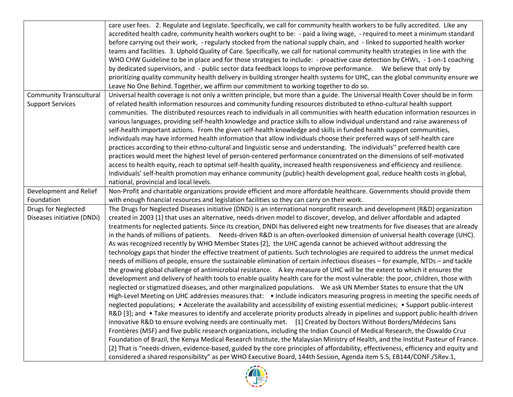|                                | care user fees. 2. Regulate and Legislate. Specifically, we call for community health workers to be fully accredited. Like any                                                                                                                                                                                                                                                                                                                                                                                                                                                                                                                                                                                                                                                                                                                                                                                                                                                                                                               |
|--------------------------------|----------------------------------------------------------------------------------------------------------------------------------------------------------------------------------------------------------------------------------------------------------------------------------------------------------------------------------------------------------------------------------------------------------------------------------------------------------------------------------------------------------------------------------------------------------------------------------------------------------------------------------------------------------------------------------------------------------------------------------------------------------------------------------------------------------------------------------------------------------------------------------------------------------------------------------------------------------------------------------------------------------------------------------------------|
|                                | accredited health cadre, community health workers ought to be: - paid a living wage, - required to meet a minimum standard                                                                                                                                                                                                                                                                                                                                                                                                                                                                                                                                                                                                                                                                                                                                                                                                                                                                                                                   |
|                                | before carrying out their work, - regularly stocked from the national supply chain, and - linked to supported health worker                                                                                                                                                                                                                                                                                                                                                                                                                                                                                                                                                                                                                                                                                                                                                                                                                                                                                                                  |
|                                | teams and facilities. 3. Uphold Quality of Care. Specifically, we call for national community health strategies in line with the                                                                                                                                                                                                                                                                                                                                                                                                                                                                                                                                                                                                                                                                                                                                                                                                                                                                                                             |
|                                |                                                                                                                                                                                                                                                                                                                                                                                                                                                                                                                                                                                                                                                                                                                                                                                                                                                                                                                                                                                                                                              |
|                                | WHO CHW Guideline to be in place and for those strategies to include: - proactive case detection by CHWs, -1-on-1 coaching<br>by dedicated supervisors, and - public sector data feedback loops to improve performance.  We believe that only by                                                                                                                                                                                                                                                                                                                                                                                                                                                                                                                                                                                                                                                                                                                                                                                             |
|                                |                                                                                                                                                                                                                                                                                                                                                                                                                                                                                                                                                                                                                                                                                                                                                                                                                                                                                                                                                                                                                                              |
|                                | prioritizing quality community health delivery in building stronger health systems for UHC, can the global community ensure we                                                                                                                                                                                                                                                                                                                                                                                                                                                                                                                                                                                                                                                                                                                                                                                                                                                                                                               |
|                                | Leave No One Behind. Together, we affirm our commitment to working together to do so.                                                                                                                                                                                                                                                                                                                                                                                                                                                                                                                                                                                                                                                                                                                                                                                                                                                                                                                                                        |
| <b>Community Transcultural</b> | Universal health coverage is not only a written principle, but more than a guide. The Universal Health Cover should be in form                                                                                                                                                                                                                                                                                                                                                                                                                                                                                                                                                                                                                                                                                                                                                                                                                                                                                                               |
| <b>Support Services</b>        | of related health information resources and community funding resources distributed to ethno-cultural health support                                                                                                                                                                                                                                                                                                                                                                                                                                                                                                                                                                                                                                                                                                                                                                                                                                                                                                                         |
|                                | communities. The distributed resources reach to individuals in all communities with health education information resources in                                                                                                                                                                                                                                                                                                                                                                                                                                                                                                                                                                                                                                                                                                                                                                                                                                                                                                                |
|                                | various languages, providing self-health knowledge and practice skills to allow individual understand and raise awareness of                                                                                                                                                                                                                                                                                                                                                                                                                                                                                                                                                                                                                                                                                                                                                                                                                                                                                                                 |
|                                | self-health important actions. From the given self-health knowledge and skills in funded health support communities,                                                                                                                                                                                                                                                                                                                                                                                                                                                                                                                                                                                                                                                                                                                                                                                                                                                                                                                         |
|                                | individuals may have informed health information that allow individuals choose their preferred ways of self-health care                                                                                                                                                                                                                                                                                                                                                                                                                                                                                                                                                                                                                                                                                                                                                                                                                                                                                                                      |
|                                | practices according to their ethno-cultural and linguistic sense and understanding. The individuals" preferred health care                                                                                                                                                                                                                                                                                                                                                                                                                                                                                                                                                                                                                                                                                                                                                                                                                                                                                                                   |
|                                | practices would meet the highest level of person-centered performance concentrated on the dimensions of self-motivated                                                                                                                                                                                                                                                                                                                                                                                                                                                                                                                                                                                                                                                                                                                                                                                                                                                                                                                       |
|                                | access to health equity, reach to optimal self-health quality, increased health responsiveness and efficiency and resilience.                                                                                                                                                                                                                                                                                                                                                                                                                                                                                                                                                                                                                                                                                                                                                                                                                                                                                                                |
|                                | Individuals' self-health promotion may enhance community (public) health development goal, reduce health costs in global,                                                                                                                                                                                                                                                                                                                                                                                                                                                                                                                                                                                                                                                                                                                                                                                                                                                                                                                    |
|                                | national, provincial and local levels.                                                                                                                                                                                                                                                                                                                                                                                                                                                                                                                                                                                                                                                                                                                                                                                                                                                                                                                                                                                                       |
| Development and Relief         | Non-Profit and charitable organizations provide efficient and more affordable healthcare. Governments should provide them                                                                                                                                                                                                                                                                                                                                                                                                                                                                                                                                                                                                                                                                                                                                                                                                                                                                                                                    |
| Foundation                     | with enough financial resources and legislation facilities so they can carry on their work.                                                                                                                                                                                                                                                                                                                                                                                                                                                                                                                                                                                                                                                                                                                                                                                                                                                                                                                                                  |
| Drugs for Neglected            | The Drugs for Neglected Diseases initiative (DNDi) is an international nonprofit research and development (R&D) organization                                                                                                                                                                                                                                                                                                                                                                                                                                                                                                                                                                                                                                                                                                                                                                                                                                                                                                                 |
| Diseases initiative (DNDi)     | created in 2003 [1] that uses an alternative, needs-driven model to discover, develop, and deliver affordable and adapted                                                                                                                                                                                                                                                                                                                                                                                                                                                                                                                                                                                                                                                                                                                                                                                                                                                                                                                    |
|                                |                                                                                                                                                                                                                                                                                                                                                                                                                                                                                                                                                                                                                                                                                                                                                                                                                                                                                                                                                                                                                                              |
|                                |                                                                                                                                                                                                                                                                                                                                                                                                                                                                                                                                                                                                                                                                                                                                                                                                                                                                                                                                                                                                                                              |
|                                |                                                                                                                                                                                                                                                                                                                                                                                                                                                                                                                                                                                                                                                                                                                                                                                                                                                                                                                                                                                                                                              |
|                                |                                                                                                                                                                                                                                                                                                                                                                                                                                                                                                                                                                                                                                                                                                                                                                                                                                                                                                                                                                                                                                              |
|                                |                                                                                                                                                                                                                                                                                                                                                                                                                                                                                                                                                                                                                                                                                                                                                                                                                                                                                                                                                                                                                                              |
|                                |                                                                                                                                                                                                                                                                                                                                                                                                                                                                                                                                                                                                                                                                                                                                                                                                                                                                                                                                                                                                                                              |
|                                |                                                                                                                                                                                                                                                                                                                                                                                                                                                                                                                                                                                                                                                                                                                                                                                                                                                                                                                                                                                                                                              |
|                                |                                                                                                                                                                                                                                                                                                                                                                                                                                                                                                                                                                                                                                                                                                                                                                                                                                                                                                                                                                                                                                              |
|                                |                                                                                                                                                                                                                                                                                                                                                                                                                                                                                                                                                                                                                                                                                                                                                                                                                                                                                                                                                                                                                                              |
|                                | High-Level Meeting on UHC addresses measures that: . Include indicators measuring progress in meeting the specific needs of                                                                                                                                                                                                                                                                                                                                                                                                                                                                                                                                                                                                                                                                                                                                                                                                                                                                                                                  |
|                                | neglected populations; • Accelerate the availability and accessibility of existing essential medicines; • Support public-interest                                                                                                                                                                                                                                                                                                                                                                                                                                                                                                                                                                                                                                                                                                                                                                                                                                                                                                            |
|                                | R&D [3]; and • Take measures to identify and accelerate priority products already in pipelines and support public-health driven                                                                                                                                                                                                                                                                                                                                                                                                                                                                                                                                                                                                                                                                                                                                                                                                                                                                                                              |
|                                |                                                                                                                                                                                                                                                                                                                                                                                                                                                                                                                                                                                                                                                                                                                                                                                                                                                                                                                                                                                                                                              |
|                                | innovative R&D to ensure evolving needs are continually met. [1] Created by Doctors Without Borders/Médecins Sans                                                                                                                                                                                                                                                                                                                                                                                                                                                                                                                                                                                                                                                                                                                                                                                                                                                                                                                            |
|                                | Frontières (MSF) and five public research organizations, including the Indian Council of Medical Research, the Oswaldo Cruz                                                                                                                                                                                                                                                                                                                                                                                                                                                                                                                                                                                                                                                                                                                                                                                                                                                                                                                  |
|                                |                                                                                                                                                                                                                                                                                                                                                                                                                                                                                                                                                                                                                                                                                                                                                                                                                                                                                                                                                                                                                                              |
|                                | Foundation of Brazil, the Kenya Medical Research Institute, the Malaysian Ministry of Health, and the Institut Pasteur of France.<br>[2] That is "needs-driven, evidence-based, guided by the core principles of affordability, effectiveness, efficiency and equity and                                                                                                                                                                                                                                                                                                                                                                                                                                                                                                                                                                                                                                                                                                                                                                     |
|                                | treatments for neglected patients. Since its creation, DNDi has delivered eight new treatments for five diseases that are already<br>in the hands of millions of patients. Needs-driven R&D is an often-overlooked dimension of universal health coverage (UHC).<br>As was recognized recently by WHO Member States [2], the UHC agenda cannot be achieved without addressing the<br>technology gaps that hinder the effective treatment of patients. Such technologies are required to address the unmet medical<br>needs of millions of people, ensure the sustainable elimination of certain infectious diseases - for example, NTDs - and tackle<br>the growing global challenge of antimicrobial resistance. A key measure of UHC will be the extent to which it ensures the<br>development and delivery of health tools to enable quality health care for the most vulnerable: the poor, children, those with<br>neglected or stigmatized diseases, and other marginalized populations.  We ask UN Member States to ensure that the UN |

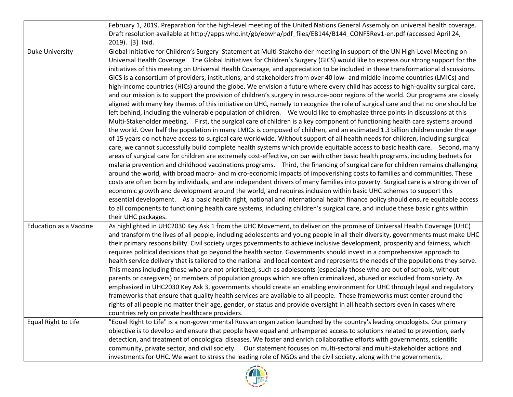|                               | February 1, 2019. Preparation for the high-level meeting of the United Nations General Assembly on universal health coverage.                                                                                                                                                                                                                                                                                                                                                                                                                                                                                                                                                                                                                                                                                                                                                                                                                                                                                                                                                                                                                                                                                                                                                                                                                                                                                                                                                                                                                                                                                                                                                                                                                                                                                                                                                                                                                                                                                                                                                                                                                                                                                                                                                                                                                                                                                                                                                                                                                                               |
|-------------------------------|-----------------------------------------------------------------------------------------------------------------------------------------------------------------------------------------------------------------------------------------------------------------------------------------------------------------------------------------------------------------------------------------------------------------------------------------------------------------------------------------------------------------------------------------------------------------------------------------------------------------------------------------------------------------------------------------------------------------------------------------------------------------------------------------------------------------------------------------------------------------------------------------------------------------------------------------------------------------------------------------------------------------------------------------------------------------------------------------------------------------------------------------------------------------------------------------------------------------------------------------------------------------------------------------------------------------------------------------------------------------------------------------------------------------------------------------------------------------------------------------------------------------------------------------------------------------------------------------------------------------------------------------------------------------------------------------------------------------------------------------------------------------------------------------------------------------------------------------------------------------------------------------------------------------------------------------------------------------------------------------------------------------------------------------------------------------------------------------------------------------------------------------------------------------------------------------------------------------------------------------------------------------------------------------------------------------------------------------------------------------------------------------------------------------------------------------------------------------------------------------------------------------------------------------------------------------------------|
|                               | Draft resolution available at http://apps.who.int/gb/ebwha/pdf_files/EB144/B144_CONF5Rev1-en.pdf (accessed April 24,                                                                                                                                                                                                                                                                                                                                                                                                                                                                                                                                                                                                                                                                                                                                                                                                                                                                                                                                                                                                                                                                                                                                                                                                                                                                                                                                                                                                                                                                                                                                                                                                                                                                                                                                                                                                                                                                                                                                                                                                                                                                                                                                                                                                                                                                                                                                                                                                                                                        |
|                               | 2019). [3] Ibid.                                                                                                                                                                                                                                                                                                                                                                                                                                                                                                                                                                                                                                                                                                                                                                                                                                                                                                                                                                                                                                                                                                                                                                                                                                                                                                                                                                                                                                                                                                                                                                                                                                                                                                                                                                                                                                                                                                                                                                                                                                                                                                                                                                                                                                                                                                                                                                                                                                                                                                                                                            |
| <b>Duke University</b>        | Global Initiative for Children's Surgery Statement at Multi-Stakeholder meeting in support of the UN High-Level Meeting on<br>Universal Health Coverage The Global Initiatives for Children's Surgery (GICS) would like to express our strong support for the<br>initiatives of this meeting on Universal Health Coverage, and appreciation to be included in these transformational discussions.<br>GICS is a consortium of providers, institutions, and stakeholders from over 40 low- and middle-income countries (LMICs) and<br>high-income countries (HICs) around the globe. We envision a future where every child has access to high-quality surgical care,<br>and our mission is to support the provision of children's surgery in resource-poor regions of the world. Our programs are closely<br>aligned with many key themes of this initiative on UHC, namely to recognize the role of surgical care and that no one should be<br>left behind, including the vulnerable population of children. We would like to emphasize three points in discussions at this<br>Multi-Stakeholder meeting. First, the surgical care of children is a key component of functioning health care systems around<br>the world. Over half the population in many LMICs is composed of children, and an estimated 1.3 billion children under the age<br>of 15 years do not have access to surgical care worldwide. Without support of all health needs for children, including surgical<br>care, we cannot successfully build complete health systems which provide equitable access to basic health care. Second, many<br>areas of surgical care for children are extremely cost-effective, on par with other basic health programs, including bednets for<br>malaria prevention and childhood vaccinations programs. Third, the financing of surgical care for children remains challenging<br>around the world, with broad macro- and micro-economic impacts of impoverishing costs to families and communities. These<br>costs are often born by individuals, and are independent drivers of many families into poverty. Surgical care is a strong driver of<br>economic growth and development around the world, and requires inclusion within basic UHC schemes to support this<br>essential development. As a basic health right, national and international health finance policy should ensure equitable access<br>to all components to functioning health care systems, including children's surgical care, and include these basic rights within<br>their UHC packages. |
| <b>Education as a Vaccine</b> | As highlighted in UHC2030 Key Ask 1 from the UHC Movement, to deliver on the promise of Universal Health Coverage (UHC)<br>and transform the lives of all people, including adolescents and young people in all their diversity, governments must make UHC<br>their primary responsibility. Civil society urges governments to achieve inclusive development, prosperity and fairness, which<br>requires political decisions that go beyond the health sector. Governments should invest in a comprehensive approach to<br>health service delivery that is tailored to the national and local context and represents the needs of the populations they serve.<br>This means including those who are not prioritized, such as adolescents (especially those who are out of schools, without<br>parents or caregivers) or members of population groups which are often criminalized, abused or excluded from society. As<br>emphasized in UHC2030 Key Ask 3, governments should create an enabling environment for UHC through legal and regulatory<br>frameworks that ensure that quality health services are available to all people. These frameworks must center around the<br>rights of all people no matter their age, gender, or status and provide oversight in all health sectors even in cases where<br>countries rely on private healthcare providers.                                                                                                                                                                                                                                                                                                                                                                                                                                                                                                                                                                                                                                                                                                                                                                                                                                                                                                                                                                                                                                                                                                                                                                                                             |
| Equal Right to Life           | "Equal Right to Life" is a non-governmental Russian organization launched by the country's leading oncologists. Our primary                                                                                                                                                                                                                                                                                                                                                                                                                                                                                                                                                                                                                                                                                                                                                                                                                                                                                                                                                                                                                                                                                                                                                                                                                                                                                                                                                                                                                                                                                                                                                                                                                                                                                                                                                                                                                                                                                                                                                                                                                                                                                                                                                                                                                                                                                                                                                                                                                                                 |
|                               | objective is to develop and ensure that people have equal and unhampered access to solutions related to prevention, early                                                                                                                                                                                                                                                                                                                                                                                                                                                                                                                                                                                                                                                                                                                                                                                                                                                                                                                                                                                                                                                                                                                                                                                                                                                                                                                                                                                                                                                                                                                                                                                                                                                                                                                                                                                                                                                                                                                                                                                                                                                                                                                                                                                                                                                                                                                                                                                                                                                   |
|                               | detection, and treatment of oncological diseases. We foster and enrich collaborative efforts with governments, scientific                                                                                                                                                                                                                                                                                                                                                                                                                                                                                                                                                                                                                                                                                                                                                                                                                                                                                                                                                                                                                                                                                                                                                                                                                                                                                                                                                                                                                                                                                                                                                                                                                                                                                                                                                                                                                                                                                                                                                                                                                                                                                                                                                                                                                                                                                                                                                                                                                                                   |
|                               | community, private sector, and civil society.  Our statement focuses on multi-sectoral and multi-stakeholder actions and                                                                                                                                                                                                                                                                                                                                                                                                                                                                                                                                                                                                                                                                                                                                                                                                                                                                                                                                                                                                                                                                                                                                                                                                                                                                                                                                                                                                                                                                                                                                                                                                                                                                                                                                                                                                                                                                                                                                                                                                                                                                                                                                                                                                                                                                                                                                                                                                                                                    |
|                               | investments for UHC. We want to stress the leading role of NGOs and the civil society, along with the governments,                                                                                                                                                                                                                                                                                                                                                                                                                                                                                                                                                                                                                                                                                                                                                                                                                                                                                                                                                                                                                                                                                                                                                                                                                                                                                                                                                                                                                                                                                                                                                                                                                                                                                                                                                                                                                                                                                                                                                                                                                                                                                                                                                                                                                                                                                                                                                                                                                                                          |

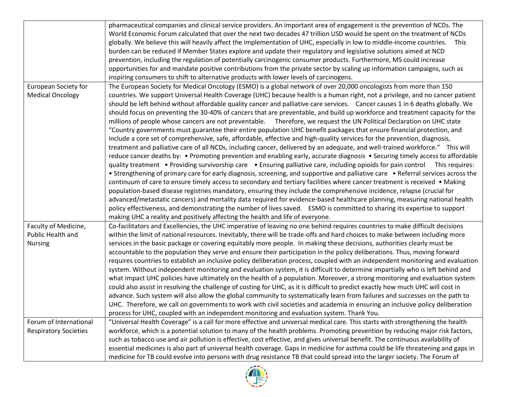|                              | pharmaceutical companies and clinical service providers. An important area of engagement is the prevention of NCDs. The           |
|------------------------------|-----------------------------------------------------------------------------------------------------------------------------------|
|                              | World Economic Forum calculated that over the next two decades 47 trillion USD would be spent on the treatment of NCDs            |
|                              | globally. We believe this will heavily affect the implementation of UHC, especially in low to middle-income countries.<br>This    |
|                              |                                                                                                                                   |
|                              | burden can be reduced if Member States explore and update their regulatory and legislative solutions aimed at NCD                 |
|                              | prevention, including the regulation of potentially carcinogenic consumer products. Furthermore, MS could increase                |
|                              | opportunities for and mandate positive contributions from the private sector by scaling up information campaigns, such as         |
|                              | inspiring consumers to shift to alternative products with lower levels of carcinogens.                                            |
| <b>European Society for</b>  | The European Society for Medical Oncology (ESMO) is a global network of over 20,000 oncologists from more than 150                |
| <b>Medical Oncology</b>      | countries. We support Universal Health Coverage (UHC) because health is a human right, not a privilege, and no cancer patient     |
|                              | should be left behind without affordable quality cancer and palliative care services. Cancer causes 1 in 6 deaths globally. We    |
|                              | should focus on preventing the 30-40% of cancers that are preventable, and build up workforce and treatment capacity for the      |
|                              | millions of people whose cancers are not preventable. Therefore, we request the UN Political Declaration on UHC state             |
|                              | "Country governments must guarantee their entire population UHC benefit packages that ensure financial protection, and            |
|                              | include a core set of comprehensive, safe, affordable, effective and high-quality services for the prevention, diagnosis,         |
|                              | treatment and palliative care of all NCDs, including cancer, delivered by an adequate, and well-trained workforce." This will     |
|                              | reduce cancer deaths by: • Promoting prevention and enabling early, accurate diagnosis • Securing timely access to affordable     |
|                              | quality treatment • Providing survivorship care • Ensuring palliative care, including opioids for pain control This requires:     |
|                              | • Strengthening of primary care for early diagnosis, screening, and supportive and palliative care • Referral services across the |
|                              | continuum of care to ensure timely access to secondary and tertiary facilities where cancer treatment is received • Making        |
|                              | population-based disease registries mandatory, ensuring they include the comprehensive incidence, relapse (crucial for            |
|                              | advanced/metastatic cancers) and mortality data required for evidence-based healthcare planning, measuring national health        |
|                              | policy effectiveness, and demonstrating the number of lives saved. ESMO is committed to sharing its expertise to support          |
|                              | making UHC a reality and positively affecting the health and life of everyone.                                                    |
| Faculty of Medicine,         | Co-facilitators and Excellencies, the UHC imperative of leaving no one behind requires countries to make difficult decisions      |
| Public Health and            | within the limit of national resources. Inevitably, there will be trade-offs and hard choices to make between including more      |
|                              |                                                                                                                                   |
| <b>Nursing</b>               | services in the basic package or covering equitably more people. In making these decisions, authorities clearly must be           |
|                              | accountable to the population they serve and ensure their participation in the policy deliberations. Thus, moving forward         |
|                              | requires countries to establish an inclusive policy deliberation process, coupled with an independent monitoring and evaluation   |
|                              | system. Without independent monitoring and evaluation system, it is difficult to determine impartially who is left behind and     |
|                              | what impact UHC policies have ultimately on the health of a population. Moreover, a strong monitoring and evaluation system       |
|                              | could also assist in resolving the challenge of costing for UHC, as it is difficult to predict exactly how much UHC will cost in  |
|                              | advance. Such system will also allow the global community to systematically learn from failures and successes on the path to      |
|                              | UHC. Therefore, we call on governments to work with civil societies and academia in ensuring an inclusive policy deliberation     |
|                              | process for UHC, coupled with an independent monitoring and evaluation system. Thank You.                                         |
| Forum of International       | "Universal Health Coverage" is a call for more effective and universal medical care. This starts with strengthening the health    |
| <b>Respiratory Societies</b> | workforce, which is a potential solution to many of the health problems. Promoting prevention by reducing major risk factors,     |
|                              | such as tobacco use and air pollution is effective, cost effective, and gives universal benefit. The continuous availability of   |
|                              | essential medicines is also part of universal health coverage. Gaps in medicine for asthma could be life threatening and gaps in  |
|                              | medicine for TB could evolve into persons with drug resistance TB that could spread into the larger society. The Forum of         |

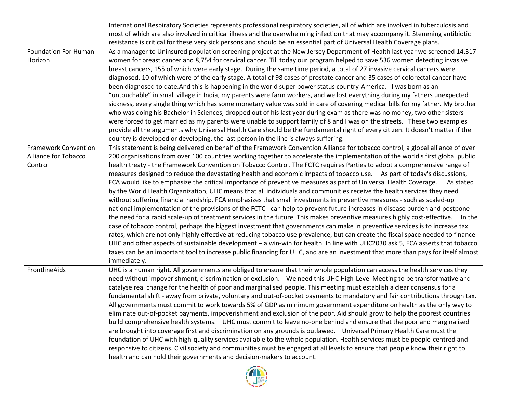|                             | International Respiratory Societies represents professional respiratory societies, all of which are involved in tuberculosis and                                                                                                                                                                                                                                                                                                                                                                                                                                                                                                                                                                                    |
|-----------------------------|---------------------------------------------------------------------------------------------------------------------------------------------------------------------------------------------------------------------------------------------------------------------------------------------------------------------------------------------------------------------------------------------------------------------------------------------------------------------------------------------------------------------------------------------------------------------------------------------------------------------------------------------------------------------------------------------------------------------|
|                             | most of which are also involved in critical illness and the overwhelming infection that may accompany it. Stemming antibiotic                                                                                                                                                                                                                                                                                                                                                                                                                                                                                                                                                                                       |
|                             | resistance is critical for these very sick persons and should be an essential part of Universal Health Coverage plans.                                                                                                                                                                                                                                                                                                                                                                                                                                                                                                                                                                                              |
| <b>Foundation For Human</b> |                                                                                                                                                                                                                                                                                                                                                                                                                                                                                                                                                                                                                                                                                                                     |
| Horizon                     | As a manager to Uninsured population screening project at the New Jersey Department of Health last year we screened 14,317                                                                                                                                                                                                                                                                                                                                                                                                                                                                                                                                                                                          |
|                             | women for breast cancer and 8,754 for cervical cancer. Till today our program helped to save 536 women detecting invasive                                                                                                                                                                                                                                                                                                                                                                                                                                                                                                                                                                                           |
|                             | breast cancers, 155 of which were early stage. During the same time period, a total of 27 invasive cervical cancers were                                                                                                                                                                                                                                                                                                                                                                                                                                                                                                                                                                                            |
|                             | diagnosed, 10 of which were of the early stage. A total of 98 cases of prostate cancer and 35 cases of colorectal cancer have                                                                                                                                                                                                                                                                                                                                                                                                                                                                                                                                                                                       |
|                             | been diagnosed to date. And this is happening in the world super power status country-America. I was born as an                                                                                                                                                                                                                                                                                                                                                                                                                                                                                                                                                                                                     |
|                             | "untouchable" in small village in India, my parents were farm workers, and we lost everything during my fathers unexpected                                                                                                                                                                                                                                                                                                                                                                                                                                                                                                                                                                                          |
|                             | sickness, every single thing which has some monetary value was sold in care of covering medical bills for my father. My brother                                                                                                                                                                                                                                                                                                                                                                                                                                                                                                                                                                                     |
|                             | who was doing his Bachelor in Sciences, dropped out of his last year during exam as there was no money, two other sisters                                                                                                                                                                                                                                                                                                                                                                                                                                                                                                                                                                                           |
|                             | were forced to get married as my parents were unable to support family of 8 and I was on the streets. These two examples                                                                                                                                                                                                                                                                                                                                                                                                                                                                                                                                                                                            |
|                             | provide all the arguments why Universal Health Care should be the fundamental right of every citizen. It doesn't matter if the                                                                                                                                                                                                                                                                                                                                                                                                                                                                                                                                                                                      |
|                             | country is developed or developing, the last person in the line is always suffering.                                                                                                                                                                                                                                                                                                                                                                                                                                                                                                                                                                                                                                |
| <b>Framework Convention</b> | This statement is being delivered on behalf of the Framework Convention Alliance for tobacco control, a global alliance of over                                                                                                                                                                                                                                                                                                                                                                                                                                                                                                                                                                                     |
| Alliance for Tobacco        | 200 organisations from over 100 countries working together to accelerate the implementation of the world's first global public                                                                                                                                                                                                                                                                                                                                                                                                                                                                                                                                                                                      |
| Control                     | health treaty - the Framework Convention on Tobacco Control. The FCTC requires Parties to adopt a comprehensive range of                                                                                                                                                                                                                                                                                                                                                                                                                                                                                                                                                                                            |
|                             | measures designed to reduce the devastating health and economic impacts of tobacco use. As part of today's discussions,                                                                                                                                                                                                                                                                                                                                                                                                                                                                                                                                                                                             |
|                             | FCA would like to emphasize the critical importance of preventive measures as part of Universal Health Coverage.<br>As stated                                                                                                                                                                                                                                                                                                                                                                                                                                                                                                                                                                                       |
|                             | by the World Health Organization, UHC means that all individuals and communities receive the health services they need                                                                                                                                                                                                                                                                                                                                                                                                                                                                                                                                                                                              |
|                             | without suffering financial hardship. FCA emphasizes that small investments in preventive measures - such as scaled-up                                                                                                                                                                                                                                                                                                                                                                                                                                                                                                                                                                                              |
|                             | national implementation of the provisions of the FCTC - can help to prevent future increases in disease burden and postpone                                                                                                                                                                                                                                                                                                                                                                                                                                                                                                                                                                                         |
|                             | the need for a rapid scale-up of treatment services in the future. This makes preventive measures highly cost-effective. In the                                                                                                                                                                                                                                                                                                                                                                                                                                                                                                                                                                                     |
|                             | case of tobacco control, perhaps the biggest investment that governments can make in preventive services is to increase tax                                                                                                                                                                                                                                                                                                                                                                                                                                                                                                                                                                                         |
|                             | rates, which are not only highly effective at reducing tobacco use prevalence, but can create the fiscal space needed to finance                                                                                                                                                                                                                                                                                                                                                                                                                                                                                                                                                                                    |
|                             | UHC and other aspects of sustainable development - a win-win for health. In line with UHC2030 ask 5, FCA asserts that tobacco                                                                                                                                                                                                                                                                                                                                                                                                                                                                                                                                                                                       |
|                             | taxes can be an important tool to increase public financing for UHC, and are an investment that more than pays for itself almost                                                                                                                                                                                                                                                                                                                                                                                                                                                                                                                                                                                    |
|                             | immediately.                                                                                                                                                                                                                                                                                                                                                                                                                                                                                                                                                                                                                                                                                                        |
| FrontlineAids               | UHC is a human right. All governments are obliged to ensure that their whole population can access the health services they                                                                                                                                                                                                                                                                                                                                                                                                                                                                                                                                                                                         |
|                             | need without impoverishment, discrimination or exclusion.  We need this UHC High-Level Meeting to be transformative and                                                                                                                                                                                                                                                                                                                                                                                                                                                                                                                                                                                             |
|                             | catalyse real change for the health of poor and marginalised people. This meeting must establish a clear consensus for a                                                                                                                                                                                                                                                                                                                                                                                                                                                                                                                                                                                            |
|                             | fundamental shift - away from private, voluntary and out-of-pocket payments to mandatory and fair contributions through tax.                                                                                                                                                                                                                                                                                                                                                                                                                                                                                                                                                                                        |
|                             | All governments must commit to work towards 5% of GDP as minimum government expenditure on health as the only way to                                                                                                                                                                                                                                                                                                                                                                                                                                                                                                                                                                                                |
|                             |                                                                                                                                                                                                                                                                                                                                                                                                                                                                                                                                                                                                                                                                                                                     |
|                             |                                                                                                                                                                                                                                                                                                                                                                                                                                                                                                                                                                                                                                                                                                                     |
|                             |                                                                                                                                                                                                                                                                                                                                                                                                                                                                                                                                                                                                                                                                                                                     |
|                             |                                                                                                                                                                                                                                                                                                                                                                                                                                                                                                                                                                                                                                                                                                                     |
|                             |                                                                                                                                                                                                                                                                                                                                                                                                                                                                                                                                                                                                                                                                                                                     |
|                             |                                                                                                                                                                                                                                                                                                                                                                                                                                                                                                                                                                                                                                                                                                                     |
|                             | eliminate out-of-pocket payments, impoverishment and exclusion of the poor. Aid should grow to help the poorest countries<br>build comprehensive health systems. UHC must commit to leave no-one behind and ensure that the poor and marginalised<br>are brought into coverage first and discrimination on any grounds is outlawed.  Universal Primary Health Care must the<br>foundation of UHC with high-quality services available to the whole population. Health services must be people-centred and<br>responsive to citizens. Civil society and communities must be engaged at all levels to ensure that people know their right to<br>health and can hold their governments and decision-makers to account. |

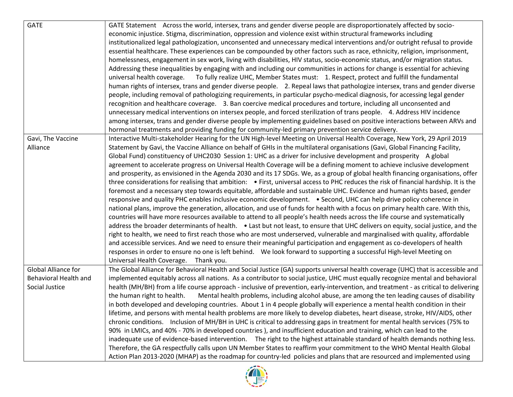| <b>GATE</b>           | GATE Statement Across the world, intersex, trans and gender diverse people are disproportionately affected by socio-                 |
|-----------------------|--------------------------------------------------------------------------------------------------------------------------------------|
|                       | economic injustice. Stigma, discrimination, oppression and violence exist within structural frameworks including                     |
|                       | institutionalized legal pathologization, unconsented and unnecessary medical interventions and/or outright refusal to provide        |
|                       | essential healthcare. These experiences can be compounded by other factors such as race, ethnicity, religion, imprisonment,          |
|                       | homelessness, engagement in sex work, living with disabilities, HIV status, socio-economic status, and/or migration status.          |
|                       | Addressing these inequalities by engaging with and including our communities in actions for change is essential for achieving        |
|                       | To fully realize UHC, Member States must: 1. Respect, protect and fulfill the fundamental<br>universal health coverage.              |
|                       | human rights of intersex, trans and gender diverse people. 2. Repeal laws that pathologize intersex, trans and gender diverse        |
|                       | people, including removal of pathologizing requirements, in particular psycho-medical diagnosis, for accessing legal gender          |
|                       | recognition and healthcare coverage. 3. Ban coercive medical procedures and torture, including all unconsented and                   |
|                       | unnecessary medical interventions on intersex people, and forced sterilization of trans people. 4. Address HIV incidence             |
|                       | among intersex, trans and gender diverse people by implementing guidelines based on positive interactions between ARVs and           |
|                       | hormonal treatments and providing funding for community-led primary prevention service delivery.                                     |
| Gavi, The Vaccine     | Interactive Multi-stakeholder Hearing for the UN High-level Meeting on Universal Health Coverage, New York, 29 April 2019            |
| Alliance              | Statement by Gavi, the Vaccine Alliance on behalf of GHIs in the multilateral organisations (Gavi, Global Financing Facility,        |
|                       | Global Fund) constituency of UHC2030 Session 1: UHC as a driver for inclusive development and prosperity A global                    |
|                       | agreement to accelerate progress on Universal Health Coverage will be a defining moment to achieve inclusive development             |
|                       | and prosperity, as envisioned in the Agenda 2030 and its 17 SDGs. We, as a group of global health financing organisations, offer     |
|                       | three considerations for realising that ambition: • First, universal access to PHC reduces the risk of financial hardship. It is the |
|                       | foremost and a necessary step towards equitable, affordable and sustainable UHC. Evidence and human rights based, gender             |
|                       | responsive and quality PHC enables inclusive economic development. • Second, UHC can help drive policy coherence in                  |
|                       | national plans, improve the generation, allocation, and use of funds for health with a focus on primary health care. With this,      |
|                       | countries will have more resources available to attend to all people's health needs across the life course and systematically        |
|                       | address the broader determinants of health. • Last but not least, to ensure that UHC delivers on equity, social justice, and the     |
|                       | right to health, we need to first reach those who are most underserved, vulnerable and marginalised with quality, affordable         |
|                       | and accessible services. And we need to ensure their meaningful participation and engagement as co-developers of health              |
|                       | responses in order to ensure no one is left behind. We look forward to supporting a successful High-level Meeting on                 |
|                       | Universal Health Coverage. Thank you.                                                                                                |
| Global Alliance for   | The Global Alliance for Behavioral Health and Social Justice (GA) supports universal health coverage (UHC) that is accessible and    |
| Behavioral Health and | implemented equitably across all nations. As a contributor to social justice, UHC must equally recognize mental and behavioral       |
| Social Justice        | health (MH/BH) from a life course approach - inclusive of prevention, early-intervention, and treatment - as critical to delivering  |
|                       | the human right to health.<br>Mental health problems, including alcohol abuse, are among the ten leading causes of disability        |
|                       | in both developed and developing countries. About 1 in 4 people globally will experience a mental health condition in their          |
|                       | lifetime, and persons with mental health problems are more likely to develop diabetes, heart disease, stroke, HIV/AIDS, other        |
|                       | chronic conditions. Inclusion of MH/BH in UHC is critical to addressing gaps in treatment for mental health services (75% to         |
|                       | 90% in LMICs, and 40% - 70% in developed countries), and insufficient education and training, which can lead to the                  |
|                       | inadequate use of evidence-based intervention. The right to the highest attainable standard of health demands nothing less.          |
|                       | Therefore, the GA respectfully calls upon UN Member States to reaffirm your commitment to the WHO Mental Health Global               |
|                       | Action Plan 2013-2020 (MHAP) as the roadmap for country-led policies and plans that are resourced and implemented using              |

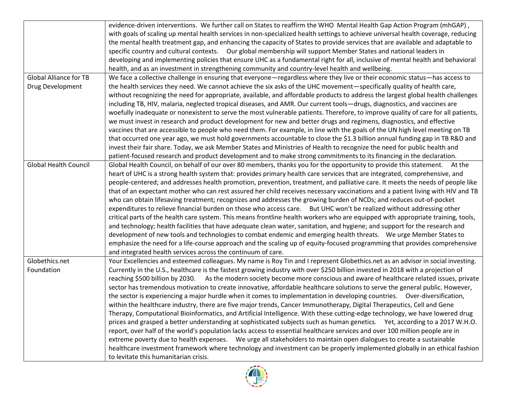|                               | evidence-driven interventions. We further call on States to reaffirm the WHO Mental Health Gap Action Program (mhGAP),            |
|-------------------------------|-----------------------------------------------------------------------------------------------------------------------------------|
|                               | with goals of scaling up mental health services in non-specialized health settings to achieve universal health coverage, reducing |
|                               | the mental health treatment gap, and enhancing the capacity of States to provide services that are available and adaptable to     |
|                               | specific country and cultural contexts.  Our global membership will support Member States and national leaders in                 |
|                               | developing and implementing policies that ensure UHC as a fundamental right for all, inclusive of mental health and behavioral    |
|                               | health, and as an investment in strengthening community and country-level health and wellbeing.                                   |
| <b>Global Alliance for TB</b> | We face a collective challenge in ensuring that everyone—regardless where they live or their economic status—has access to        |
| Drug Development              | the health services they need. We cannot achieve the six asks of the UHC movement—specifically quality of health care,            |
|                               | without recognizing the need for appropriate, available, and affordable products to address the largest global health challenges  |
|                               | including TB, HIV, malaria, neglected tropical diseases, and AMR. Our current tools—drugs, diagnostics, and vaccines are          |
|                               | woefully inadequate or nonexistent to serve the most vulnerable patients. Therefore, to improve quality of care for all patients, |
|                               | we must invest in research and product development for new and better drugs and regimens, diagnostics, and effective              |
|                               | vaccines that are accessible to people who need them. For example, in line with the goals of the UN high level meeting on TB      |
|                               | that occurred one year ago, we must hold governments accountable to close the \$1.3 billion annual funding gap in TB R&D and      |
|                               | invest their fair share. Today, we ask Member States and Ministries of Health to recognize the need for public health and         |
|                               | patient-focused research and product development and to make strong commitments to its financing in the declaration.              |
| <b>Global Health Council</b>  | Global Health Council, on behalf of our over 80 members, thanks you for the opportunity to provide this statement. At the         |
|                               | heart of UHC is a strong health system that: provides primary health care services that are integrated, comprehensive, and        |
|                               | people-centered; and addresses health promotion, prevention, treatment, and palliative care. It meets the needs of people like    |
|                               | that of an expectant mother who can rest assured her child receives necessary vaccinations and a patient living with HIV and TB   |
|                               | who can obtain lifesaving treatment; recognizes and addresses the growing burden of NCDs; and reduces out-of-pocket               |
|                               | expenditures to relieve financial burden on those who access care. But UHC won't be realized without addressing other             |
|                               | critical parts of the health care system. This means frontline health workers who are equipped with appropriate training, tools,  |
|                               | and technology; health facilities that have adequate clean water, sanitation, and hygiene; and support for the research and       |
|                               | development of new tools and technologies to combat endemic and emerging health threats.  We urge Member States to                |
|                               | emphasize the need for a life-course approach and the scaling up of equity-focused programming that provides comprehensive        |
|                               | and integrated health services across the continuum of care.                                                                      |
| Globethics.net                | Your Excellencies and esteemed colleagues. My name is Roy Tin and I represent Globethics.net as an advisor in social investing.   |
| Foundation                    | Currently in the U.S., healthcare is the fastest growing industry with over \$250 billion invested in 2018 with a projection of   |
|                               | reaching \$500 billion by 2030. As the modern society become more conscious and aware of healthcare related issues, private       |
|                               | sector has tremendous motivation to create innovative, affordable healthcare solutions to serve the general public. However,      |
|                               | the sector is experiencing a major hurdle when it comes to implementation in developing countries. Over-diversification,          |
|                               | within the healthcare industry, there are five major trends, Cancer Immunotherapy, Digital Therapeutics, Cell and Gene            |
|                               | Therapy, Computational Bioinformatics, and Artificial Intelligence. With these cutting-edge technology, we have lowered drug      |
|                               | prices and grasped a better understanding at sophisticated subjects such as human genetics. Yet, according to a 2017 W.H.O.       |
|                               | report, over half of the world's population lacks access to essential healthcare services and over 100 million people are in      |
|                               | extreme poverty due to health expenses. We urge all stakeholders to maintain open dialogues to create a sustainable               |
|                               | healthcare investment framework where technology and investment can be properly implemented globally in an ethical fashion        |
|                               |                                                                                                                                   |

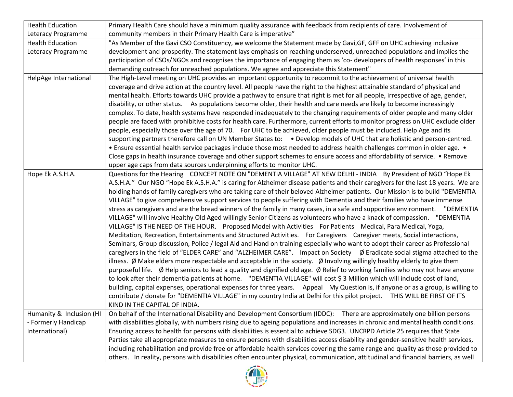| <b>Health Education</b>  | Primary Health Care should have a minimum quality assurance with feedback from recipients of care. Involvement of                                 |
|--------------------------|---------------------------------------------------------------------------------------------------------------------------------------------------|
| Leteracy Programme       | community members in their Primary Health Care is imperative"                                                                                     |
| <b>Health Education</b>  | "As Member of the Gavi CSO Constituency, we welcome the Statement made by Gavi, GF, GFF on UHC achieving inclusive                                |
| Leteracy Programme       | development and prosperity. The statement lays emphasis on reaching underserved, unreached populations and implies the                            |
|                          | participation of CSOs/NGOs and recognises the importance of engaging them as 'co-developers of health responses' in this                          |
|                          | demanding outreach for unreached populations. We agree and appreciate this Statement"                                                             |
| HelpAge International    | The High-Level meeting on UHC provides an important opportunity to recommit to the achievement of universal health                                |
|                          | coverage and drive action at the country level. All people have the right to the highest attainable standard of physical and                      |
|                          | mental health. Efforts towards UHC provide a pathway to ensure that right is met for all people, irrespective of age, gender,                     |
|                          | disability, or other status. As populations become older, their health and care needs are likely to become increasingly                           |
|                          | complex. To date, health systems have responded inadequately to the changing requirements of older people and many older                          |
|                          | people are faced with prohibitive costs for health care. Furthermore, current efforts to monitor progress on UHC exclude older                    |
|                          | people, especially those over the age of 70. For UHC to be achieved, older people must be included. Help Age and its                              |
|                          | supporting partners therefore call on UN Member States to: . Develop models of UHC that are holistic and person-centred.                          |
|                          | • Ensure essential health service packages include those most needed to address health challenges common in older age. •                          |
|                          | Close gaps in health insurance coverage and other support schemes to ensure access and affordability of service. • Remove                         |
|                          | upper age caps from data sources underpinning efforts to monitor UHC.                                                                             |
| Hope Ek A.S.H.A.         | Questions for the Hearing CONCEPT NOTE ON "DEMENTIA VILLAGE" AT NEW DELHI - INDIA By President of NGO "Hope Ek                                    |
|                          | A.S.H.A." Our NGO "Hope Ek A.S.H.A." is caring for Alzheimer disease patients and their caregivers for the last 18 years. We are                  |
|                          | holding hands of family caregivers who are taking care of their beloved Alzheimer patients. Our Mission is to build "DEMENTIA                     |
|                          | VILLAGE" to give comprehensive support services to people suffering with Dementia and their families who have immense                             |
|                          | stress as caregivers and are the bread winners of the family in many cases, in a safe and supportive environment. "DEMENTIA                       |
|                          | VILLAGE" will involve Healthy Old Aged willingly Senior Citizens as volunteers who have a knack of compassion. "DEMENTIA                          |
|                          | VILLAGE" IS THE NEED OF THE HOUR. Proposed Model with Activities For Patients Medical, Para Medical, Yoga,                                        |
|                          | Meditation, Recreation, Entertainments and Structured Activities. For Caregivers Caregiver meets, Social interactions,                            |
|                          |                                                                                                                                                   |
|                          | Seminars, Group discussion, Police / legal Aid and Hand on training especially who want to adopt their career as Professional                     |
|                          | caregivers in the field of "ELDER CARE" and "ALZHEIMER CARE". Impact on Society Ø Eradicate social stigma attached to the                         |
|                          | illness. $\emptyset$ Make elders more respectable and acceptable in the society. $\emptyset$ Involving willingly healthy elderly to give them     |
|                          | purposeful life. $\emptyset$ Help seniors to lead a quality and dignified old age. $\emptyset$ Relief to working families who may not have anyone |
|                          | to look after their dementia patients at home. "DEMENTIA VILLAGE" will cost \$3 Million which will include cost of land,                          |
|                          | building, capital expenses, operational expenses for three years. Appeal My Question is, if anyone or as a group, is willing to                   |
|                          | contribute / donate for "DEMENTIA VILLAGE" in my country India at Delhi for this pilot project. THIS WILL BE FIRST OF ITS                         |
|                          | KIND IN THE CAPITAL OF INDIA.                                                                                                                     |
| Humanity & Inclusion (HI | On behalf of the International Disability and Development Consortium (IDDC): There are approximately one billion persons                          |
| - Formerly Handicap      | with disabilities globally, with numbers rising due to ageing populations and increases in chronic and mental health conditions.                  |
| International)           | Ensuring access to health for persons with disabilities is essential to achieve SDG3. UNCRPD Article 25 requires that State                       |
|                          | Parties take all appropriate measures to ensure persons with disabilities access disability and gender-sensitive health services,                 |
|                          | including rehabilitation and provide free or affordable health services covering the same range and quality as those provided to                  |
|                          | others. In reality, persons with disabilities often encounter physical, communication, attitudinal and financial barriers, as well                |

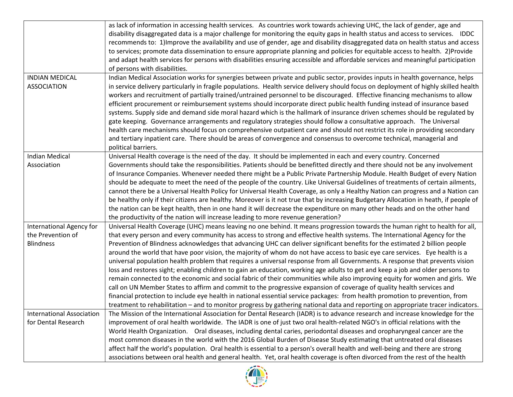|                                                                   | as lack of information in accessing health services. As countries work towards achieving UHC, the lack of gender, age and<br>disability disaggregated data is a major challenge for monitoring the equity gaps in health status and access to services. IDDC<br>recommends to: 1) Improve the availability and use of gender, age and disability disaggregated data on health status and access<br>to services; promote data dissemination to ensure appropriate planning and policies for equitable access to health. 2)Provide<br>and adapt health services for persons with disabilities ensuring accessible and affordable services and meaningful participation<br>of persons with disabilities.                                                                                                                                                                                                                                                                                                                                                                                                                                                                                                                                                                                                                 |
|-------------------------------------------------------------------|-----------------------------------------------------------------------------------------------------------------------------------------------------------------------------------------------------------------------------------------------------------------------------------------------------------------------------------------------------------------------------------------------------------------------------------------------------------------------------------------------------------------------------------------------------------------------------------------------------------------------------------------------------------------------------------------------------------------------------------------------------------------------------------------------------------------------------------------------------------------------------------------------------------------------------------------------------------------------------------------------------------------------------------------------------------------------------------------------------------------------------------------------------------------------------------------------------------------------------------------------------------------------------------------------------------------------|
| <b>INDIAN MEDICAL</b><br><b>ASSOCIATION</b>                       | Indian Medical Association works for synergies between private and public sector, provides inputs in health governance, helps<br>in service delivery particularly in fragile populations. Health service delivery should focus on deployment of highly skilled health<br>workers and recruitment of partially trained/untrained personnel to be discouraged. Effective financing mechanisms to allow<br>efficient procurement or reimbursement systems should incorporate direct public health funding instead of insurance based<br>systems. Supply side and demand side moral hazard which is the hallmark of insurance driven schemes should be regulated by<br>gate keeping. Governance arrangements and regulatory strategies should follow a consultative approach. The Universal<br>health care mechanisms should focus on comprehensive outpatient care and should not restrict its role in providing secondary<br>and tertiary inpatient care. There should be areas of convergence and consensus to overcome technical, managerial and<br>political barriers.                                                                                                                                                                                                                                               |
| <b>Indian Medical</b><br>Association                              | Universal Health coverage is the need of the day. It should be implemented in each and every country. Concerned<br>Governments should take the responsibilities. Patients should be benefitted directly and there should not be any involvement<br>of Insurance Companies. Whenever needed there might be a Public Private Partnership Module. Health Budget of every Nation<br>should be adequate to meet the need of the people of the country. Like Universal Guidelines of treatments of certain ailments,<br>cannot there be a Universal Health Policy for Universal Health Coverage, as only a Healthy Nation can progress and a Nation can<br>be healthy only if their citizens are healthy. Moreover is it not true that by increasing Budgetary Allocation in heath, if people of<br>the nation can be kept health, then in one hand it will decrease the expenditure on many other heads and on the other hand<br>the productivity of the nation will increase leading to more revenue generation?                                                                                                                                                                                                                                                                                                          |
| International Agency for<br>the Prevention of<br><b>Blindness</b> | Universal Health Coverage (UHC) means leaving no one behind. It means progression towards the human right to health for all,<br>that every person and every community has access to strong and effective health systems. The International Agency for the<br>Prevention of Blindness acknowledges that advancing UHC can deliver significant benefits for the estimated 2 billion people<br>around the world that have poor vision, the majority of whom do not have access to basic eye care services. Eye health is a<br>universal population health problem that requires a universal response from all Governments. A response that prevents vision<br>loss and restores sight; enabling children to gain an education, working age adults to get and keep a job and older persons to<br>remain connected to the economic and social fabric of their communities while also improving equity for women and girls. We<br>call on UN Member States to affirm and commit to the progressive expansion of coverage of quality health services and<br>financial protection to include eye health in national essential service packages: from health promotion to prevention, from<br>treatment to rehabilitation - and to monitor progress by gathering national data and reporting on appropriate tracer indicators. |
| <b>International Association</b><br>for Dental Research           | The Mission of the International Association for Dental Research (IADR) is to advance research and increase knowledge for the<br>improvement of oral health worldwide. The IADR is one of just two oral health-related NGO's in official relations with the<br>World Health Organization. Oral diseases, including dental caries, periodontal diseases and oropharyngeal cancer are the<br>most common diseases in the world with the 2016 Global Burden of Disease Study estimating that untreated oral diseases<br>affect half the world's population. Oral health is essential to a person's overall health and well-being and there are strong<br>associations between oral health and general health. Yet, oral health coverage is often divorced from the rest of the health                                                                                                                                                                                                                                                                                                                                                                                                                                                                                                                                    |

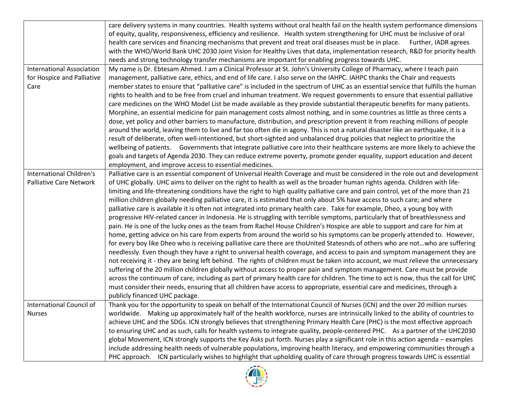|                                  | care delivery systems in many countries. Health systems without oral health fail on the health system performance dimensions       |
|----------------------------------|------------------------------------------------------------------------------------------------------------------------------------|
|                                  | of equity, quality, responsiveness, efficiency and resilience. Health system strengthening for UHC must be inclusive of oral       |
|                                  | health care services and financing mechanisms that prevent and treat oral diseases must be in place.<br>Further, IADR agrees       |
|                                  | with the WHO/World Bank UHC 2030 Joint Vision for Healthy Lives that data, implementation research, R&D for priority health        |
|                                  | needs and strong technology transfer mechanisms are important for enabling progress towards UHC.                                   |
| <b>International Association</b> | My name is Dr. Ebtesam Ahmed. I am a Clinical Professor at St. John's University College of Pharmacy, where I teach pain           |
|                                  |                                                                                                                                    |
| for Hospice and Palliative       | management, palliative care, ethics, and end of life care. I also serve on the IAHPC. IAHPC thanks the Chair and requests          |
| Care                             | member states to ensure that "palliative care" is included in the spectrum of UHC as an essential service that fulfills the human  |
|                                  | rights to health and to be free from cruel and inhuman treatment. We request governments to ensure that essential palliative       |
|                                  | care medicines on the WHO Model List be made available as they provide substantial therapeutic benefits for many patients.         |
|                                  | Morphine, an essential medicine for pain management costs almost nothing, and in some countries as little as three cents a         |
|                                  | dose, yet policy and other barriers to manufacture, distribution, and prescription prevent it from reaching millions of people     |
|                                  | around the world, leaving them to live and far too often die in agony. This is not a natural disaster like an earthquake, it is a  |
|                                  | result of deliberate, often well-intentioned, but short-sighted and unbalanced drug policies that neglect to prioritize the        |
|                                  | wellbeing of patients. Governments that integrate palliative care into their healthcare systems are more likely to achieve the     |
|                                  | goals and targets of Agenda 2030. They can reduce extreme poverty, promote gender equality, support education and decent           |
|                                  | employment, and improve access to essential medicines.                                                                             |
| International Children's         | Palliative care is an essential component of Universal Health Coverage and must be considered in the role out and development      |
| <b>Palliative Care Network</b>   | of UHC globally. UHC aims to deliver on the right to health as well as the broader human rights agenda. Children with life-        |
|                                  | limiting and life-threatening conditions have the right to high quality palliative care and pain control, yet of the more than 21  |
|                                  | million children globally needing palliative care, it is estimated that only about 5% have access to such care; and where          |
|                                  | palliative care is available it is often not integrated into primary health care. Take for example, Dheo, a young boy with         |
|                                  | progressive HIV-related cancer in Indonesia. He is struggling with terrible symptoms, particularly that of breathlessness and      |
|                                  | pain. He is one of the lucky ones as the team from Rachel House Children's Hospice are able to support and care for him at         |
|                                  | home, getting advice on his care from experts from around the world so his symptoms can be properly attended to. However,          |
|                                  | for every boy like Dheo who is receiving palliative care there are thoUnited Statesnds of others who are notwho are suffering      |
|                                  | needlessly. Even though they have a right to universal health coverage, and access to pain and symptom management they are         |
|                                  | not receiving it - they are being left behind. The rights of children must be taken into account, we must relieve the unnecessary  |
|                                  | suffering of the 20 million children globally without access to proper pain and symptom management. Care must be provide           |
|                                  | across the continuum of care, including as part of primary health care for children. The time to act is now, thus the call for UHC |
|                                  | must consider their needs, ensuring that all children have access to appropriate, essential care and medicines, through a          |
|                                  | publicly financed UHC package.                                                                                                     |
| International Council of         | Thank you for the opportunity to speak on behalf of the International Council of Nurses (ICN) and the over 20 million nurses       |
| <b>Nurses</b>                    | worldwide. Making up approximately half of the health workforce, nurses are intrinsically linked to the ability of countries to    |
|                                  | achieve UHC and the SDGs. ICN strongly believes that strengthening Primary Health Care (PHC) is the most effective approach        |
|                                  | to ensuring UHC and as such, calls for health systems to integrate quality, people-centered PHC. As a partner of the UHC2030       |
|                                  | global Movement, ICN strongly supports the Key Asks put forth. Nurses play a significant role in this action agenda - examples     |
|                                  |                                                                                                                                    |
|                                  | include addressing health needs of vulnerable populations, improving health literacy, and empowering communities through a         |
|                                  | PHC approach. ICN particularly wishes to highlight that upholding quality of care through progress towards UHC is essential        |

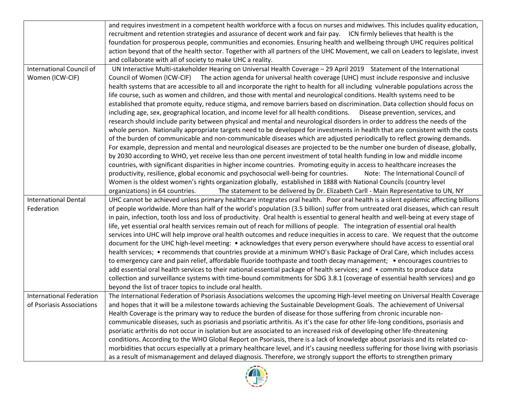|                                 | and requires investment in a competent health workforce with a focus on nurses and midwives. This includes quality education,         |
|---------------------------------|---------------------------------------------------------------------------------------------------------------------------------------|
|                                 | recruitment and retention strategies and assurance of decent work and fair pay. ICN firmly believes that health is the                |
|                                 | foundation for prosperous people, communities and economies. Ensuring health and wellbeing through UHC requires political             |
|                                 | action beyond that of the health sector. Together with all partners of the UHC Movement, we call on Leaders to legislate, invest      |
|                                 | and collaborate with all of society to make UHC a reality.                                                                            |
| International Council of        | UN Interactive Multi-stakeholder Hearing on Universal Health Coverage - 29 April 2019 Statement of the International                  |
| Women (ICW-CIF)                 | Council of Women (ICW-CIF) The action agenda for universal health coverage (UHC) must include responsive and inclusive                |
|                                 | health systems that are accessible to all and incorporate the right to health for all including vulnerable populations across the     |
|                                 | life course, such as women and children, and those with mental and neurological conditions. Health systems need to be                 |
|                                 | established that promote equity, reduce stigma, and remove barriers based on discrimination. Data collection should focus on          |
|                                 | including age, sex, geographical location, and income level for all health conditions.  Disease prevention, services, and             |
|                                 | research should include parity between physical and mental and neurological disorders in order to address the needs of the            |
|                                 | whole person. Nationally appropriate targets need to be developed for investments in health that are consistent with the costs        |
|                                 | of the burden of communicable and non-communicable diseases which are adjusted periodically to reflect growing demands.               |
|                                 | For example, depression and mental and neurological diseases are projected to be the number one burden of disease, globally,          |
|                                 | by 2030 according to WHO, yet receive less than one percent investment of total health funding in low and middle income               |
|                                 | countries, with significant disparities in higher income countries. Promoting equity in access to healthcare increases the            |
|                                 | productivity, resilience, global economic and psychosocial well-being for countries.<br>Note: The International Council of            |
|                                 | Women is the oldest women's rights organization globally, established in 1888 with National Councils (country level                   |
|                                 | organizations) in 64 countries.<br>The statement to be delivered by Dr. Elizabeth Carll - Main Representative to UN, NY               |
| <b>International Dental</b>     | UHC cannot be achieved unless primary healthcare integrates oral health. Poor oral health is a silent epidemic affecting billions     |
| Federation                      | of people worldwide. More than half of the world's population (3.5 billion) suffer from untreated oral diseases, which can result     |
|                                 | in pain, infection, tooth loss and loss of productivity. Oral health is essential to general health and well-being at every stage of  |
|                                 | life, yet essential oral health services remain out of reach for millions of people. The integration of essential oral health         |
|                                 | services into UHC will help improve oral health outcomes and reduce inequities in access to care. We request that the outcome         |
|                                 | document for the UHC high-level meeting: • acknowledges that every person everywhere should have access to essential oral             |
|                                 | health services; • recommends that countries provide at a minimum WHO's Basic Package of Oral Care, which includes access             |
|                                 | to emergency care and pain relief, affordable fluoride toothpaste and tooth decay management; • encourages countries to               |
|                                 | add essential oral health services to their national essential package of health services; and • commits to produce data              |
|                                 | collection and surveillance systems with time-bound commitments for SDG 3.8.1 (coverage of essential health services) and go          |
|                                 | beyond the list of tracer topics to include oral health.                                                                              |
| <b>International Federation</b> | The International Federation of Psoriasis Associations welcomes the upcoming High-level meeting on Universal Health Coverage          |
| of Psoriasis Associations       | and hopes that it will be a milestone towards achieving the Sustainable Development Goals. The achievement of Universal               |
|                                 | Health Coverage is the primary way to reduce the burden of disease for those suffering from chronic incurable non-                    |
|                                 | communicable diseases, such as psoriasis and psoriatic arthritis. As it's the case for other life-long conditions, psoriasis and      |
|                                 | psoriatic arthritis do not occur in isolation but are associated to an increased risk of developing other life-threatening            |
|                                 | conditions. According to the WHO Global Report on Psoriasis, there is a lack of knowledge about psoriasis and its related co-         |
|                                 | morbidities that occurs especially at a primary healthcare level, and it's causing needless suffering for those living with psoriasis |
|                                 | as a result of mismanagement and delayed diagnosis. Therefore, we strongly support the efforts to strengthen primary                  |

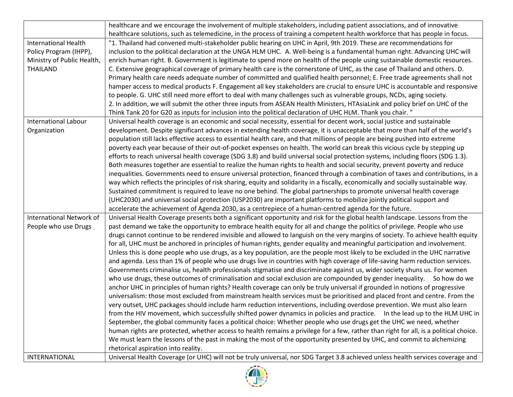| healthcare and we encourage the involvement of multiple stakeholders, including patient associations, and of innovative<br>healthcare solutions, such as telemedicine, in the process of training a competent health workforce that has people in focus.<br>"1. Thailand had convened multi-stakeholder public hearing on UHC in April, 9th 2019. These are recommendations for<br><b>International Health</b><br>Policy Program (IHPP),<br>inclusion to the political declaration at the UNGA HLM UHC. A. Well-being is a fundamental human right. Advancing UHC will<br>enrich human right. B. Government is legitimate to spend more on health of the people using sustainable domestic resources.<br>Ministry of Public Health,<br><b>THAILAND</b><br>C. Extensive geographical coverage of primary health care is the cornerstone of UHC, as the case of Thailand and others. D.<br>Primary health care needs adequate number of committed and qualified health personnel; E. Free trade agreements shall not |
|--------------------------------------------------------------------------------------------------------------------------------------------------------------------------------------------------------------------------------------------------------------------------------------------------------------------------------------------------------------------------------------------------------------------------------------------------------------------------------------------------------------------------------------------------------------------------------------------------------------------------------------------------------------------------------------------------------------------------------------------------------------------------------------------------------------------------------------------------------------------------------------------------------------------------------------------------------------------------------------------------------------------|
|                                                                                                                                                                                                                                                                                                                                                                                                                                                                                                                                                                                                                                                                                                                                                                                                                                                                                                                                                                                                                    |
|                                                                                                                                                                                                                                                                                                                                                                                                                                                                                                                                                                                                                                                                                                                                                                                                                                                                                                                                                                                                                    |
|                                                                                                                                                                                                                                                                                                                                                                                                                                                                                                                                                                                                                                                                                                                                                                                                                                                                                                                                                                                                                    |
|                                                                                                                                                                                                                                                                                                                                                                                                                                                                                                                                                                                                                                                                                                                                                                                                                                                                                                                                                                                                                    |
|                                                                                                                                                                                                                                                                                                                                                                                                                                                                                                                                                                                                                                                                                                                                                                                                                                                                                                                                                                                                                    |
|                                                                                                                                                                                                                                                                                                                                                                                                                                                                                                                                                                                                                                                                                                                                                                                                                                                                                                                                                                                                                    |
|                                                                                                                                                                                                                                                                                                                                                                                                                                                                                                                                                                                                                                                                                                                                                                                                                                                                                                                                                                                                                    |
| hamper access to medical products F. Engagement all key stakeholders are crucial to ensure UHC is accountable and responsive                                                                                                                                                                                                                                                                                                                                                                                                                                                                                                                                                                                                                                                                                                                                                                                                                                                                                       |
| to people. G. UHC still need more effort to deal with many challenges such as vulnerable groups, NCDs, aging society.                                                                                                                                                                                                                                                                                                                                                                                                                                                                                                                                                                                                                                                                                                                                                                                                                                                                                              |
| 2. In addition, we will submit the other three inputs from ASEAN Health Ministers, HTAsiaLink and policy brief on UHC of the                                                                                                                                                                                                                                                                                                                                                                                                                                                                                                                                                                                                                                                                                                                                                                                                                                                                                       |
| Think Tank 20 for G20 as inputs for inclusion into the political declaration of UHC HLM. Thank you chair. "                                                                                                                                                                                                                                                                                                                                                                                                                                                                                                                                                                                                                                                                                                                                                                                                                                                                                                        |
| <b>International Labour</b><br>Universal health coverage is an economic and social necessity, essential for decent work, social justice and sustainable                                                                                                                                                                                                                                                                                                                                                                                                                                                                                                                                                                                                                                                                                                                                                                                                                                                            |
| development. Despite significant advances in extending health coverage, it is unacceptable that more than half of the world's<br>Organization                                                                                                                                                                                                                                                                                                                                                                                                                                                                                                                                                                                                                                                                                                                                                                                                                                                                      |
| population still lacks effective access to essential health care, and that millions of people are being pushed into extreme                                                                                                                                                                                                                                                                                                                                                                                                                                                                                                                                                                                                                                                                                                                                                                                                                                                                                        |
| poverty each year because of their out-of-pocket expenses on health. The world can break this vicious cycle by stepping up                                                                                                                                                                                                                                                                                                                                                                                                                                                                                                                                                                                                                                                                                                                                                                                                                                                                                         |
| efforts to reach universal health coverage (SDG 3.8) and build universal social protection systems, including floors (SDG 1.3).                                                                                                                                                                                                                                                                                                                                                                                                                                                                                                                                                                                                                                                                                                                                                                                                                                                                                    |
| Both measures together are essential to realize the human rights to health and social security, prevent poverty and reduce                                                                                                                                                                                                                                                                                                                                                                                                                                                                                                                                                                                                                                                                                                                                                                                                                                                                                         |
| inequalities. Governments need to ensure universal protection, financed through a combination of taxes and contributions, in a                                                                                                                                                                                                                                                                                                                                                                                                                                                                                                                                                                                                                                                                                                                                                                                                                                                                                     |
| way which reflects the principles of risk sharing, equity and solidarity in a fiscally, economically and socially sustainable way.                                                                                                                                                                                                                                                                                                                                                                                                                                                                                                                                                                                                                                                                                                                                                                                                                                                                                 |
| Sustained commitment is required to leave no one behind. The global partnerships to promote universal health coverage                                                                                                                                                                                                                                                                                                                                                                                                                                                                                                                                                                                                                                                                                                                                                                                                                                                                                              |
| (UHC2030) and universal social protection (USP2030) are important platforms to mobilize jointly political support and                                                                                                                                                                                                                                                                                                                                                                                                                                                                                                                                                                                                                                                                                                                                                                                                                                                                                              |
| accelerate the achievement of Agenda 2030, as a centrepiece of a human-centred agenda for the future.                                                                                                                                                                                                                                                                                                                                                                                                                                                                                                                                                                                                                                                                                                                                                                                                                                                                                                              |
| <b>International Network of</b><br>Universal Health Coverage presents both a significant opportunity and risk for the global health landscape. Lessons from the                                                                                                                                                                                                                                                                                                                                                                                                                                                                                                                                                                                                                                                                                                                                                                                                                                                    |
| People who use Drugs<br>past demand we take the opportunity to embrace health equity for all and change the politics of privilege. People who use                                                                                                                                                                                                                                                                                                                                                                                                                                                                                                                                                                                                                                                                                                                                                                                                                                                                  |
| drugs cannot continue to be rendered invisible and allowed to languish on the very margins of society. To achieve health equity                                                                                                                                                                                                                                                                                                                                                                                                                                                                                                                                                                                                                                                                                                                                                                                                                                                                                    |
| for all, UHC must be anchored in principles of human rights, gender equality and meaningful participation and involvement.                                                                                                                                                                                                                                                                                                                                                                                                                                                                                                                                                                                                                                                                                                                                                                                                                                                                                         |
| Unless this is done people who use drugs, as a key population, are the people most likely to be excluded in the UHC narrative                                                                                                                                                                                                                                                                                                                                                                                                                                                                                                                                                                                                                                                                                                                                                                                                                                                                                      |
| and agenda. Less than 1% of people who use drugs live in countries with high coverage of life-saving harm reduction services.                                                                                                                                                                                                                                                                                                                                                                                                                                                                                                                                                                                                                                                                                                                                                                                                                                                                                      |
| Governments criminalise us, health professionals stigmatise and discriminate against us, wider society shuns us. For women                                                                                                                                                                                                                                                                                                                                                                                                                                                                                                                                                                                                                                                                                                                                                                                                                                                                                         |
| who use drugs, these outcomes of criminalisation and social exclusion are compounded by gender inequality. So how do we                                                                                                                                                                                                                                                                                                                                                                                                                                                                                                                                                                                                                                                                                                                                                                                                                                                                                            |
| anchor UHC in principles of human rights? Health coverage can only be truly universal if grounded in notions of progressive                                                                                                                                                                                                                                                                                                                                                                                                                                                                                                                                                                                                                                                                                                                                                                                                                                                                                        |
| universalism: those most excluded from mainstream health services must be prioritised and placed front and centre. From the                                                                                                                                                                                                                                                                                                                                                                                                                                                                                                                                                                                                                                                                                                                                                                                                                                                                                        |
| very outset, UHC packages should include harm reduction interventions, including overdose prevention. We must also learn                                                                                                                                                                                                                                                                                                                                                                                                                                                                                                                                                                                                                                                                                                                                                                                                                                                                                           |
| from the HIV movement, which successfully shifted power dynamics in policies and practice. In the lead up to the HLM UHC in                                                                                                                                                                                                                                                                                                                                                                                                                                                                                                                                                                                                                                                                                                                                                                                                                                                                                        |
| September, the global community faces a political choice: Whether people who use drugs get the UHC we need, whether                                                                                                                                                                                                                                                                                                                                                                                                                                                                                                                                                                                                                                                                                                                                                                                                                                                                                                |
| human rights are protected, whether access to health remains a privilege for a few, rather than right for all, is a political choice.                                                                                                                                                                                                                                                                                                                                                                                                                                                                                                                                                                                                                                                                                                                                                                                                                                                                              |
| We must learn the lessons of the past in making the most of the opportunity presented by UHC, and commit to alchemizing                                                                                                                                                                                                                                                                                                                                                                                                                                                                                                                                                                                                                                                                                                                                                                                                                                                                                            |
| rhetorical aspiration into reality.                                                                                                                                                                                                                                                                                                                                                                                                                                                                                                                                                                                                                                                                                                                                                                                                                                                                                                                                                                                |
| Universal Health Coverage (or UHC) will not be truly universal, nor SDG Target 3.8 achieved unless health services coverage and<br>INTERNATIONAL                                                                                                                                                                                                                                                                                                                                                                                                                                                                                                                                                                                                                                                                                                                                                                                                                                                                   |

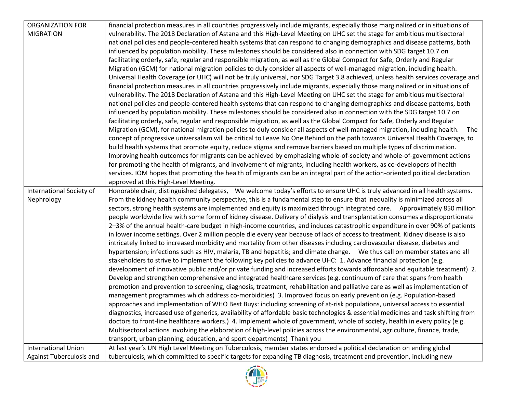| <b>ORGANIZATION FOR</b>    | financial protection measures in all countries progressively include migrants, especially those marginalized or in situations of                                                                                                                   |
|----------------------------|----------------------------------------------------------------------------------------------------------------------------------------------------------------------------------------------------------------------------------------------------|
| <b>MIGRATION</b>           | vulnerability. The 2018 Declaration of Astana and this High-Level Meeting on UHC set the stage for ambitious multisectoral                                                                                                                         |
|                            | national policies and people-centered health systems that can respond to changing demographics and disease patterns, both                                                                                                                          |
|                            | influenced by population mobility. These milestones should be considered also in connection with SDG target 10.7 on                                                                                                                                |
|                            | facilitating orderly, safe, regular and responsible migration, as well as the Global Compact for Safe, Orderly and Regular                                                                                                                         |
|                            | Migration (GCM) for national migration policies to duly consider all aspects of well-managed migration, including health.                                                                                                                          |
|                            | Universal Health Coverage (or UHC) will not be truly universal, nor SDG Target 3.8 achieved, unless health services coverage and                                                                                                                   |
|                            | financial protection measures in all countries progressively include migrants, especially those marginalized or in situations of                                                                                                                   |
|                            | vulnerability. The 2018 Declaration of Astana and this High-Level Meeting on UHC set the stage for ambitious multisectoral                                                                                                                         |
|                            | national policies and people-centered health systems that can respond to changing demographics and disease patterns, both                                                                                                                          |
|                            | influenced by population mobility. These milestones should be considered also in connection with the SDG target 10.7 on                                                                                                                            |
|                            | facilitating orderly, safe, regular and responsible migration, as well as the Global Compact for Safe, Orderly and Regular                                                                                                                         |
|                            | Migration (GCM), for national migration policies to duly consider all aspects of well-managed migration, including health. The                                                                                                                     |
|                            | concept of progressive universalism will be critical to Leave No One Behind on the path towards Universal Health Coverage, to                                                                                                                      |
|                            | build health systems that promote equity, reduce stigma and remove barriers based on multiple types of discrimination.                                                                                                                             |
|                            | Improving health outcomes for migrants can be achieved by emphasizing whole-of-society and whole-of-government actions                                                                                                                             |
|                            | for promoting the health of migrants, and involvement of migrants, including health workers, as co-developers of health                                                                                                                            |
|                            | services. IOM hopes that promoting the health of migrants can be an integral part of the action-oriented political declaration                                                                                                                     |
|                            | approved at this High-Level Meeting.                                                                                                                                                                                                               |
| International Society of   | Honorable chair, distinguished delegates, We welcome today's efforts to ensure UHC is truly advanced in all health systems.                                                                                                                        |
| Nephrology                 | From the kidney health community perspective, this is a fundamental step to ensure that inequality is minimized across all                                                                                                                         |
|                            | sectors, strong health systems are implemented and equity is maximized through integrated care.  Approximately 850 million                                                                                                                         |
|                            | people worldwide live with some form of kidney disease. Delivery of dialysis and transplantation consumes a disproportionate                                                                                                                       |
|                            | 2-3% of the annual health-care budget in high-income countries, and induces catastrophic expenditure in over 90% of patients                                                                                                                       |
|                            | in lower income settings. Over 2 million people die every year because of lack of access to treatment. Kidney disease is also                                                                                                                      |
|                            | intricately linked to increased morbidity and mortality from other diseases including cardiovascular disease, diabetes and                                                                                                                         |
|                            | hypertension; infections such as HIV, malaria, TB and hepatitis; and climate change. We thus call on member states and all<br>stakeholders to strive to implement the following key policies to advance UHC: 1. Advance financial protection (e.g. |
|                            | development of innovative public and/or private funding and increased efforts towards affordable and equitable treatment) 2.                                                                                                                       |
|                            | Develop and strengthen comprehensive and integrated healthcare services (e.g. continuum of care that spans from health                                                                                                                             |
|                            | promotion and prevention to screening, diagnosis, treatment, rehabilitation and palliative care as well as implementation of                                                                                                                       |
|                            | management programmes which address co-morbidities) 3. Improved focus on early prevention (e.g. Population-based                                                                                                                                   |
|                            | approaches and implementation of WHO Best Buys: including screening of at-risk populations, universal access to essential                                                                                                                          |
|                            | diagnostics, increased use of generics, availability of affordable basic technologies & essential medicines and task shifting from                                                                                                                 |
|                            | doctors to front-line healthcare workers.) 4. Implement whole of government, whole of society, health in every policy (e.g.                                                                                                                        |
|                            | Multisectoral actions involving the elaboration of high-level policies across the environmental, agriculture, finance, trade,                                                                                                                      |
|                            | transport, urban planning, education, and sport departments) Thank you                                                                                                                                                                             |
| <b>International Union</b> | At last year's UN High Level Meeting on Tuberculosis, member states endorsed a political declaration on ending global                                                                                                                              |
| Against Tuberculosis and   | tuberculosis, which committed to specific targets for expanding TB diagnosis, treatment and prevention, including new                                                                                                                              |

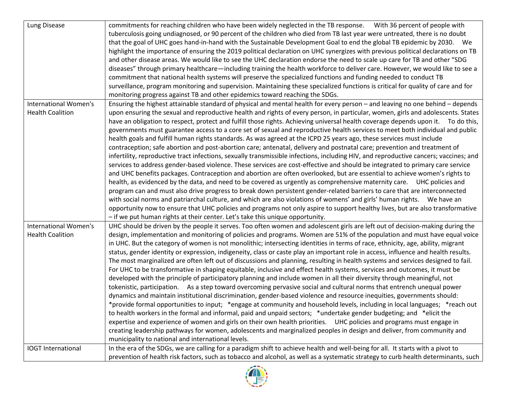| Lung Disease                 | commitments for reaching children who have been widely neglected in the TB response.  With 36 percent of people with                  |
|------------------------------|---------------------------------------------------------------------------------------------------------------------------------------|
|                              | tuberculosis going undiagnosed, or 90 percent of the children who died from TB last year were untreated, there is no doubt            |
|                              | that the goal of UHC goes hand-in-hand with the Sustainable Development Goal to end the global TB epidemic by 2030. We                |
|                              | highlight the importance of ensuring the 2019 political declaration on UHC synergizes with previous political declarations on TB      |
|                              | and other disease areas. We would like to see the UHC declaration endorse the need to scale up care for TB and other "SDG             |
|                              | diseases" through primary healthcare—including training the health workforce to deliver care. However, we would like to see a         |
|                              | commitment that national health systems will preserve the specialized functions and funding needed to conduct TB                      |
|                              | surveillance, program monitoring and supervision. Maintaining these specialized functions is critical for quality of care and for     |
|                              | monitoring progress against TB and other epidemics toward reaching the SDGs.                                                          |
| <b>International Women's</b> | Ensuring the highest attainable standard of physical and mental health for every person - and leaving no one behind - depends         |
| <b>Health Coalition</b>      | upon ensuring the sexual and reproductive health and rights of every person, in particular, women, girls and adolescents. States      |
|                              | have an obligation to respect, protect and fulfill those rights. Achieving universal health coverage depends upon it. To do this,     |
|                              | governments must guarantee access to a core set of sexual and reproductive health services to meet both individual and public         |
|                              | health goals and fulfill human rights standards. As was agreed at the ICPD 25 years ago, these services must include                  |
|                              | contraception; safe abortion and post-abortion care; antenatal, delivery and postnatal care; prevention and treatment of              |
|                              | infertility, reproductive tract infections, sexually transmissible infections, including HIV, and reproductive cancers; vaccines; and |
|                              | services to address gender-based violence. These services are cost-effective and should be integrated to primary care service         |
|                              | and UHC benefits packages. Contraception and abortion are often overlooked, but are essential to achieve women's rights to            |
|                              | health, as evidenced by the data, and need to be covered as urgently as comprehensive maternity care.  UHC policies and               |
|                              | program can and must also drive progress to break down persistent gender-related barriers to care that are interconnected             |
|                              | with social norms and patriarchal culture, and which are also violations of womens' and girls' human rights.  We have an              |
|                              | opportunity now to ensure that UHC policies and programs not only aspire to support healthy lives, but are also transformative        |
|                              | - if we put human rights at their center. Let's take this unique opportunity.                                                         |
| International Women's        | UHC should be driven by the people it serves. Too often women and adolescent girls are left out of decision-making during the         |
| <b>Health Coalition</b>      | design, implementation and monitoring of policies and programs. Women are 51% of the population and must have equal voice             |
|                              | in UHC. But the category of women is not monolithic; intersecting identities in terms of race, ethnicity, age, ability, migrant       |
|                              | status, gender identity or expression, indigeneity, class or caste play an important role in access, influence and health results.    |
|                              | The most marginalized are often left out of discussions and planning, resulting in health systems and services designed to fail.      |
|                              | For UHC to be transformative in shaping equitable, inclusive and effect health systems, services and outcomes, it must be             |
|                              | developed with the principle of participatory planning and include women in all their diversity through meaningful, not               |
|                              | tokenistic, participation. As a step toward overcoming pervasive social and cultural norms that entrench unequal power                |
|                              | dynamics and maintain institutional discrimination, gender-based violence and resource inequities, governments should:                |
|                              | *provide formal opportunities to input; *engage at community and household levels, including in local languages; *reach out           |
|                              | to health workers in the formal and informal, paid and unpaid sectors; *undertake gender budgeting; and *elicit the                   |
|                              | expertise and experience of women and girls on their own health priorities. UHC policies and programs must engage in                  |
|                              | creating leadership pathways for women, adolescents and marginalized peoples in design and deliver, from community and                |
|                              | municipality to national and international levels.                                                                                    |
| <b>IOGT</b> International    | In the era of the SDGs, we are calling for a paradigm shift to achieve health and well-being for all. It starts with a pivot to       |
|                              | prevention of health risk factors, such as tobacco and alcohol, as well as a systematic strategy to curb health determinants, such    |
|                              |                                                                                                                                       |

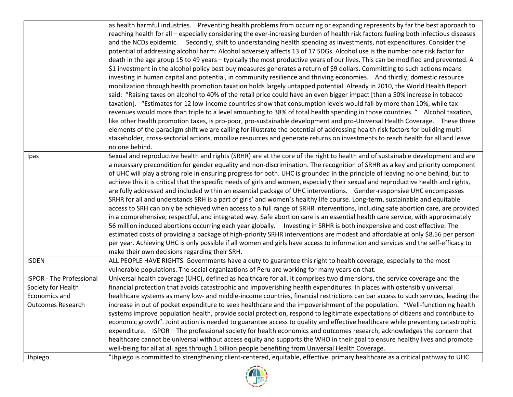|                                 | as health harmful industries. Preventing health problems from occurring or expanding represents by far the best approach to<br>reaching health for all - especially considering the ever-increasing burden of health risk factors fueling both infectious diseases<br>and the NCDs epidemic. Secondly, shift to understanding health spending as investments, not expenditures. Consider the<br>potential of addressing alcohol harm: Alcohol adversely affects 13 of 17 SDGs. Alcohol use is the number one risk factor for<br>death in the age group 15 to 49 years – typically the most productive years of our lives. This can be modified and prevented. A<br>\$1 investment in the alcohol policy best buy measures generates a return of \$9 dollars. Committing to such actions means<br>investing in human capital and potential, in community resilience and thriving economies. And thirdly, domestic resource<br>mobilization through health promotion taxation holds largely untapped potential. Already in 2010, the World Health Report<br>said: "Raising taxes on alcohol to 40% of the retail price could have an even bigger impact [than a 50% increase in tobacco                                                                                                                                                                                                                                                                                                                                    |
|---------------------------------|--------------------------------------------------------------------------------------------------------------------------------------------------------------------------------------------------------------------------------------------------------------------------------------------------------------------------------------------------------------------------------------------------------------------------------------------------------------------------------------------------------------------------------------------------------------------------------------------------------------------------------------------------------------------------------------------------------------------------------------------------------------------------------------------------------------------------------------------------------------------------------------------------------------------------------------------------------------------------------------------------------------------------------------------------------------------------------------------------------------------------------------------------------------------------------------------------------------------------------------------------------------------------------------------------------------------------------------------------------------------------------------------------------------------------------------------------------------------------------------------------------------------------|
|                                 | taxation]. "Estimates for 12 low-income countries show that consumption levels would fall by more than 10%, while tax<br>revenues would more than triple to a level amounting to 38% of total health spending in those countries. " Alcohol taxation,<br>like other health promotion taxes, is pro-poor, pro-sustainable development and pro-Universal Health Coverage. These three<br>elements of the paradigm shift we are calling for illustrate the potential of addressing health risk factors for building multi-                                                                                                                                                                                                                                                                                                                                                                                                                                                                                                                                                                                                                                                                                                                                                                                                                                                                                                                                                                                                  |
|                                 | stakeholder, cross-sectorial actions, mobilize resources and generate returns on investments to reach health for all and leave<br>no one behind.                                                                                                                                                                                                                                                                                                                                                                                                                                                                                                                                                                                                                                                                                                                                                                                                                                                                                                                                                                                                                                                                                                                                                                                                                                                                                                                                                                         |
| Ipas                            | Sexual and reproductive health and rights (SRHR) are at the core of the right to health and of sustainable development and are<br>a necessary precondition for gender equality and non-discrimination. The recognition of SRHR as a key and priority component<br>of UHC will play a strong role in ensuring progress for both. UHC is grounded in the principle of leaving no one behind, but to<br>achieve this it is critical that the specific needs of girls and women, especially their sexual and reproductive health and rights,<br>are fully addressed and included within an essential package of UHC interventions. Gender-responsive UHC encompasses<br>SRHR for all and understands SRH is a part of girls' and women's healthy life course. Long-term, sustainable and equitable<br>access to SRH can only be achieved when access to a full range of SRHR interventions, including safe abortion care, are provided<br>in a comprehensive, respectful, and integrated way. Safe abortion care is an essential health care service, with approximately<br>56 million induced abortions occurring each year globally.  Investing in SRHR is both inexpensive and cost effective: The<br>estimated costs of providing a package of high-priority SRHR interventions are modest and affordable at only \$8.56 per person<br>per year. Achieving UHC is only possible if all women and girls have access to information and services and the self-efficacy to<br>make their own decisions regarding their SRH. |
| <b>ISDEN</b>                    | ALL PEOPLE HAVE RIGHTS. Governments have a duty to guarantee this right to health coverage, especially to the most<br>vulnerable populations. The social organizations of Peru are working for many years on that.                                                                                                                                                                                                                                                                                                                                                                                                                                                                                                                                                                                                                                                                                                                                                                                                                                                                                                                                                                                                                                                                                                                                                                                                                                                                                                       |
| <b>ISPOR - The Professional</b> | Universal health coverage (UHC), defined as healthcare for all, it comprises two dimensions, the service coverage and the                                                                                                                                                                                                                                                                                                                                                                                                                                                                                                                                                                                                                                                                                                                                                                                                                                                                                                                                                                                                                                                                                                                                                                                                                                                                                                                                                                                                |
| Society for Health              | financial protection that avoids catastrophic and impoverishing health expenditures. In places with ostensibly universal                                                                                                                                                                                                                                                                                                                                                                                                                                                                                                                                                                                                                                                                                                                                                                                                                                                                                                                                                                                                                                                                                                                                                                                                                                                                                                                                                                                                 |
| Economics and                   | healthcare systems as many low- and middle-income countries, financial restrictions can bar access to such services, leading the                                                                                                                                                                                                                                                                                                                                                                                                                                                                                                                                                                                                                                                                                                                                                                                                                                                                                                                                                                                                                                                                                                                                                                                                                                                                                                                                                                                         |
| <b>Outcomes Research</b>        | increase in out of pocket expenditure to seek healthcare and the impoverishment of the population. "Well-functioning health                                                                                                                                                                                                                                                                                                                                                                                                                                                                                                                                                                                                                                                                                                                                                                                                                                                                                                                                                                                                                                                                                                                                                                                                                                                                                                                                                                                              |
|                                 | systems improve population health, provide social protection, respond to legitimate expectations of citizens and contribute to                                                                                                                                                                                                                                                                                                                                                                                                                                                                                                                                                                                                                                                                                                                                                                                                                                                                                                                                                                                                                                                                                                                                                                                                                                                                                                                                                                                           |
|                                 | economic growth". Joint action is needed to guarantee access to quality and effective healthcare while preventing catastrophic                                                                                                                                                                                                                                                                                                                                                                                                                                                                                                                                                                                                                                                                                                                                                                                                                                                                                                                                                                                                                                                                                                                                                                                                                                                                                                                                                                                           |
|                                 | expenditure. ISPOR - The professional society for health economics and outcomes research, acknowledges the concern that                                                                                                                                                                                                                                                                                                                                                                                                                                                                                                                                                                                                                                                                                                                                                                                                                                                                                                                                                                                                                                                                                                                                                                                                                                                                                                                                                                                                  |
|                                 | healthcare cannot be universal without access equity and supports the WHO in their goal to ensure healthy lives and promote<br>well-being for all at all ages through 1 billion people benefiting from Universal Health Coverage.                                                                                                                                                                                                                                                                                                                                                                                                                                                                                                                                                                                                                                                                                                                                                                                                                                                                                                                                                                                                                                                                                                                                                                                                                                                                                        |
| Jhpiego                         | "Jhpiego is committed to strengthening client-centered, equitable, effective primary healthcare as a critical pathway to UHC.                                                                                                                                                                                                                                                                                                                                                                                                                                                                                                                                                                                                                                                                                                                                                                                                                                                                                                                                                                                                                                                                                                                                                                                                                                                                                                                                                                                            |

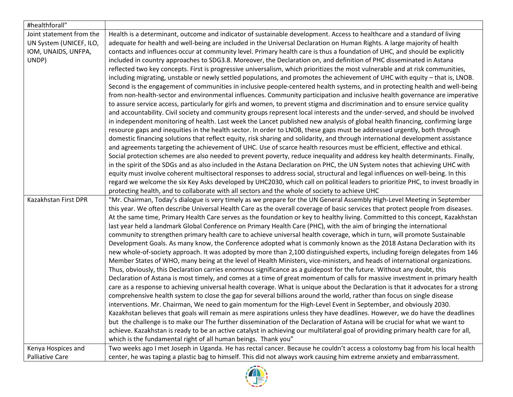| #healthforall"           |                                                                                                                                    |
|--------------------------|------------------------------------------------------------------------------------------------------------------------------------|
| Joint statement from the | Health is a determinant, outcome and indicator of sustainable development. Access to healthcare and a standard of living           |
| UN System (UNICEF, ILO,  | adequate for health and well-being are included in the Universal Declaration on Human Rights. A large majority of health           |
| IOM, UNAIDS, UNFPA,      | contacts and influences occur at community level. Primary health care is thus a foundation of UHC, and should be explicitly        |
| UNDP)                    | included in country approaches to SDG3.8. Moreover, the Declaration on, and definition of PHC disseminated in Astana               |
|                          | reflected two key concepts. First is progressive universalism, which prioritizes the most vulnerable and at risk communities,      |
|                          | including migrating, unstable or newly settled populations, and promotes the achievement of UHC with equity - that is, LNOB.       |
|                          | Second is the engagement of communities in inclusive people-centered health systems, and in protecting health and well-being       |
|                          | from non-health-sector and environmental influences. Community participation and inclusive health governance are imperative        |
|                          | to assure service access, particularly for girls and women, to prevent stigma and discrimination and to ensure service quality     |
|                          | and accountability. Civil society and community groups represent local interests and the under-served, and should be involved      |
|                          | in independent monitoring of health. Last week the Lancet published new analysis of global health financing, confirming large      |
|                          | resource gaps and inequities in the health sector. In order to LNOB, these gaps must be addressed urgently, both through           |
|                          | domestic financing solutions that reflect equity, risk sharing and solidarity, and through international development assistance    |
|                          | and agreements targeting the achievement of UHC. Use of scarce health resources must be efficient, effective and ethical.          |
|                          | Social protection schemes are also needed to prevent poverty, reduce inequality and address key health determinants. Finally,      |
|                          | in the spirit of the SDGs and as also included in the Astana Declaration on PHC, the UN System notes that achieving UHC with       |
|                          | equity must involve coherent multisectoral responses to address social, structural and legal influences on well-being. In this     |
|                          | regard we welcome the six Key Asks developed by UHC2030, which call on political leaders to prioritize PHC, to invest broadly in   |
|                          | protecting health, and to collaborate with all sectors and the whole of society to achieve UHC                                     |
| Kazakhstan First DPR     | "Mr. Chairman, Today's dialogue is very timely as we prepare for the UN General Assembly High-Level Meeting in September           |
|                          | this year. We often describe Universal Health Care as the overall coverage of basic services that protect people from diseases.    |
|                          | At the same time, Primary Health Care serves as the foundation or key to healthy living. Committed to this concept, Kazakhstan     |
|                          | last year held a landmark Global Conference on Primary Health Care (PHC), with the aim of bringing the international               |
|                          | community to strengthen primary health care to achieve universal health coverage, which in turn, will promote Sustainable          |
|                          | Development Goals. As many know, the Conference adopted what is commonly known as the 2018 Astana Declaration with its             |
|                          | new whole-of-society approach. It was adopted by more than 2,100 distinguished experts, including foreign delegates from 146       |
|                          | Member States of WHO, many being at the level of Health Ministers, vice-ministers, and heads of international organizations.       |
|                          | Thus, obviously, this Declaration carries enormous significance as a guidepost for the future. Without any doubt, this             |
|                          | Declaration of Astana is most timely, and comes at a time of great momentum of calls for massive investment in primary health      |
|                          | care as a response to achieving universal health coverage. What is unique about the Declaration is that it advocates for a strong  |
|                          | comprehensive health system to close the gap for several billions around the world, rather than focus on single disease            |
|                          | interventions. Mr. Chairman, We need to gain momentum for the High-Level Event in September, and obviously 2030.                   |
|                          | Kazakhstan believes that goals will remain as mere aspirations unless they have deadlines. However, we do have the deadlines       |
|                          | but the challenge is to make our The further dissemination of the Declaration of Astana will be crucial for what we want to        |
|                          | achieve. Kazakhstan is ready to be an active catalyst in achieving our multilateral goal of providing primary health care for all, |
|                          | which is the fundamental right of all human beings. Thank you"                                                                     |
| Kenya Hospices and       | Two weeks ago I met Joseph in Uganda. He has rectal cancer. Because he couldn't access a colostomy bag from his local health       |
| <b>Palliative Care</b>   | center, he was taping a plastic bag to himself. This did not always work causing him extreme anxiety and embarrassment.            |

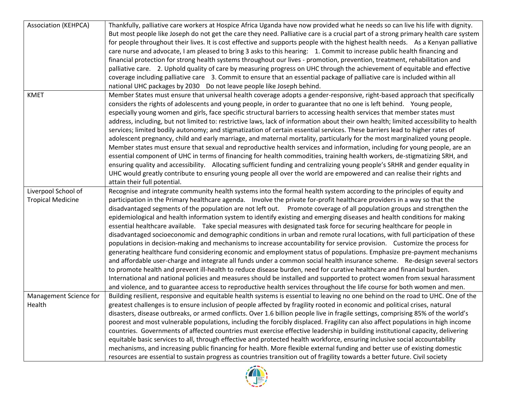| <b>Association (KEHPCA)</b> | Thankfully, palliative care workers at Hospice Africa Uganda have now provided what he needs so can live his life with dignity.       |
|-----------------------------|---------------------------------------------------------------------------------------------------------------------------------------|
|                             | But most people like Joseph do not get the care they need. Palliative care is a crucial part of a strong primary health care system   |
|                             | for people throughout their lives. It is cost effective and supports people with the highest health needs. As a Kenyan palliative     |
|                             | care nurse and advocate, I am pleased to bring 3 asks to this hearing: 1. Commit to increase public health financing and              |
|                             | financial protection for strong health systems throughout our lives - promotion, prevention, treatment, rehabilitation and            |
|                             | palliative care. 2. Uphold quality of care by measuring progress on UHC through the achievement of equitable and effective            |
|                             | coverage including palliative care 3. Commit to ensure that an essential package of palliative care is included within all            |
|                             | national UHC packages by 2030  Do not leave people like Joseph behind.                                                                |
| <b>KMET</b>                 | Member States must ensure that universal health coverage adopts a gender-responsive, right-based approach that specifically           |
|                             | considers the rights of adolescents and young people, in order to guarantee that no one is left behind. Young people,                 |
|                             | especially young women and girls, face specific structural barriers to accessing health services that member states must              |
|                             | address, including, but not limited to: restrictive laws, lack of information about their own health; limited accessibility to health |
|                             | services; limited bodily autonomy; and stigmatization of certain essential services. These barriers lead to higher rates of           |
|                             | adolescent pregnancy, child and early marriage, and maternal mortality, particularly for the most marginalized young people.          |
|                             | Member states must ensure that sexual and reproductive health services and information, including for young people, are an            |
|                             | essential component of UHC in terms of financing for health commodities, training health workers, de-stigmatizing SRH, and            |
|                             | ensuring quality and accessibility. Allocating sufficient funding and centralizing young people's SRHR and gender equality in         |
|                             | UHC would greatly contribute to ensuring young people all over the world are empowered and can realise their rights and               |
|                             | attain their full potential.                                                                                                          |
| Liverpool School of         | Recognise and integrate community health systems into the formal health system according to the principles of equity and              |
| <b>Tropical Medicine</b>    | participation in the Primary healthcare agenda. Involve the private for-profit healthcare providers in a way so that the              |
|                             | disadvantaged segments of the population are not left out. Promote coverage of all population groups and strengthen the               |
|                             | epidemiological and health information system to identify existing and emerging diseases and health conditions for making             |
|                             | essential healthcare available.  Take special measures with designated task force for securing healthcare for people in               |
|                             | disadvantaged socioeconomic and demographic conditions in urban and remote rural locations, with full participation of these          |
|                             | populations in decision-making and mechanisms to increase accountability for service provision. Customize the process for             |
|                             | generating healthcare fund considering economic and employment status of populations. Emphasize pre-payment mechanisms                |
|                             | and affordable user-charge and integrate all funds under a common social health insurance scheme. Re-design several sectors           |
|                             | to promote health and prevent ill-health to reduce disease burden, need for curative healthcare and financial burden.                 |
|                             | International and national policies and measures should be installed and supported to protect women from sexual harassment            |
|                             | and violence, and to guarantee access to reproductive health services throughout the life course for both women and men.              |
| Management Science for      | Building resilient, responsive and equitable health systems is essential to leaving no one behind on the road to UHC. One of the      |
| Health                      | greatest challenges is to ensure inclusion of people affected by fragility rooted in economic and political crises, natural           |
|                             | disasters, disease outbreaks, or armed conflicts. Over 1.6 billion people live in fragile settings, comprising 85% of the world's     |
|                             | poorest and most vulnerable populations, including the forcibly displaced. Fragility can also affect populations in high income       |
|                             | countries. Governments of affected countries must exercise effective leadership in building institutional capacity, delivering        |
|                             | equitable basic services to all, through effective and protected health workforce, ensuring inclusive social accountability           |
|                             | mechanisms, and increasing public financing for health. More flexible external funding and better use of existing domestic            |
|                             | resources are essential to sustain progress as countries transition out of fragility towards a better future. Civil society           |
|                             |                                                                                                                                       |

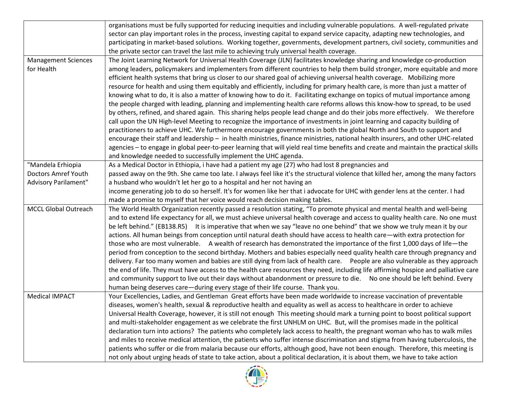|                             | organisations must be fully supported for reducing inequities and including vulnerable populations. A well-regulated private         |
|-----------------------------|--------------------------------------------------------------------------------------------------------------------------------------|
|                             | sector can play important roles in the process, investing capital to expand service capacity, adapting new technologies, and         |
|                             | participating in market-based solutions. Working together, governments, development partners, civil society, communities and         |
|                             | the private sector can travel the last mile to achieving truly universal health coverage.                                            |
| <b>Management Sciences</b>  | The Joint Learning Network for Universal Health Coverage (JLN) facilitates knowledge sharing and knowledge co-production             |
| for Health                  | among leaders, policymakers and implementers from different countries to help them build stronger, more equitable and more           |
|                             | efficient health systems that bring us closer to our shared goal of achieving universal health coverage. Mobilizing more             |
|                             | resource for health and using them equitably and efficiently, including for primary health care, is more than just a matter of       |
|                             | knowing what to do, it is also a matter of knowing how to do it. Facilitating exchange on topics of mutual importance among          |
|                             | the people charged with leading, planning and implementing health care reforms allows this know-how to spread, to be used            |
|                             | by others, refined, and shared again. This sharing helps people lead change and do their jobs more effectively. We therefore         |
|                             | call upon the UN High-level Meeting to recognize the importance of investments in joint learning and capacity building of            |
|                             | practitioners to achieve UHC. We furthermore encourage governments in both the global North and South to support and                 |
|                             | encourage their staff and leadership - in health ministries, finance ministries, national health insurers, and other UHC-related     |
|                             | agencies - to engage in global peer-to-peer learning that will yield real time benefits and create and maintain the practical skills |
|                             | and knowledge needed to successfully implement the UHC agenda.                                                                       |
| "Mandela Erhiopia           | As a Medical Doctor in Ethiopia, i have had a patient my age (27) who had lost 8 pregnancies and                                     |
| <b>Doctors Amref Youth</b>  | passed away on the 9th. She came too late. I always feel like it's the structural violence that killed her, among the many factors   |
| <b>Advisory Parilament"</b> | a husband who wouldn't let her go to a hospital and her not having an                                                                |
|                             | income generating job to do so herself. It's for women like her that i advocate for UHC with gender lens at the center. I had        |
|                             | made a promise to myself that her voice would reach decision making tables.                                                          |
| <b>MCCL Global Outreach</b> | The World Health Organization recently passed a resolution stating, "To promote physical and mental health and well-being            |
|                             | and to extend life expectancy for all, we must achieve universal health coverage and access to quality health care. No one must      |
|                             | be left behind." (EB138.R5) It is imperative that when we say "leave no one behind" that we show we truly mean it by our             |
|                             | actions. All human beings from conception until natural death should have access to health care—with extra protection for            |
|                             | those who are most vulnerable. A wealth of research has demonstrated the importance of the first 1,000 days of life-the              |
|                             | period from conception to the second birthday. Mothers and babies especially need quality health care through pregnancy and          |
|                             | delivery. Far too many women and babies are still dying from lack of health care.  People are also vulnerable as they approach       |
|                             | the end of life. They must have access to the health care resources they need, including life affirming hospice and palliative care  |
|                             | and community support to live out their days without abandonment or pressure to die. No one should be left behind. Every             |
|                             | human being deserves care-during every stage of their life course. Thank you.                                                        |
| <b>Medical IMPACT</b>       | Your Excellencies, Ladies, and Gentleman Great efforts have been made worldwide to increase vaccination of preventable               |
|                             | diseases, women's health, sexual & reproductive health and equality as well as access to healthcare in order to achieve              |
|                             | Universal Health Coverage, however, it is still not enough This meeting should mark a turning point to boost political support       |
|                             | and multi-stakeholder engagement as we celebrate the first UNHLM on UHC. But, will the promises made in the political                |
|                             | declaration turn into actions? The patients who completely lack access to health, the pregnant woman who has to walk miles           |
|                             | and miles to receive medical attention, the patients who suffer intense discrimination and stigma from having tuberculosis, the      |
|                             | patients who suffer or die from malaria because our efforts, although good, have not been enough. Therefore, this meeting is         |
|                             | not only about urging heads of state to take action, about a political declaration, it is about them, we have to take action         |

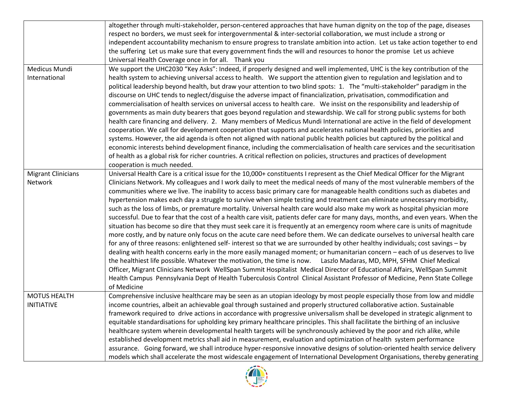|                           | altogether through multi-stakeholder, person-centered approaches that have human dignity on the top of the page, diseases         |
|---------------------------|-----------------------------------------------------------------------------------------------------------------------------------|
|                           | respect no borders, we must seek for intergovernmental & inter-sectorial collaboration, we must include a strong or               |
|                           | independent accountability mechanism to ensure progress to translate ambition into action. Let us take action together to end     |
|                           | the suffering Let us make sure that every government finds the will and resources to honor the promise Let us achieve             |
|                           | Universal Health Coverage once in for all. Thank you                                                                              |
| Medicus Mundi             | We support the UHC2030 "Key Asks": Indeed, if properly designed and well implemented, UHC is the key contribution of the          |
| International             | health system to achieving universal access to health. We support the attention given to regulation and legislation and to        |
|                           | political leadership beyond health, but draw your attention to two blind spots: 1. The "multi-stakeholder" paradigm in the        |
|                           | discourse on UHC tends to neglect/disguise the adverse impact of financialization, privatisation, commodification and             |
|                           | commercialisation of health services on universal access to health care. We insist on the responsibility and leadership of        |
|                           | governments as main duty bearers that goes beyond regulation and stewardship. We call for strong public systems for both          |
|                           | health care financing and delivery. 2. Many members of Medicus Mundi International are active in the field of development         |
|                           | cooperation. We call for development cooperation that supports and accelerates national health policies, priorities and           |
|                           | systems. However, the aid agenda is often not aligned with national public health policies but captured by the political and      |
|                           | economic interests behind development finance, including the commercialisation of health care services and the securitisation     |
|                           | of health as a global risk for richer countries. A critical reflection on policies, structures and practices of development       |
|                           | cooperation is much needed.                                                                                                       |
| <b>Migrant Clinicians</b> | Universal Health Care is a critical issue for the 10,000+ constituents I represent as the Chief Medical Officer for the Migrant   |
| Network                   | Clinicians Network. My colleagues and I work daily to meet the medical needs of many of the most vulnerable members of the        |
|                           | communities where we live. The inability to access basic primary care for manageable health conditions such as diabetes and       |
|                           | hypertension makes each day a struggle to survive when simple testing and treatment can eliminate unnecessary morbidity,          |
|                           | such as the loss of limbs, or premature mortality. Universal health care would also make my work as hospital physician more       |
|                           | successful. Due to fear that the cost of a health care visit, patients defer care for many days, months, and even years. When the |
|                           | situation has become so dire that they must seek care it is frequently at an emergency room where care is units of magnitude      |
|                           | more costly, and by nature only focus on the acute care need before them. We can dedicate ourselves to universal health care      |
|                           | for any of three reasons: enlightened self- interest so that we are surrounded by other healthy individuals; cost savings - by    |
|                           | dealing with health concerns early in the more easily managed moment; or humanitarian concern – each of us deserves to live       |
|                           | the healthiest life possible. Whatever the motivation, the time is now. Laszlo Madaras, MD, MPH, SFHM Chief Medical               |
|                           | Officer, Migrant Clinicians Network WellSpan Summit Hospitalist Medical Director of Educational Affairs, WellSpan Summit          |
|                           | Health Campus Pennsylvania Dept of Health Tuberculosis Control Clinical Assistant Professor of Medicine, Penn State College       |
|                           | of Medicine                                                                                                                       |
| <b>MOTUS HEALTH</b>       | Comprehensive inclusive healthcare may be seen as an utopian ideology by most people especially those from low and middle         |
| <b>INITIATIVE</b>         | income countries, albeit an achievable goal through sustained and properly structured collaborative action. Sustainable           |
|                           | framework required to drive actions in accordance with progressive universalism shall be developed in strategic alignment to      |
|                           | equitable standardisations for upholding key primary healthcare principles. This shall facilitate the birthing of an inclusive    |
|                           | healthcare system wherein developmental health targets will be synchronously achieved by the poor and rich alike, while           |
|                           | established development metrics shall aid in measurement, evaluation and optimization of health system performance                |
|                           | assurance. Going forward, we shall introduce hyper-responsive innovative designs of solution-oriented health service delivery     |
|                           | models which shall accelerate the most widescale engagement of International Development Organisations, thereby generating        |

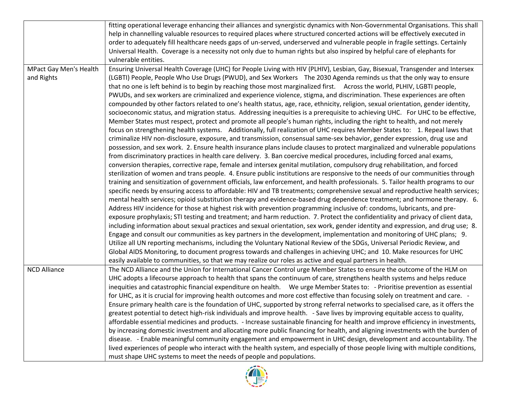|                        | fitting operational leverage enhancing their alliances and synergistic dynamics with Non-Governmental Organisations. This shall  |
|------------------------|----------------------------------------------------------------------------------------------------------------------------------|
|                        | help in channelling valuable resources to required places where structured concerted actions will be effectively executed in     |
|                        | order to adequately fill healthcare needs gaps of un-served, underserved and vulnerable people in fragile settings. Certainly    |
|                        | Universal Health. Coverage is a necessity not only due to human rights but also inspired by helpful care of elephants for        |
|                        | vulnerable entities.                                                                                                             |
| MPact Gay Men's Health | Ensuring Universal Health Coverage (UHC) for People Living with HIV (PLHIV), Lesbian, Gay, Bisexual, Transgender and Intersex    |
| and Rights             | (LGBTI) People, People Who Use Drugs (PWUD), and Sex Workers The 2030 Agenda reminds us that the only way to ensure              |
|                        | that no one is left behind is to begin by reaching those most marginalized first. Across the world, PLHIV, LGBTI people,         |
|                        | PWUDs, and sex workers are criminalized and experience violence, stigma, and discrimination. These experiences are often         |
|                        | compounded by other factors related to one's health status, age, race, ethnicity, religion, sexual orientation, gender identity, |
|                        | socioeconomic status, and migration status. Addressing inequities is a prerequisite to achieving UHC. For UHC to be effective,   |
|                        | Member States must respect, protect and promote all people's human rights, including the right to health, and not merely         |
|                        |                                                                                                                                  |
|                        | focus on strengthening health systems. Additionally, full realization of UHC requires Member States to: 1. Repeal laws that      |
|                        | criminalize HIV non-disclosure, exposure, and transmission, consensual same-sex behavior, gender expression, drug use and        |
|                        | possession, and sex work. 2. Ensure health insurance plans include clauses to protect marginalized and vulnerable populations    |
|                        | from discriminatory practices in health care delivery. 3. Ban coercive medical procedures, including forced anal exams,          |
|                        | conversion therapies, corrective rape, female and intersex genital mutilation, compulsory drug rehabilitation, and forced        |
|                        | sterilization of women and trans people. 4. Ensure public institutions are responsive to the needs of our communities through    |
|                        | training and sensitization of government officials, law enforcement, and health professionals. 5. Tailor health programs to our  |
|                        | specific needs by ensuring access to affordable: HIV and TB treatments; comprehensive sexual and reproductive health services;   |
|                        | mental health services; opioid substitution therapy and evidence-based drug dependence treatment; and hormone therapy. 6.        |
|                        | Address HIV incidence for those at highest risk with prevention programming inclusive of: condoms, lubricants, and pre-          |
|                        | exposure prophylaxis; STI testing and treatment; and harm reduction. 7. Protect the confidentiality and privacy of client data,  |
|                        | including information about sexual practices and sexual orientation, sex work, gender identity and expression, and drug use; 8.  |
|                        | Engage and consult our communities as key partners in the development, implementation and monitoring of UHC plans; 9.            |
|                        | Utilize all UN reporting mechanisms, including the Voluntary National Review of the SDGs, Universal Periodic Review, and         |
|                        | Global AIDS Monitoring, to document progress towards and challenges in achieving UHC; and 10. Make resources for UHC             |
|                        | easily available to communities, so that we may realize our roles as active and equal partners in health.                        |
| <b>NCD Alliance</b>    | The NCD Alliance and the Union for International Cancer Control urge Member States to ensure the outcome of the HLM on           |
|                        | UHC adopts a lifecourse approach to health that spans the continuum of care, strengthens health systems and helps reduce         |
|                        | inequities and catastrophic financial expenditure on health.  We urge Member States to: - Prioritise prevention as essential     |
|                        | for UHC, as it is crucial for improving health outcomes and more cost effective than focusing solely on treatment and care. -    |
|                        | Ensure primary health care is the foundation of UHC, supported by strong referral networks to specialised care, as it offers the |
|                        | greatest potential to detect high-risk individuals and improve health. - Save lives by improving equitable access to quality,    |
|                        | affordable essential medicines and products. - Increase sustainable financing for health and improve efficiency in investments,  |
|                        | by increasing domestic investment and allocating more public financing for health, and aligning investments with the burden of   |
|                        | disease. - Enable meaningful community engagement and empowerment in UHC design, development and accountability. The             |
|                        | lived experiences of people who interact with the health system, and especially of those people living with multiple conditions, |
|                        | must shape UHC systems to meet the needs of people and populations.                                                              |

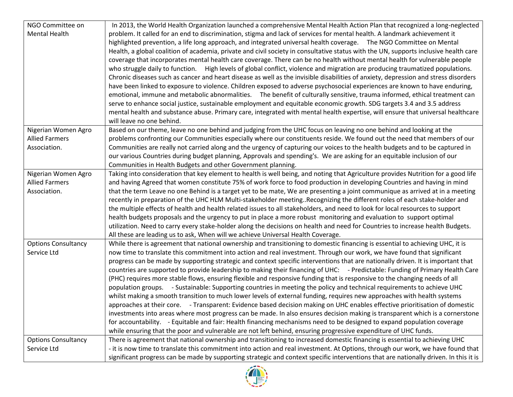| NGO Committee on           | In 2013, the World Health Organization launched a comprehensive Mental Health Action Plan that recognized a long-neglected            |
|----------------------------|---------------------------------------------------------------------------------------------------------------------------------------|
| <b>Mental Health</b>       | problem. It called for an end to discrimination, stigma and lack of services for mental health. A landmark achievement it             |
|                            | highlighted prevention, a life long approach, and integrated universal health coverage.  The NGO Committee on Mental                  |
|                            | Health, a global coalition of academia, private and civil society in consultative status with the UN, supports inclusive health care  |
|                            | coverage that incorporates mental health care coverage. There can be no health without mental health for vulnerable people            |
|                            | who struggle daily to function. High levels of global conflict, violence and migration are producing traumatized populations.         |
|                            | Chronic diseases such as cancer and heart disease as well as the invisible disabilities of anxiety, depression and stress disorders   |
|                            | have been linked to exposure to violence. Children exposed to adverse psychosocial experiences are known to have enduring,            |
|                            | emotional, immune and metabolic abnormalities. The benefit of culturally sensitive, trauma informed, ethical treatment can            |
|                            | serve to enhance social justice, sustainable employment and equitable economic growth. SDG targets 3.4 and 3.5 address                |
|                            | mental health and substance abuse. Primary care, integrated with mental health expertise, will ensure that universal healthcare       |
|                            | will leave no one behind.                                                                                                             |
| Nigerian Women Agro        | Based on our theme, leave no one behind and judging from the UHC focus on leaving no one behind and looking at the                    |
| <b>Allied Farmers</b>      | problems confronting our Communities especially where our constituents reside. We found out the need that members of our              |
| Association.               | Communities are really not carried along and the urgency of capturing our voices to the health budgets and to be captured in          |
|                            | our various Countries during budget planning, Approvals and spending's. We are asking for an equitable inclusion of our               |
|                            | Communities in Health Budgets and other Government planning.                                                                          |
| Nigerian Women Agro        | Taking into consideration that key element to health is well being, and noting that Agriculture provides Nutrition for a good life    |
| <b>Allied Farmers</b>      | and having Agreed that women constitute 75% of work force to food production in developing Countries and having in mind               |
| Association.               | that the term Leave no one Behind is a target yet to be mate, We are presenting a joint communique as arrived at in a meeting         |
|                            | recently in preparation of the UHC HLM Multi-stakeholder meeting. Recognizing the different roles of each stake-holder and            |
|                            | the multiple effects of health and health related issues to all stakeholders, and need to look for local resources to support         |
|                            | health budgets proposals and the urgency to put in place a more robust monitoring and evaluation to support optimal                   |
|                            | utilization. Need to carry every stake-holder along the decisions on health and need for Countries to increase health Budgets.        |
|                            | All these are leading us to ask, When will we achieve Universal Health Coverage.                                                      |
| <b>Options Consultancy</b> | While there is agreement that national ownership and transitioning to domestic financing is essential to achieving UHC, it is         |
| Service Ltd                | now time to translate this commitment into action and real investment. Through our work, we have found that significant               |
|                            | progress can be made by supporting strategic and context specific interventions that are nationally driven. It is important that      |
|                            | countries are supported to provide leadership to making their financing of UHC: - Predictable: Funding of Primary Health Care         |
|                            | (PHC) requires more stable flows, ensuring flexible and responsive funding that is responsive to the changing needs of all            |
|                            | population groups. - Sustainable: Supporting countries in meeting the policy and technical requirements to achieve UHC                |
|                            | whilst making a smooth transition to much lower levels of external funding, requires new approaches with health systems               |
|                            | approaches at their core. - Transparent: Evidence based decision making on UHC enables effective prioritisation of domestic           |
|                            | investments into areas where most progress can be made. In also ensures decision making is transparent which is a cornerstone         |
|                            | for accountability. - Equitable and fair: Health financing mechanisms need to be designed to expand population coverage               |
|                            | while ensuring that the poor and vulnerable are not left behind, ensuring progressive expenditure of UHC funds.                       |
| <b>Options Consultancy</b> | There is agreement that national ownership and transitioning to increased domestic financing is essential to achieving UHC            |
| Service Ltd                | - it is now time to translate this commitment into action and real investment. At Options, through our work, we have found that       |
|                            | significant progress can be made by supporting strategic and context specific interventions that are nationally driven. In this it is |

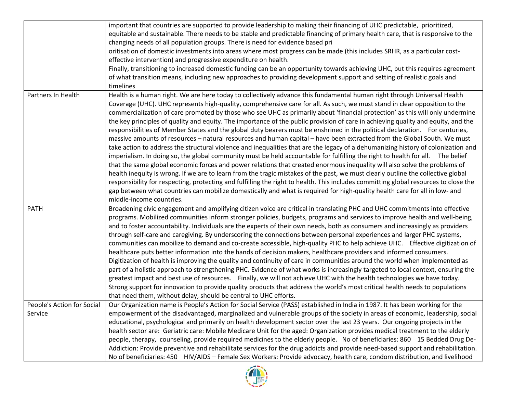|                                       | important that countries are supported to provide leadership to making their financing of UHC predictable, prioritized,<br>equitable and sustainable. There needs to be stable and predictable financing of primary health care, that is responsive to the<br>changing needs of all population groups. There is need for evidence based pri<br>oritisation of domestic investments into areas where most progress can be made (this includes SRHR, as a particular cost-<br>effective intervention) and progressive expenditure on health.<br>Finally, transitioning to increased domestic funding can be an opportunity towards achieving UHC, but this requires agreement<br>of what transition means, including new approaches to providing development support and setting of realistic goals and<br>timelines                                                                                                                                                                                                                                                                                                                                                                                                                                                                                                                                                                                                                                                                                                                                                                                                                |
|---------------------------------------|-----------------------------------------------------------------------------------------------------------------------------------------------------------------------------------------------------------------------------------------------------------------------------------------------------------------------------------------------------------------------------------------------------------------------------------------------------------------------------------------------------------------------------------------------------------------------------------------------------------------------------------------------------------------------------------------------------------------------------------------------------------------------------------------------------------------------------------------------------------------------------------------------------------------------------------------------------------------------------------------------------------------------------------------------------------------------------------------------------------------------------------------------------------------------------------------------------------------------------------------------------------------------------------------------------------------------------------------------------------------------------------------------------------------------------------------------------------------------------------------------------------------------------------------------------------------------------------------------------------------------------------|
| Partners In Health                    | Health is a human right. We are here today to collectively advance this fundamental human right through Universal Health<br>Coverage (UHC). UHC represents high-quality, comprehensive care for all. As such, we must stand in clear opposition to the<br>commercialization of care promoted by those who see UHC as primarily about 'financial protection' as this will only undermine<br>the key principles of quality and equity. The importance of the public provision of care in achieving quality and equity, and the<br>responsibilities of Member States and the global duty bearers must be enshrined in the political declaration. For centuries,<br>massive amounts of resources - natural resources and human capital - have been extracted from the Global South. We must<br>take action to address the structural violence and inequalities that are the legacy of a dehumanizing history of colonization and<br>imperialism. In doing so, the global community must be held accountable for fulfilling the right to health for all. The belief<br>that the same global economic forces and power relations that created enormous inequality will also solve the problems of<br>health inequity is wrong. If we are to learn from the tragic mistakes of the past, we must clearly outline the collective global<br>responsibility for respecting, protecting and fulfilling the right to health. This includes committing global resources to close the<br>gap between what countries can mobilize domestically and what is required for high-quality health care for all in low- and<br>middle-income countries. |
| <b>PATH</b>                           | Broadening civic engagement and amplifying citizen voice are critical in translating PHC and UHC commitments into effective<br>programs. Mobilized communities inform stronger policies, budgets, programs and services to improve health and well-being,<br>and to foster accountability. Individuals are the experts of their own needs, both as consumers and increasingly as providers<br>through self-care and caregiving. By underscoring the connections between personal experiences and larger PHC systems,<br>communities can mobilize to demand and co-create accessible, high-quality PHC to help achieve UHC. Effective digitization of<br>healthcare puts better information into the hands of decision makers, healthcare providers and informed consumers.<br>Digitization of health is improving the quality and continuity of care in communities around the world when implemented as<br>part of a holistic approach to strengthening PHC. Evidence of what works is increasingly targeted to local context, ensuring the<br>greatest impact and best use of resources. Finally, we will not achieve UHC with the health technologies we have today.<br>Strong support for innovation to provide quality products that address the world's most critical health needs to populations<br>that need them, without delay, should be central to UHC efforts.                                                                                                                                                                                                                                                       |
| People's Action for Social<br>Service | Our Organization name is People's Action for Social Service (PASS) established in India in 1987. It has been working for the<br>empowerment of the disadvantaged, marginalized and vulnerable groups of the society in areas of economic, leadership, social<br>educational, psychological and primarily on health development sector over the last 23 years. Our ongoing projects in the<br>health sector are: Geriatric care: Mobile Medicare Unit for the aged: Organization provides medical treatment to the elderly<br>people, therapy, counseling, provide required medicines to the elderly people. No of beneficiaries: 860 15 Bedded Drug De-<br>Addiction: Provide preventive and rehabilitate services for the drug addicts and provide need-based support and rehabilitation.<br>No of beneficiaries: 450 HIV/AIDS - Female Sex Workers: Provide advocacy, health care, condom distribution, and livelihood                                                                                                                                                                                                                                                                                                                                                                                                                                                                                                                                                                                                                                                                                                          |

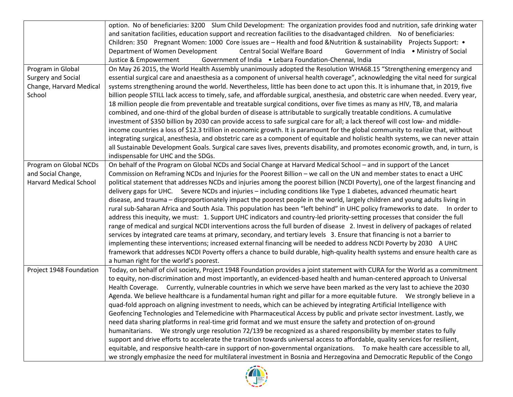|                               | option. No of beneficiaries: 3200 Slum Child Development: The organization provides food and nutrition, safe drinking water        |
|-------------------------------|------------------------------------------------------------------------------------------------------------------------------------|
|                               | and sanitation facilities, education support and recreation facilities to the disadvantaged children. No of beneficiaries:         |
|                               | Children: 350 Pregnant Women: 1000 Core issues are - Health and food &Nutrition & sustainability Projects Support: •               |
|                               | <b>Central Social Welfare Board</b><br>Department of Women Development<br>Government of India . Ministry of Social                 |
|                               | Justice & Empowerment<br>Government of India . Lebara Foundation-Chennai, India                                                    |
| Program in Global             | On May 26 2015, the World Health Assembly unanimously adopted the Resolution WHA68.15 "Strengthening emergency and                 |
| <b>Surgery and Social</b>     | essential surgical care and anaesthesia as a component of universal health coverage", acknowledging the vital need for surgical    |
|                               |                                                                                                                                    |
| Change, Harvard Medical       | systems strengthening around the world. Nevertheless, little has been done to act upon this. It is inhumane that, in 2019, five    |
| School                        | billion people STILL lack access to timely, safe, and affordable surgical, anesthesia, and obstetric care when needed. Every year, |
|                               | 18 million people die from preventable and treatable surgical conditions, over five times as many as HIV, TB, and malaria          |
|                               | combined, and one-third of the global burden of disease is attributable to surgically treatable conditions. A cumulative           |
|                               | investment of \$350 billion by 2030 can provide access to safe surgical care for all; a lack thereof will cost low- and middle-    |
|                               | income countries a loss of \$12.3 trillion in economic growth. It is paramount for the global community to realize that, without   |
|                               | integrating surgical, anesthesia, and obstetric care as a component of equitable and holistic health systems, we can never attain  |
|                               | all Sustainable Development Goals. Surgical care saves lives, prevents disability, and promotes economic growth, and, in turn, is  |
|                               | indispensable for UHC and the SDGs.                                                                                                |
| Program on Global NCDs        | On behalf of the Program on Global NCDs and Social Change at Harvard Medical School - and in support of the Lancet                 |
| and Social Change,            | Commission on Reframing NCDs and Injuries for the Poorest Billion - we call on the UN and member states to enact a UHC             |
| <b>Harvard Medical School</b> | political statement that addresses NCDs and injuries among the poorest billion (NCDI Poverty), one of the largest financing and    |
|                               | delivery gaps for UHC. Severe NCDs and injuries - including conditions like Type 1 diabetes, advanced rheumatic heart              |
|                               | disease, and trauma – disproportionately impact the poorest people in the world, largely children and young adults living in       |
|                               | rural sub-Saharan Africa and South Asia. This population has been "left behind" in UHC policy frameworks to date. In order to      |
|                               | address this inequity, we must: 1. Support UHC indicators and country-led priority-setting processes that consider the full        |
|                               | range of medical and surgical NCDI interventions across the full burden of disease 2. Invest in delivery of packages of related    |
|                               | services by integrated care teams at primary, secondary, and tertiary levels 3. Ensure that financing is not a barrier to          |
|                               | implementing these interventions; increased external financing will be needed to address NCDI Poverty by 2030 A UHC                |
|                               | framework that addresses NCDI Poverty offers a chance to build durable, high-quality health systems and ensure health care as      |
|                               | a human right for the world's poorest.                                                                                             |
| Project 1948 Foundation       | Today, on behalf of civil society, Project 1948 Foundation provides a joint statement with CURA for the World as a commitment      |
|                               |                                                                                                                                    |
|                               | to equity, non-discrimination and most importantly, an evidenced-based health and human-centered approach to Universal             |
|                               | Health Coverage. Currently, vulnerable countries in which we serve have been marked as the very last to achieve the 2030           |
|                               | Agenda. We believe healthcare is a fundamental human right and pillar for a more equitable future.  We strongly believe in a       |
|                               | quad-fold approach on aligning investment to needs, which can be achieved by integrating Artificial Intelligence with              |
|                               | Geofencing Technologies and Telemedicine with Pharmaceutical Access by public and private sector investment. Lastly, we            |
|                               | need data sharing platforms in real-time grid format and we must ensure the safety and protection of on-ground                     |
|                               | humanitarians. We strongly urge resolution 72/139 be recognized as a shared responsibility by member states to fully               |
|                               | support and drive efforts to accelerate the transition towards universal access to affordable, quality services for resilient,     |
|                               | equitable, and responsive health-care in support of non-governmental organizations.  To make health care accessible to all,        |
|                               | we strongly emphasize the need for multilateral investment in Bosnia and Herzegovina and Democratic Republic of the Congo          |

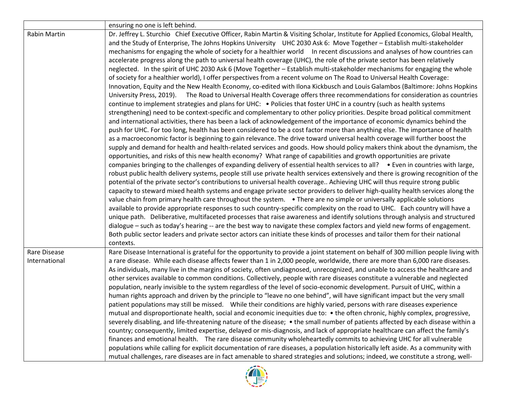|                     | ensuring no one is left behind.                                                                                                                                                                                                                                                                                                                                                                                                                                                                                                                                                                                                                                                                                                                                                                                                                                                                                                                                                                                                                                                                                                                                                                                                                                                                                                                                                                                                                                                                                                                                                                                                                                                                                                                                                                                                                                                                                                                                                                                                                                                                                                                                                                                                                                                                                                                                                                                                                                                                                                                                                                                                                                                                                                                                                                                                                                                                                                                                                                                                                                                                                                                    |
|---------------------|----------------------------------------------------------------------------------------------------------------------------------------------------------------------------------------------------------------------------------------------------------------------------------------------------------------------------------------------------------------------------------------------------------------------------------------------------------------------------------------------------------------------------------------------------------------------------------------------------------------------------------------------------------------------------------------------------------------------------------------------------------------------------------------------------------------------------------------------------------------------------------------------------------------------------------------------------------------------------------------------------------------------------------------------------------------------------------------------------------------------------------------------------------------------------------------------------------------------------------------------------------------------------------------------------------------------------------------------------------------------------------------------------------------------------------------------------------------------------------------------------------------------------------------------------------------------------------------------------------------------------------------------------------------------------------------------------------------------------------------------------------------------------------------------------------------------------------------------------------------------------------------------------------------------------------------------------------------------------------------------------------------------------------------------------------------------------------------------------------------------------------------------------------------------------------------------------------------------------------------------------------------------------------------------------------------------------------------------------------------------------------------------------------------------------------------------------------------------------------------------------------------------------------------------------------------------------------------------------------------------------------------------------------------------------------------------------------------------------------------------------------------------------------------------------------------------------------------------------------------------------------------------------------------------------------------------------------------------------------------------------------------------------------------------------------------------------------------------------------------------------------------------------|
| <b>Rabin Martin</b> | Dr. Jeffrey L. Sturchio Chief Executive Officer, Rabin Martin & Visiting Scholar, Institute for Applied Economics, Global Health,<br>and the Study of Enterprise, The Johns Hopkins University UHC 2030 Ask 6: Move Together - Establish multi-stakeholder<br>mechanisms for engaging the whole of society for a healthier world In recent discussions and analyses of how countries can<br>accelerate progress along the path to universal health coverage (UHC), the role of the private sector has been relatively<br>neglected. In the spirit of UHC 2030 Ask 6 (Move Together - Establish multi-stakeholder mechanisms for engaging the whole<br>of society for a healthier world), I offer perspectives from a recent volume on The Road to Universal Health Coverage:<br>Innovation, Equity and the New Health Economy, co-edited with Ilona Kickbusch and Louis Galambos (Baltimore: Johns Hopkins<br>University Press, 2019). The Road to Universal Health Coverage offers three recommendations for consideration as countries<br>continue to implement strategies and plans for UHC: • Policies that foster UHC in a country (such as health systems<br>strengthening) need to be context-specific and complementary to other policy priorities. Despite broad political commitment<br>and international activities, there has been a lack of acknowledgement of the importance of economic dynamics behind the<br>push for UHC. For too long, health has been considered to be a cost factor more than anything else. The importance of health<br>as a macroeconomic factor is beginning to gain relevance. The drive toward universal health coverage will further boost the<br>supply and demand for health and health-related services and goods. How should policy makers think about the dynamism, the<br>opportunities, and risks of this new health economy? What range of capabilities and growth opportunities are private<br>companies bringing to the challenges of expanding delivery of essential health services to all? • Even in countries with large,<br>robust public health delivery systems, people still use private health services extensively and there is growing recognition of the<br>potential of the private sector's contributions to universal health coverage Achieving UHC will thus require strong public<br>capacity to steward mixed health systems and engage private sector providers to deliver high-quality health services along the<br>value chain from primary health care throughout the system. • There are no simple or universally applicable solutions<br>available to provide appropriate responses to such country-specific complexity on the road to UHC. Each country will have a<br>unique path. Deliberative, multifaceted processes that raise awareness and identify solutions through analysis and structured<br>dialogue – such as today's hearing -- are the best way to navigate these complex factors and yield new forms of engagement.<br>Both public sector leaders and private sector actors can initiate these kinds of processes and tailor them for their national |
| Rare Disease        | contexts.<br>Rare Disease International is grateful for the opportunity to provide a joint statement on behalf of 300 million people living with                                                                                                                                                                                                                                                                                                                                                                                                                                                                                                                                                                                                                                                                                                                                                                                                                                                                                                                                                                                                                                                                                                                                                                                                                                                                                                                                                                                                                                                                                                                                                                                                                                                                                                                                                                                                                                                                                                                                                                                                                                                                                                                                                                                                                                                                                                                                                                                                                                                                                                                                                                                                                                                                                                                                                                                                                                                                                                                                                                                                   |
| International       | a rare disease. While each disease affects fewer than 1 in 2,000 people, worldwide, there are more than 6,000 rare diseases.<br>As individuals, many live in the margins of society, often undiagnosed, unrecognized, and unable to access the healthcare and<br>other services available to common conditions. Collectively, people with rare diseases constitute a vulnerable and neglected<br>population, nearly invisible to the system regardless of the level of socio-economic development. Pursuit of UHC, within a<br>human rights approach and driven by the principle to "leave no one behind", will have significant impact but the very small<br>patient populations may still be missed. While their conditions are highly varied, persons with rare diseases experience<br>mutual and disproportionate health, social and economic inequities due to: • the often chronic, highly complex, progressive,<br>severely disabling, and life-threatening nature of the disease; • the small number of patients affected by each disease within a<br>country; consequently, limited expertise, delayed or mis-diagnosis, and lack of appropriate healthcare can affect the family's<br>finances and emotional health. The rare disease community wholeheartedly commits to achieving UHC for all vulnerable<br>populations while calling for explicit documentation of rare diseases, a population historically left aside. As a community with<br>mutual challenges, rare diseases are in fact amenable to shared strategies and solutions; indeed, we constitute a strong, well-                                                                                                                                                                                                                                                                                                                                                                                                                                                                                                                                                                                                                                                                                                                                                                                                                                                                                                                                                                                                                                                                                                                                                                                                                                                                                                                                                                                                                                                                                                                                                        |

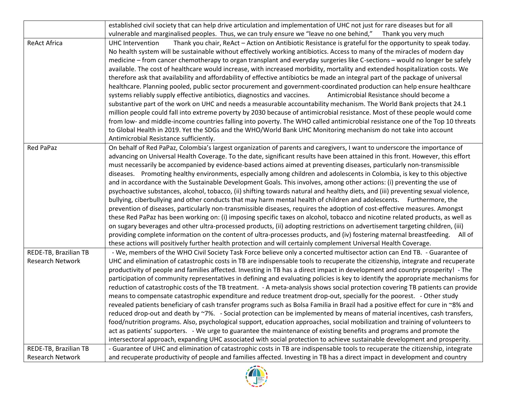|                         | established civil society that can help drive articulation and implementation of UHC not just for rare diseases but for all         |
|-------------------------|-------------------------------------------------------------------------------------------------------------------------------------|
|                         | vulnerable and marginalised peoples. Thus, we can truly ensure we "leave no one behind,"<br>Thank you very much                     |
| <b>ReAct Africa</b>     | Thank you chair, ReAct - Action on Antibiotic Resistance is grateful for the opportunity to speak today.<br><b>UHC</b> Intervention |
|                         | No health system will be sustainable without effectively working antibiotics. Access to many of the miracles of modern day          |
|                         | medicine - from cancer chemotherapy to organ transplant and everyday surgeries like C-sections - would no longer be safely          |
|                         | available. The cost of healthcare would increase, with increased morbidity, mortality and extended hospitalization costs. We        |
|                         | therefore ask that availability and affordability of effective antibiotics be made an integral part of the package of universal     |
|                         | healthcare. Planning pooled, public sector procurement and government-coordinated production can help ensure healthcare             |
|                         | systems reliably supply effective antibiotics, diagnostics and vaccines.<br>Antimicrobial Resistance should become a                |
|                         | substantive part of the work on UHC and needs a measurable accountability mechanism. The World Bank projects that 24.1              |
|                         | million people could fall into extreme poverty by 2030 because of antimicrobial resistance. Most of these people would come         |
|                         | from low- and middle-income countries falling into poverty. The WHO called antimicrobial resistance one of the Top 10 threats       |
|                         | to Global Health in 2019. Yet the SDGs and the WHO/World Bank UHC Monitoring mechanism do not take into account                     |
|                         | Antimicrobial Resistance sufficiently.                                                                                              |
| Red PaPaz               | On behalf of Red PaPaz, Colombia's largest organization of parents and caregivers, I want to underscore the importance of           |
|                         | advancing on Universal Health Coverage. To the date, significant results have been attained in this front. However, this effort     |
|                         | must necessarily be accompanied by evidence-based actions aimed at preventing diseases, particularly non-transmissible              |
|                         | diseases. Promoting healthy environments, especially among children and adolescents in Colombia, is key to this objective           |
|                         | and in accordance with the Sustainable Development Goals. This involves, among other actions: (i) preventing the use of             |
|                         | psychoactive substances, alcohol, tobacco, (ii) shifting towards natural and healthy diets, and (iii) preventing sexual violence,   |
|                         | bullying, ciberbullying and other conducts that may harm mental health of children and adolescents. Furthermore, the                |
|                         | prevention of diseases, particularly non-transmissible diseases, requires the adoption of cost-effective measures. Amongst          |
|                         | these Red PaPaz has been working on: (i) imposing specific taxes on alcohol, tobacco and nicotine related products, as well as      |
|                         | on sugary beverages and other ultra-processed products, (ii) adopting restrictions on advertisement targeting children, (iii)       |
|                         | providing complete information on the content of ultra-processes products, and (iv) fostering maternal breastfeeding.<br>All of     |
|                         | these actions will positively further health protection and will certainly complement Universal Health Coverage.                    |
| REDE-TB, Brazilian TB   | - We, members of the WHO Civil Society Task Force believe only a concerted multisector action can End TB. - Guarantee of            |
| <b>Research Network</b> | UHC and elimination of catastrophic costs in TB are indispensable tools to recuperate the citizenship, integrate and recuperate     |
|                         | productivity of people and families affected. Investing in TB has a direct impact in development and country prosperity! - The      |
|                         | participation of community representatives in defining and evaluating policies is key to identify the appropriate mechanisms for    |
|                         | reduction of catastrophic costs of the TB treatment. - A meta-analysis shows social protection covering TB patients can provide     |
|                         | means to compensate catastrophic expenditure and reduce treatment drop-out, specially for the poorest. - Other study                |
|                         | revealed patients beneficiary of cash transfer programs such as Bolsa Familia in Brazil had a positive effect for cure in ~8% and   |
|                         | reduced drop-out and death by ~7%. - Social protection can be implemented by means of material incentives, cash transfers,          |
|                         | food/nutrition programs. Also, psychological support, education approaches, social mobilization and training of volunteers to       |
|                         | act as patients' supporters. - We urge to guarantee the maintenance of existing benefits and programs and promote the               |
|                         | intersectoral approach, expanding UHC associated with social protection to achieve sustainable development and prosperity.          |
| REDE-TB, Brazilian TB   | - Guarantee of UHC and elimination of catastrophic costs in TB are indispensable tools to recuperate the citizenship, integrate     |
| Research Network        | and recuperate productivity of people and families affected. Investing in TB has a direct impact in development and country         |

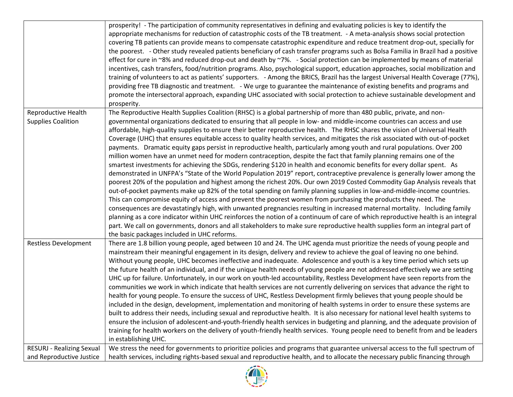|                                  | prosperity! - The participation of community representatives in defining and evaluating policies is key to identify the<br>appropriate mechanisms for reduction of catastrophic costs of the TB treatment. - A meta-analysis shows social protection<br>covering TB patients can provide means to compensate catastrophic expenditure and reduce treatment drop-out, specially for<br>the poorest. - Other study revealed patients beneficiary of cash transfer programs such as Bolsa Familia in Brazil had a positive<br>effect for cure in ~8% and reduced drop-out and death by ~7%. - Social protection can be implemented by means of material<br>incentives, cash transfers, food/nutrition programs. Also, psychological support, education approaches, social mobilization and<br>training of volunteers to act as patients' supporters. - Among the BRICS, Brazil has the largest Universal Health Coverage (77%),<br>providing free TB diagnostic and treatment. - We urge to guarantee the maintenance of existing benefits and programs and<br>promote the intersectoral approach, expanding UHC associated with social protection to achieve sustainable development and<br>prosperity.                                                                                                                                                                                                                                                                                                                                                                                                                                                                                                                          |
|----------------------------------|--------------------------------------------------------------------------------------------------------------------------------------------------------------------------------------------------------------------------------------------------------------------------------------------------------------------------------------------------------------------------------------------------------------------------------------------------------------------------------------------------------------------------------------------------------------------------------------------------------------------------------------------------------------------------------------------------------------------------------------------------------------------------------------------------------------------------------------------------------------------------------------------------------------------------------------------------------------------------------------------------------------------------------------------------------------------------------------------------------------------------------------------------------------------------------------------------------------------------------------------------------------------------------------------------------------------------------------------------------------------------------------------------------------------------------------------------------------------------------------------------------------------------------------------------------------------------------------------------------------------------------------------------------------------------------------------------------------------------------|
| Reproductive Health              | The Reproductive Health Supplies Coalition (RHSC) is a global partnership of more than 480 public, private, and non-                                                                                                                                                                                                                                                                                                                                                                                                                                                                                                                                                                                                                                                                                                                                                                                                                                                                                                                                                                                                                                                                                                                                                                                                                                                                                                                                                                                                                                                                                                                                                                                                           |
| <b>Supplies Coalition</b>        | governmental organizations dedicated to ensuring that all people in low- and middle-income countries can access and use<br>affordable, high-quality supplies to ensure their better reproductive health. The RHSC shares the vision of Universal Health<br>Coverage (UHC) that ensures equitable access to quality health services, and mitigates the risk associated with out-of-pocket<br>payments. Dramatic equity gaps persist in reproductive health, particularly among youth and rural populations. Over 200<br>million women have an unmet need for modern contraception, despite the fact that family planning remains one of the<br>smartest investments for achieving the SDGs, rendering \$120 in health and economic benefits for every dollar spent. As<br>demonstrated in UNFPA's "State of the World Population 2019" report, contraceptive prevalence is generally lower among the<br>poorest 20% of the population and highest among the richest 20%. Our own 2019 Costed Commodity Gap Analysis reveals that<br>out-of-pocket payments make up 82% of the total spending on family planning supplies in low-and-middle-income countries.<br>This can compromise equity of access and prevent the poorest women from purchasing the products they need. The<br>consequences are devastatingly high, with unwanted pregnancies resulting in increased maternal mortality. Including family<br>planning as a core indicator within UHC reinforces the notion of a continuum of care of which reproductive health is an integral<br>part. We call on governments, donors and all stakeholders to make sure reproductive health supplies form an integral part of<br>the basic packages included in UHC reforms. |
| <b>Restless Development</b>      | There are 1.8 billion young people, aged between 10 and 24. The UHC agenda must prioritize the needs of young people and<br>mainstream their meaningful engagement in its design, delivery and review to achieve the goal of leaving no one behind.<br>Without young people, UHC becomes ineffective and inadequate. Adolescence and youth is a key time period which sets up<br>the future health of an individual, and if the unique health needs of young people are not addressed effectively we are setting<br>UHC up for failure. Unfortunately, in our work on youth-led accountability, Restless Development have seen reports from the<br>communities we work in which indicate that health services are not currently delivering on services that advance the right to<br>health for young people. To ensure the success of UHC, Restless Development firmly believes that young people should be<br>included in the design, development, implementation and monitoring of health systems in order to ensure these systems are<br>built to address their needs, including sexual and reproductive health. It is also necessary for national level health systems to<br>ensure the inclusion of adolescent-and-youth-friendly health services in budgeting and planning, and the adequate provision of<br>training for health workers on the delivery of youth-friendly health services. Young people need to benefit from and be leaders<br>in establishing UHC.                                                                                                                                                                                                                                                     |
| <b>RESURJ - Realizing Sexual</b> | We stress the need for governments to prioritize policies and programs that guarantee universal access to the full spectrum of                                                                                                                                                                                                                                                                                                                                                                                                                                                                                                                                                                                                                                                                                                                                                                                                                                                                                                                                                                                                                                                                                                                                                                                                                                                                                                                                                                                                                                                                                                                                                                                                 |
| and Reproductive Justice         | health services, including rights-based sexual and reproductive health, and to allocate the necessary public financing through                                                                                                                                                                                                                                                                                                                                                                                                                                                                                                                                                                                                                                                                                                                                                                                                                                                                                                                                                                                                                                                                                                                                                                                                                                                                                                                                                                                                                                                                                                                                                                                                 |

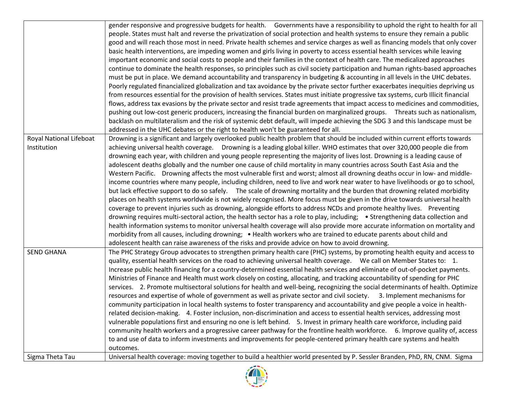|                         | gender responsive and progressive budgets for health. Governments have a responsibility to uphold the right to health for all       |
|-------------------------|-------------------------------------------------------------------------------------------------------------------------------------|
|                         | people. States must halt and reverse the privatization of social protection and health systems to ensure they remain a public       |
|                         | good and will reach those most in need. Private health schemes and service charges as well as financing models that only cover      |
|                         | basic health interventions, are impeding women and girls living in poverty to access essential health services while leaving        |
|                         | important economic and social costs to people and their families in the context of health care. The medicalized approaches          |
|                         | continue to dominate the health responses, so principles such as civil society participation and human rights-based approaches      |
|                         | must be put in place. We demand accountability and transparency in budgeting & accounting in all levels in the UHC debates.         |
|                         | Poorly regulated financialized globalization and tax avoidance by the private sector further exacerbates inequities depriving us    |
|                         | from resources essential for the provision of health services. States must initiate progressive tax systems, curb Illicit financial |
|                         | flows, address tax evasions by the private sector and resist trade agreements that impact access to medicines and commodities,      |
|                         | pushing out low-cost generic producers, increasing the financial burden on marginalized groups. Threats such as nationalism,        |
|                         | backlash on multilateralism and the risk of systemic debt default, will impede achieving the SDG 3 and this landscape must be       |
|                         |                                                                                                                                     |
|                         | addressed in the UHC debates or the right to health won't be guaranteed for all.                                                    |
| Royal National Lifeboat | Drowning is a significant and largely overlooked public health problem that should be included within current efforts towards       |
| Institution             | achieving universal health coverage. Drowning is a leading global killer. WHO estimates that over 320,000 people die from           |
|                         | drowning each year, with children and young people representing the majority of lives lost. Drowning is a leading cause of          |
|                         | adolescent deaths globally and the number one cause of child mortality in many countries across South East Asia and the             |
|                         | Western Pacific. Drowning affects the most vulnerable first and worst; almost all drowning deaths occur in low- and middle-         |
|                         | income countries where many people, including children, need to live and work near water to have livelihoods or go to school,       |
|                         | but lack effective support to do so safely. The scale of drowning mortality and the burden that drowning related morbidity          |
|                         | places on health systems worldwide is not widely recognised. More focus must be given in the drive towards universal health         |
|                         | coverage to prevent injuries such as drowning, alongside efforts to address NCDs and promote healthy lives. Preventing              |
|                         | drowning requires multi-sectoral action, the health sector has a role to play, including; • Strengthening data collection and       |
|                         | health information systems to monitor universal health coverage will also provide more accurate information on mortality and        |
|                         | morbidity from all causes, including drowning; . Health workers who are trained to educate parents about child and                  |
|                         | adolescent health can raise awareness of the risks and provide advice on how to avoid drowning.                                     |
| <b>SEND GHANA</b>       | The PHC Strategy Group advocates to strengthen primary health care (PHC) systems, by promoting health equity and access to          |
|                         | quality, essential health services on the road to achieving universal health coverage.  We call on Member States to: 1.             |
|                         | Increase public health financing for a country-determined essential health services and eliminate of out-of-pocket payments.        |
|                         | Ministries of Finance and Health must work closely on costing, allocating, and tracking accountability of spending for PHC          |
|                         | services. 2. Promote multisectoral solutions for health and well-being, recognizing the social determinants of health. Optimize     |
|                         | resources and expertise of whole of government as well as private sector and civil society. 3. Implement mechanisms for             |
|                         | community participation in local health systems to foster transparency and accountability and give people a voice in health-        |
|                         | related decision-making. 4. Foster inclusion, non-discrimination and access to essential health services, addressing most           |
|                         | vulnerable populations first and ensuring no one is left behind. 5. Invest in primary health care workforce, including paid         |
|                         | community health workers and a progressive career pathway for the frontline health workforce. 6. Improve quality of, access         |
|                         | to and use of data to inform investments and improvements for people-centered primary health care systems and health                |
|                         | outcomes.                                                                                                                           |
| Sigma Theta Tau         | Universal health coverage: moving together to build a healthier world presented by P. Sessler Branden, PhD, RN, CNM. Sigma          |

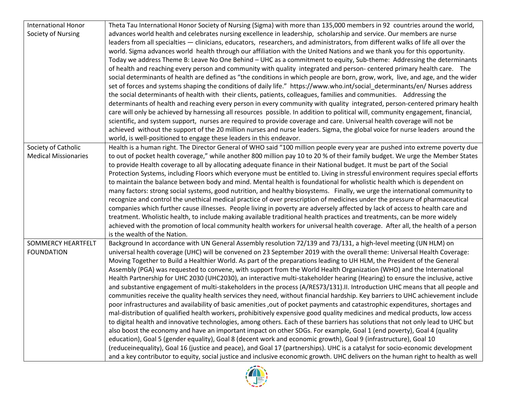| <b>International Honor</b>  | Theta Tau International Honor Society of Nursing (Sigma) with more than 135,000 members in 92 countries around the world,         |
|-----------------------------|-----------------------------------------------------------------------------------------------------------------------------------|
| Society of Nursing          | advances world health and celebrates nursing excellence in leadership, scholarship and service. Our members are nurse             |
|                             | leaders from all specialties — clinicians, educators, researchers, and administrators, from different walks of life all over the  |
|                             | world. Sigma advances world health through our affiliation with the United Nations and we thank you for this opportunity.         |
|                             | Today we address Theme B: Leave No One Behind - UHC as a commitment to equity, Sub-theme: Addressing the determinants             |
|                             | of health and reaching every person and community with quality integrated and person-centered primary health care. The            |
|                             | social determinants of health are defined as "the conditions in which people are born, grow, work, live, and age, and the wider   |
|                             | set of forces and systems shaping the conditions of daily life." https://www.who.int/social_determinants/en/Nurses address        |
|                             | the social determinants of health with their clients, patients, colleagues, families and communities. Addressing the              |
|                             | determinants of health and reaching every person in every community with quality integrated, person-centered primary health       |
|                             | care will only be achieved by harnessing all resources possible. In addition to political will, community engagement, financial,  |
|                             | scientific, and system support, nurses are required to provide coverage and care. Universal health coverage will not be           |
|                             | achieved without the support of the 20 million nurses and nurse leaders. Sigma, the global voice for nurse leaders around the     |
|                             | world, is well-positioned to engage these leaders in this endeavor.                                                               |
| Society of Catholic         | Health is a human right. The Director General of WHO said "100 million people every year are pushed into extreme poverty due      |
| <b>Medical Missionaries</b> | to out of pocket health coverage," while another 800 million pay 10 to 20 % of their family budget. We urge the Member States     |
|                             | to provide Health coverage to all by allocating adequate finance in their National budget. It must be part of the Social          |
|                             | Protection Systems, including Floors which everyone must be entitled to. Living in stressful environment requires special efforts |
|                             | to maintain the balance between body and mind. Mental health is foundational for wholistic health which is dependent on           |
|                             | many factors: strong social systems, good nutrition, and healthy biosystems. Finally, we urge the international community to      |
|                             | recognize and control the unethical medical practice of over prescription of medicines under the pressure of pharmaceutical       |
|                             | companies which further cause illnesses. People living in poverty are adversely affected by lack of access to health care and     |
|                             | treatment. Wholistic health, to include making available traditional health practices and treatments, can be more widely          |
|                             | achieved with the promotion of local community health workers for universal health coverage. After all, the health of a person    |
|                             | is the wealth of the Nation.                                                                                                      |
| <b>SOMMERCY HEARTFELT</b>   | Background In accordance with UN General Assembly resolution 72/139 and 73/131, a high-level meeting (UN HLM) on                  |
| <b>FOUNDATION</b>           | universal health coverage (UHC) will be convened on 23 September 2019 with the overall theme: Universal Health Coverage:          |
|                             | Moving Together to Build a Healthier World. As part of the preparations leading to UH HLM, the President of the General           |
|                             | Assembly (PGA) was requested to convene, with support from the World Health Organization (WHO) and the International              |
|                             | Health Partnership for UHC 2030 (UHC2030), an interactive multi-stakeholder hearing (Hearing) to ensure the inclusive, active     |
|                             | and substantive engagement of multi-stakeholders in the process (A/RES73/131).II. Introduction UHC means that all people and      |
|                             | communities receive the quality health services they need, without financial hardship. Key barriers to UHC achievement include    |
|                             | poor infrastructures and availability of basic amenities ,out of pocket payments and catastrophic expenditures, shortages and     |
|                             | mal-distribution of qualified health workers, prohibitively expensive good quality medicines and medical products, low access     |
|                             | to digital health and innovative technologies, among others. Each of these barriers has solutions that not only lead to UHC but   |
|                             | also boost the economy and have an important impact on other SDGs. For example, Goal 1 (end poverty), Goal 4 (quality             |
|                             | education), Goal 5 (gender equality), Goal 8 (decent work and economic growth), Goal 9 (infrastructure), Goal 10                  |
|                             | (reduceinequality), Goal 16 (justice and peace), and Goal 17 (partnerships). UHC is a catalyst for socio-economic development     |
|                             | and a key contributor to equity, social justice and inclusive economic growth. UHC delivers on the human right to health as well  |

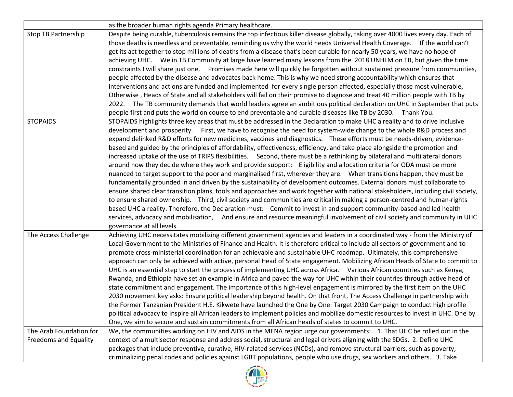|                                                         | as the broader human rights agenda Primary healthcare.                                                                                                                                                                                                                                                                                                                                                                                                                                                                                                                                                                                                                                                                                                                                                                                                                                                                                                                                                                                                                                                                                                                                                                                                                                                                                                                                                                                                                                                                                                                      |
|---------------------------------------------------------|-----------------------------------------------------------------------------------------------------------------------------------------------------------------------------------------------------------------------------------------------------------------------------------------------------------------------------------------------------------------------------------------------------------------------------------------------------------------------------------------------------------------------------------------------------------------------------------------------------------------------------------------------------------------------------------------------------------------------------------------------------------------------------------------------------------------------------------------------------------------------------------------------------------------------------------------------------------------------------------------------------------------------------------------------------------------------------------------------------------------------------------------------------------------------------------------------------------------------------------------------------------------------------------------------------------------------------------------------------------------------------------------------------------------------------------------------------------------------------------------------------------------------------------------------------------------------------|
| <b>Stop TB Partnership</b>                              | Despite being curable, tuberculosis remains the top infectious killer disease globally, taking over 4000 lives every day. Each of<br>those deaths is needless and preventable, reminding us why the world needs Universal Health Coverage. If the world can't<br>get its act together to stop millions of deaths from a disease that's been curable for nearly 50 years, we have no hope of<br>achieving UHC. We in TB Community at large have learned many lessons from the 2018 UNHLM on TB, but given the time<br>constraints I will share just one. Promises made here will quickly be forgotten without sustained pressure from communities,<br>people affected by the disease and advocates back home. This is why we need strong accountability which ensures that<br>interventions and actions are funded and implemented for every single person affected, especially those most vulnerable,<br>Otherwise, Heads of State and all stakeholders will fail on their promise to diagnose and treat 40 million people with TB by<br>2022. The TB community demands that world leaders agree an ambitious political declaration on UHC in September that puts<br>people first and puts the world on course to end preventable and curable diseases like TB by 2030. Thank You.                                                                                                                                                                                                                                                                                          |
| <b>STOPAIDS</b>                                         | STOPAIDS highlights three key areas that must be addressed in the Declaration to make UHC a reality and to drive inclusive<br>development and prosperity. First, we have to recognise the need for system-wide change to the whole R&D process and<br>expand delinked R&D efforts for new medicines, vaccines and diagnostics. These efforts must be needs-driven, evidence-<br>based and guided by the principles of affordability, effectiveness, efficiency, and take place alongside the promotion and<br>increased uptake of the use of TRIPS flexibilities. Second, there must be a rethinking by bilateral and multilateral donors<br>around how they decide where they work and provide support: Eligibility and allocation criteria for ODA must be more<br>nuanced to target support to the poor and marginalised first, wherever they are.  When transitions happen, they must be<br>fundamentally grounded in and driven by the sustainability of development outcomes. External donors must collaborate to<br>ensure shared clear transition plans, tools and approaches and work together with national stakeholders, including civil society,<br>to ensure shared ownership. Third, civil society and communities are critical in making a person-centred and human-rights<br>based UHC a reality. Therefore, the Declaration must: Commit to invest in and support community-based and led health<br>services, advocacy and mobilisation, And ensure and resource meaningful involvement of civil society and community in UHC<br>governance at all levels. |
| The Access Challenge                                    | Achieving UHC necessitates mobilizing different government agencies and leaders in a coordinated way - from the Ministry of<br>Local Government to the Ministries of Finance and Health. It is therefore critical to include all sectors of government and to<br>promote cross-ministerial coordination for an achievable and sustainable UHC roadmap. Ultimately, this comprehensive<br>approach can only be achieved with active, personal Head of State engagement. Mobilizing African Heads of State to commit to<br>UHC is an essential step to start the process of implementing UHC across Africa. Various African countries such as Kenya,<br>Rwanda, and Ethiopia have set an example in Africa and paved the way for UHC within their countries through active head of<br>state commitment and engagement. The importance of this high-level engagement is mirrored by the first item on the UHC<br>2030 movement key asks: Ensure political leadership beyond health. On that front, The Access Challenge in partnership with<br>the Former Tanzanian President H.E. Kikwete have launched the One by One: Target 2030 Campaign to conduct high profile<br>political advocacy to inspire all African leaders to implement policies and mobilize domestic resources to invest in UHC. One by<br>One, we aim to secure and sustain commitments from all African heads of states to commit to UHC.                                                                                                                                                                  |
| The Arab Foundation for<br><b>Freedoms and Equality</b> | We, the communities working on HIV and AIDS in the MENA region urge our governments: 1. That UHC be rolled out in the<br>context of a multisector response and address social, structural and legal drivers aligning with the SDGs. 2. Define UHC<br>packages that include preventive, curative, HIV-related services (NCDs), and remove structural barriers, such as poverty,<br>criminalizing penal codes and policies against LGBT populations, people who use drugs, sex workers and others. 3. Take                                                                                                                                                                                                                                                                                                                                                                                                                                                                                                                                                                                                                                                                                                                                                                                                                                                                                                                                                                                                                                                                    |

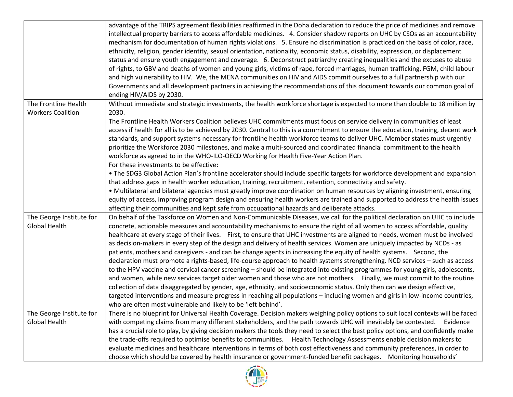| intellectual property barriers to access affordable medicines. 4. Consider shadow reports on UHC by CSOs as an accountability<br>mechanism for documentation of human rights violations. 5. Ensure no discrimination is practiced on the basis of color, race,<br>ethnicity, religion, gender identity, sexual orientation, nationality, economic status, disability, expression, or displacement<br>status and ensure youth engagement and coverage. 6. Deconstruct patriarchy creating inequalities and the excuses to abuse<br>of rights, to GBV and deaths of women and young girls, victims of rape, forced marriages, human trafficking, FGM, child labour<br>and high vulnerability to HIV. We, the MENA communities on HIV and AIDS commit ourselves to a full partnership with our                                                                                                                                                                                                                                                                                                                                                                                                                                                                                                                                                                                                                              |          |
|--------------------------------------------------------------------------------------------------------------------------------------------------------------------------------------------------------------------------------------------------------------------------------------------------------------------------------------------------------------------------------------------------------------------------------------------------------------------------------------------------------------------------------------------------------------------------------------------------------------------------------------------------------------------------------------------------------------------------------------------------------------------------------------------------------------------------------------------------------------------------------------------------------------------------------------------------------------------------------------------------------------------------------------------------------------------------------------------------------------------------------------------------------------------------------------------------------------------------------------------------------------------------------------------------------------------------------------------------------------------------------------------------------------------------|----------|
| Governments and all development partners in achieving the recommendations of this document towards our common goal of<br>ending HIV/AIDS by 2030.                                                                                                                                                                                                                                                                                                                                                                                                                                                                                                                                                                                                                                                                                                                                                                                                                                                                                                                                                                                                                                                                                                                                                                                                                                                                        |          |
| Without immediate and strategic investments, the health workforce shortage is expected to more than double to 18 million by<br>The Frontline Health<br><b>Workers Coalition</b><br>2030.                                                                                                                                                                                                                                                                                                                                                                                                                                                                                                                                                                                                                                                                                                                                                                                                                                                                                                                                                                                                                                                                                                                                                                                                                                 |          |
| The Frontline Health Workers Coalition believes UHC commitments must focus on service delivery in communities of least<br>access if health for all is to be achieved by 2030. Central to this is a commitment to ensure the education, training, decent work<br>standards, and support systems necessary for frontline health workforce teams to deliver UHC. Member states must urgently<br>prioritize the Workforce 2030 milestones, and make a multi-sourced and coordinated financial commitment to the health<br>workforce as agreed to in the WHO-ILO-OECD Working for Health Five-Year Action Plan.<br>For these investments to be effective:                                                                                                                                                                                                                                                                                                                                                                                                                                                                                                                                                                                                                                                                                                                                                                     |          |
| • The SDG3 Global Action Plan's frontline accelerator should include specific targets for workforce development and expansion<br>that address gaps in health worker education, training, recruitment, retention, connectivity and safety.<br>. Multilateral and bilateral agencies must greatly improve coordination on human resources by aligning investment, ensuring                                                                                                                                                                                                                                                                                                                                                                                                                                                                                                                                                                                                                                                                                                                                                                                                                                                                                                                                                                                                                                                 |          |
| equity of access, improving program design and ensuring health workers are trained and supported to address the health issues<br>affecting their communities and kept safe from occupational hazards and deliberate attacks.                                                                                                                                                                                                                                                                                                                                                                                                                                                                                                                                                                                                                                                                                                                                                                                                                                                                                                                                                                                                                                                                                                                                                                                             |          |
| On behalf of the Taskforce on Women and Non-Communicable Diseases, we call for the political declaration on UHC to include<br>The George Institute for<br><b>Global Health</b><br>concrete, actionable measures and accountability mechanisms to ensure the right of all women to access affordable, quality<br>healthcare at every stage of their lives. First, to ensure that UHC investments are aligned to needs, women must be involved<br>as decision-makers in every step of the design and delivery of health services. Women are uniquely impacted by NCDs - as<br>patients, mothers and caregivers - and can be change agents in increasing the equity of health systems. Second, the<br>declaration must promote a rights-based, life-course approach to health systems strengthening. NCD services - such as access<br>to the HPV vaccine and cervical cancer screening - should be integrated into existing programmes for young girls, adolescents,<br>and women, while new services target older women and those who are not mothers. Finally, we must commit to the routine<br>collection of data disaggregated by gender, age, ethnicity, and socioeconomic status. Only then can we design effective,<br>targeted interventions and measure progress in reaching all populations - including women and girls in low-income countries,<br>who are often most vulnerable and likely to be 'left behind'. |          |
| The George Institute for<br>There is no blueprint for Universal Health Coverage. Decision makers weighing policy options to suit local contexts will be faced                                                                                                                                                                                                                                                                                                                                                                                                                                                                                                                                                                                                                                                                                                                                                                                                                                                                                                                                                                                                                                                                                                                                                                                                                                                            |          |
| with competing claims from many different stakeholders, and the path towards UHC will inevitably be contested.<br><b>Global Health</b><br>has a crucial role to play, by giving decision makers the tools they need to select the best policy options, and confidently make                                                                                                                                                                                                                                                                                                                                                                                                                                                                                                                                                                                                                                                                                                                                                                                                                                                                                                                                                                                                                                                                                                                                              | Evidence |
| the trade-offs required to optimise benefits to communities. Health Technology Assessments enable decision makers to<br>evaluate medicines and healthcare interventions in terms of both cost effectiveness and community preferences, in order to<br>choose which should be covered by health insurance or government-funded benefit packages. Monitoring households'                                                                                                                                                                                                                                                                                                                                                                                                                                                                                                                                                                                                                                                                                                                                                                                                                                                                                                                                                                                                                                                   |          |

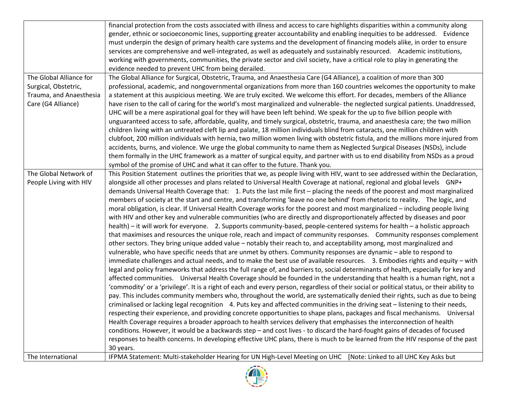|                         | financial protection from the costs associated with illness and access to care highlights disparities within a community along            |
|-------------------------|-------------------------------------------------------------------------------------------------------------------------------------------|
|                         | gender, ethnic or socioeconomic lines, supporting greater accountability and enabling inequities to be addressed. Evidence                |
|                         | must underpin the design of primary health care systems and the development of financing models alike, in order to ensure                 |
|                         | services are comprehensive and well-integrated, as well as adequately and sustainably resourced. Academic institutions,                   |
|                         | working with governments, communities, the private sector and civil society, have a critical role to play in generating the               |
|                         | evidence needed to prevent UHC from being derailed.                                                                                       |
| The Global Alliance for | The Global Alliance for Surgical, Obstetric, Trauma, and Anaesthesia Care (G4 Alliance), a coalition of more than 300                     |
| Surgical, Obstetric,    | professional, academic, and nongovernmental organizations from more than 160 countries welcomes the opportunity to make                   |
| Trauma, and Anaesthesia | a statement at this auspicious meeting. We are truly excited. We welcome this effort. For decades, members of the Alliance                |
| Care (G4 Alliance)      | have risen to the call of caring for the world's most marginalized and vulnerable- the neglected surgical patients. Unaddressed,          |
|                         | UHC will be a mere aspirational goal for they will have been left behind. We speak for the up to five billion people with                 |
|                         | unguaranteed access to safe, affordable, quality, and timely surgical, obstetric, trauma, and anaesthesia care; the two million           |
|                         | children living with an untreated cleft lip and palate, 18 million individuals blind from cataracts, one million children with            |
|                         | clubfoot, 200 million individuals with hernia, two million women living with obstetric fistula, and the millions more injured from        |
|                         |                                                                                                                                           |
|                         | accidents, burns, and violence. We urge the global community to name them as Neglected Surgical Diseases (NSDs), include                  |
|                         | them formally in the UHC framework as a matter of surgical equity, and partner with us to end disability from NSDs as a proud             |
|                         | symbol of the promise of UHC and what it can offer to the future. Thank you.                                                              |
| The Global Network of   | This Position Statement outlines the priorities that we, as people living with HIV, want to see addressed within the Declaration,         |
| People Living with HIV  | alongside all other processes and plans related to Universal Health Coverage at national, regional and global levels GNP+                 |
|                         | demands Universal Health Coverage that: 1. Puts the last mile first - placing the needs of the poorest and most marginalized              |
|                         | members of society at the start and centre, and transforming 'leave no one behind' from rhetoric to reality. The logic, and               |
|                         | moral obligation, is clear. If Universal Health Coverage works for the poorest and most marginalized – including people living            |
|                         | with HIV and other key and vulnerable communities (who are directly and disproportionately affected by diseases and poor                  |
|                         | health) – it will work for everyone. 2. Supports community-based, people-centered systems for health – a holistic approach                |
|                         | that maximises and resources the unique role, reach and impact of community responses. Community responses complement                     |
|                         | other sectors. They bring unique added value - notably their reach to, and acceptability among, most marginalized and                     |
|                         | vulnerable, who have specific needs that are unmet by others. Community responses are dynamic - able to respond to                        |
|                         | immediate challenges and actual needs, and to make the best use of available resources. 3. Embodies rights and equity - with              |
|                         | legal and policy frameworks that address the full range of, and barriers to, social determinants of health, especially for key and        |
|                         | affected communities. Universal Health Coverage should be founded in the understanding that health is a human right, not a                |
|                         | 'commodity' or a 'privilege'. It is a right of each and every person, regardless of their social or political status, or their ability to |
|                         |                                                                                                                                           |
|                         | pay. This includes community members who, throughout the world, are systematically denied their rights, such as due to being              |
|                         | criminalised or lacking legal recognition 4. Puts key and affected communities in the driving seat – listening to their needs,            |
|                         | respecting their experience, and providing concrete opportunities to shape plans, packages and fiscal mechanisms. Universal               |
|                         | Health Coverage requires a broader approach to health services delivery that emphasises the interconnection of health                     |
|                         | conditions. However, it would be a backwards step - and cost lives - to discard the hard-fought gains of decades of focused               |
|                         | responses to health concerns. In developing effective UHC plans, there is much to be learned from the HIV response of the past            |
|                         | 30 years.                                                                                                                                 |
| The International       | IFPMA Statement: Multi-stakeholder Hearing for UN High-Level Meeting on UHC<br>[Note: Linked to all UHC Key Asks but                      |

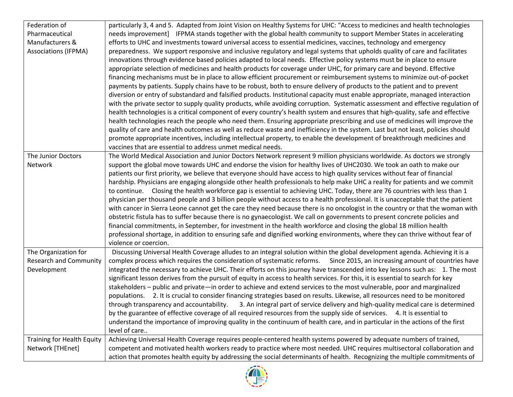| Federation of                     | particularly 3, 4 and 5. Adapted from Joint Vision on Healthy Systems for UHC: "Access to medicines and health technologies      |
|-----------------------------------|----------------------------------------------------------------------------------------------------------------------------------|
| Pharmaceutical                    | needs improvement] IFPMA stands together with the global health community to support Member States in accelerating               |
| Manufacturers &                   | efforts to UHC and investments toward universal access to essential medicines, vaccines, technology and emergency                |
| <b>Associations (IFPMA)</b>       | preparedness. We support responsive and inclusive regulatory and legal systems that upholds quality of care and facilitates      |
|                                   | innovations through evidence based policies adapted to local needs. Effective policy systems must be in place to ensure          |
|                                   | appropriate selection of medicines and health products for coverage under UHC, for primary care and beyond. Effective            |
|                                   | financing mechanisms must be in place to allow efficient procurement or reimbursement systems to minimize out-of-pocket          |
|                                   | payments by patients. Supply chains have to be robust, both to ensure delivery of products to the patient and to prevent         |
|                                   | diversion or entry of substandard and falsified products. Institutional capacity must enable appropriate, managed interaction    |
|                                   | with the private sector to supply quality products, while avoiding corruption. Systematic assessment and effective regulation of |
|                                   | health technologies is a critical component of every country's health system and ensures that high-quality, safe and effective   |
|                                   | health technologies reach the people who need them. Ensuring appropriate prescribing and use of medicines will improve the       |
|                                   | quality of care and health outcomes as well as reduce waste and inefficiency in the system. Last but not least, policies should  |
|                                   | promote appropriate incentives, including intellectual property, to enable the development of breakthrough medicines and         |
|                                   | vaccines that are essential to address unmet medical needs.                                                                      |
| The Junior Doctors                | The World Medical Association and Junior Doctors Network represent 9 million physicians worldwide. As doctors we strongly        |
| Network                           | support the global move towards UHC and endorse the vision for healthy lives of UHC2030. We took an oath to make our             |
|                                   | patients our first priority, we believe that everyone should have access to high quality services without fear of financial      |
|                                   | hardship. Physicians are engaging alongside other health professionals to help make UHC a reality for patients and we commit     |
|                                   | to continue. Closing the health workforce gap is essential to achieving UHC. Today, there are 76 countries with less than 1      |
|                                   | physician per thousand people and 3 billion people without access to a health professional. It is unacceptable that the patient  |
|                                   | with cancer in Sierra Leone cannot get the care they need because there is no oncologist in the country or that the woman with   |
|                                   | obstetric fistula has to suffer because there is no gynaecologist. We call on governments to present concrete policies and       |
|                                   | financial commitments, in September, for investment in the health workforce and closing the global 18 million health             |
|                                   | professional shortage, in addition to ensuring safe and dignified working environments, where they can thrive without fear of    |
|                                   | violence or coercion.                                                                                                            |
| The Organization for              | Discussing Universal Health Coverage alludes to an integral solution within the global development agenda. Achieving it is a     |
| <b>Research and Community</b>     | complex process which requires the consideration of systematic reforms. Since 2015, an increasing amount of countries have       |
| Development                       | integrated the necessary to achieve UHC. Their efforts on this journey have transcended into key lessons such as: 1. The most    |
|                                   | significant lesson derives from the pursuit of equity in access to health services. For this, it is essential to search for key  |
|                                   | stakeholders – public and private—in order to achieve and extend services to the most vulnerable, poor and marginalized          |
|                                   | populations. 2. It is crucial to consider financing strategies based on results. Likewise, all resources need to be monitored    |
|                                   | 3. An integral part of service delivery and high-quality medical care is determined<br>through transparency and accountability.  |
|                                   | by the guarantee of effective coverage of all required resources from the supply side of services. 4. It is essential to         |
|                                   | understand the importance of improving quality in the continuum of health care, and in particular in the actions of the first    |
|                                   | level of care                                                                                                                    |
| <b>Training for Health Equity</b> | Achieving Universal Health Coverage requires people-centered health systems powered by adequate numbers of trained,              |
| Network [THEnet]                  | competent and motivated health workers ready to practice where most needed. UHC requires multisectoral collaboration and         |
|                                   | action that promotes health equity by addressing the social determinants of health. Recognizing the multiple commitments of      |

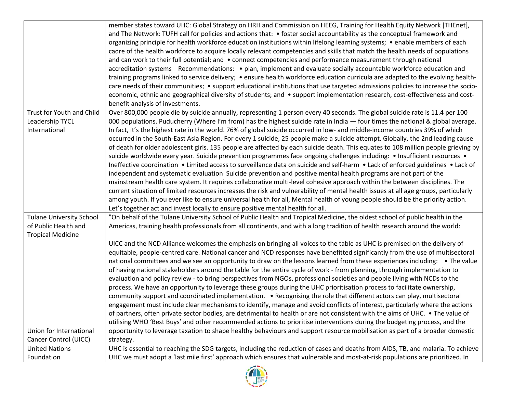|                                 | member states toward UHC: Global Strategy on HRH and Commission on HEEG, Training for Health Equity Network [THEnet],               |
|---------------------------------|-------------------------------------------------------------------------------------------------------------------------------------|
|                                 | and The Network: TUFH call for policies and actions that: • foster social accountability as the conceptual framework and            |
|                                 | organizing principle for health workforce education institutions within lifelong learning systems; • enable members of each         |
|                                 | cadre of the health workforce to acquire locally relevant competencies and skills that match the health needs of populations        |
|                                 | and can work to their full potential; and • connect competencies and performance measurement through national                       |
|                                 | accreditation systems Recommendations: • plan, implement and evaluate socially accountable workforce education and                  |
|                                 | training programs linked to service delivery; • ensure health workforce education curricula are adapted to the evolving health-     |
|                                 | care needs of their communities; • support educational institutions that use targeted admissions policies to increase the socio-    |
|                                 | economic, ethnic and geographical diversity of students; and • support implementation research, cost-effectiveness and cost-        |
|                                 | benefit analysis of investments.                                                                                                    |
| Trust for Youth and Child       | Over 800,000 people die by suicide annually, representing 1 person every 40 seconds. The global suicide rate is 11.4 per 100        |
| Leadership TYCL                 | 000 populations. Puducherry (Where I'm from) has the highest suicide rate in India - four times the national & global average.      |
| International                   | In fact, it's the highest rate in the world. 76% of global suicide occurred in low- and middle-income countries 39% of which        |
|                                 | occurred in the South-East Asia Region. For every 1 suicide, 25 people make a suicide attempt. Globally, the 2nd leading cause      |
|                                 | of death for older adolescent girls. 135 people are affected by each suicide death. This equates to 108 million people grieving by  |
|                                 | suicide worldwide every year. Suicide prevention programmes face ongoing challenges including: • Insufficient resources •           |
|                                 | Ineffective coordination . Limited access to surveillance data on suicide and self-harm . Lack of enforced guidelines . Lack of     |
|                                 | independent and systematic evaluation Suicide prevention and positive mental health programs are not part of the                    |
|                                 | mainstream health care system. It requires collaborative multi-level cohesive approach within the between disciplines. The          |
|                                 | current situation of limited resources increases the risk and vulnerability of mental health issues at all age groups, particularly |
|                                 | among youth. If you ever like to ensure universal health for all, Mental health of young people should be the priority action.      |
|                                 | Let's together act and invest locally to ensure positive mental health for all.                                                     |
| <b>Tulane University School</b> | "On behalf of the Tulane University School of Public Health and Tropical Medicine, the oldest school of public health in the        |
| of Public Health and            | Americas, training health professionals from all continents, and with a long tradition of health research around the world:         |
| <b>Tropical Medicine</b>        |                                                                                                                                     |
|                                 | UICC and the NCD Alliance welcomes the emphasis on bringing all voices to the table as UHC is premised on the delivery of           |
|                                 | equitable, people-centred care. National cancer and NCD responses have benefitted significantly from the use of multisectoral       |
|                                 | national committees and we see an opportunity to draw on the lessons learned from these experiences including: • The value          |
|                                 | of having national stakeholders around the table for the entire cycle of work - from planning, through implementation to            |
|                                 | evaluation and policy review - to bring perspectives from NGOs, professional societies and people living with NCDs to the           |
|                                 | process. We have an opportunity to leverage these groups during the UHC prioritisation process to facilitate ownership,             |
|                                 | community support and coordinated implementation. • Recognising the role that different actors can play, multisectoral              |
|                                 | engagement must include clear mechanisms to identify, manage and avoid conflicts of interest, particularly where the actions        |
|                                 | of partners, often private sector bodies, are detrimental to health or are not consistent with the aims of UHC. • The value of      |
|                                 | utilising WHO 'Best Buys' and other recommended actions to prioritise interventions during the budgeting process, and the           |
| Union for International         | opportunity to leverage taxation to shape healthy behaviours and support resource mobilisation as part of a broader domestic        |
| Cancer Control (UICC)           | strategy.                                                                                                                           |
| <b>United Nations</b>           | UHC is essential to reaching the SDG targets, including the reduction of cases and deaths from AIDS, TB, and malaria. To achieve    |
| Foundation                      | UHC we must adopt a 'last mile first' approach which ensures that vulnerable and most-at-risk populations are prioritized. In       |

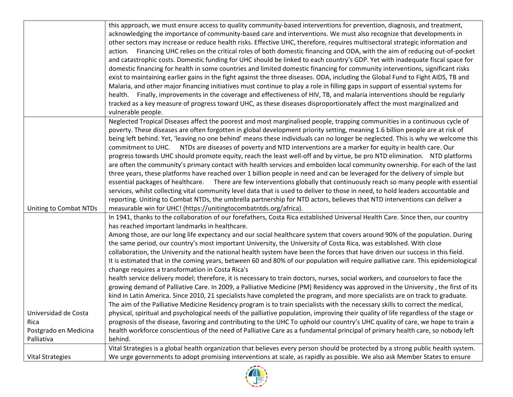|                                                       | this approach, we must ensure access to quality community-based interventions for prevention, diagnosis, and treatment,<br>acknowledging the importance of community-based care and interventions. We must also recognize that developments in<br>other sectors may increase or reduce health risks. Effective UHC, therefore, requires multisectoral strategic information and<br>action. Financing UHC relies on the critical roles of both domestic financing and ODA, with the aim of reducing out-of-pocket<br>and catastrophic costs. Domestic funding for UHC should be linked to each country's GDP. Yet with inadequate fiscal space for<br>domestic financing for health in some countries and limited domestic financing for community interventions, significant risks<br>exist to maintaining earlier gains in the fight against the three diseases. ODA, including the Global Fund to Fight AIDS, TB and<br>Malaria, and other major financing initiatives must continue to play a role in filling gaps in support of essential systems for<br>health. Finally, improvements in the coverage and effectiveness of HIV, TB, and malaria interventions should be regularly                                                                                                                                                                                                                                                                                                                                                                                                                                                                                                                                 |
|-------------------------------------------------------|------------------------------------------------------------------------------------------------------------------------------------------------------------------------------------------------------------------------------------------------------------------------------------------------------------------------------------------------------------------------------------------------------------------------------------------------------------------------------------------------------------------------------------------------------------------------------------------------------------------------------------------------------------------------------------------------------------------------------------------------------------------------------------------------------------------------------------------------------------------------------------------------------------------------------------------------------------------------------------------------------------------------------------------------------------------------------------------------------------------------------------------------------------------------------------------------------------------------------------------------------------------------------------------------------------------------------------------------------------------------------------------------------------------------------------------------------------------------------------------------------------------------------------------------------------------------------------------------------------------------------------------------------------------------------------------------------------------------|
|                                                       | tracked as a key measure of progress toward UHC, as these diseases disproportionately affect the most marginalized and<br>vulnerable people.                                                                                                                                                                                                                                                                                                                                                                                                                                                                                                                                                                                                                                                                                                                                                                                                                                                                                                                                                                                                                                                                                                                                                                                                                                                                                                                                                                                                                                                                                                                                                                           |
| Uniting to Combat NTDs                                | Neglected Tropical Diseases affect the poorest and most marginalised people, trapping communities in a continuous cycle of<br>poverty. These diseases are often forgotten in global development priority setting, meaning 1.6 billion people are at risk of<br>being left behind. Yet, 'leaving no one behind' means these individuals can no longer be neglected. This is why we welcome this<br>commitment to UHC. NTDs are diseases of poverty and NTD interventions are a marker for equity in health care. Our<br>progress towards UHC should promote equity, reach the least well-off and by virtue, be pro NTD elimination. NTD platforms<br>are often the community's primary contact with health services and embolden local community ownership. For each of the last<br>three years, these platforms have reached over 1 billion people in need and can be leveraged for the delivery of simple but<br>essential packages of healthcare. There are few interventions globally that continuously reach so many people with essential<br>services, whilst collecting vital community level data that is used to deliver to those in need, to hold leaders accountable and<br>reporting. Uniting to Combat NTDs, the umbrella partnership for NTD actors, believes that NTD interventions can deliver a<br>measurable win for UHC! (https://unitingtocombatntds.org/africa).                                                                                                                                                                                                                                                                                                                                   |
| Universidad de Costa<br>Rica<br>Postgrado en Medicina | In 1941, thanks to the collaboration of our forefathers, Costa Rica established Universal Health Care. Since then, our country<br>has reached important landmarks in healthcare.<br>Among those, are our long life expectancy and our social healthcare system that covers around 90% of the population. During<br>the same period, our country's most important University, the University of Costa Rica, was established. With close<br>collaboration, the University and the national health system have been the forces that have driven our success in this field.<br>It is estimated that in the coming years, between 60 and 80% of our population will require palliative care. This epidemiological<br>change requires a transformation in Costa Rica's<br>health service delivery model; therefore, it is necessary to train doctors, nurses, social workers, and counselors to face the<br>growing demand of Palliative Care. In 2009, a Palliative Medicine (PM) Residency was approved in the University, the first of its<br>kind in Latin America. Since 2010, 21 specialists have completed the program, and more specialists are on track to graduate.<br>The aim of the Palliative Medicine Residency program is to train specialists with the necessary skills to correct the medical,<br>physical, spiritual and psychological needs of the palliative population, improving their quality of life regardless of the stage or<br>prognosis of the disease, favoring and contributing to the UHC To uphold our country's UHC quality of care, we hope to train a<br>health workforce conscientious of the need of Palliative Care as a fundamental principal of primary health care, so nobody left |
| Palliativa                                            | behind.                                                                                                                                                                                                                                                                                                                                                                                                                                                                                                                                                                                                                                                                                                                                                                                                                                                                                                                                                                                                                                                                                                                                                                                                                                                                                                                                                                                                                                                                                                                                                                                                                                                                                                                |
| <b>Vital Strategies</b>                               | Vital Strategies is a global health organization that believes every person should be protected by a strong public health system.<br>We urge governments to adopt promising interventions at scale, as rapidly as possible. We also ask Member States to ensure                                                                                                                                                                                                                                                                                                                                                                                                                                                                                                                                                                                                                                                                                                                                                                                                                                                                                                                                                                                                                                                                                                                                                                                                                                                                                                                                                                                                                                                        |

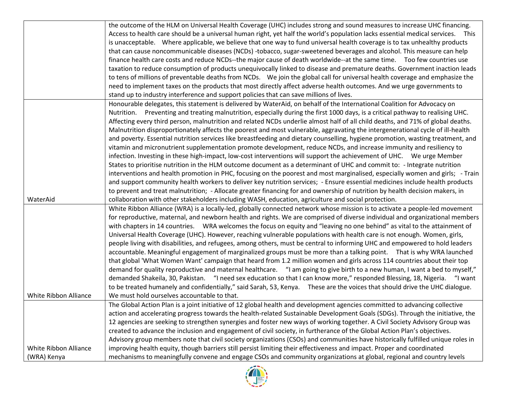|                       | the outcome of the HLM on Universal Health Coverage (UHC) includes strong and sound measures to increase UHC financing.         |
|-----------------------|---------------------------------------------------------------------------------------------------------------------------------|
|                       | Access to health care should be a universal human right, yet half the world's population lacks essential medical services. This |
|                       | is unacceptable. Where applicable, we believe that one way to fund universal health coverage is to tax unhealthy products       |
|                       | that can cause noncommunicable diseases (NCDs) -tobacco, sugar-sweetened beverages and alcohol. This measure can help           |
|                       | finance health care costs and reduce NCDs--the major cause of death worldwide--at the same time. Too few countries use          |
|                       | taxation to reduce consumption of products unequivocally linked to disease and premature deaths. Government inaction leads      |
|                       | to tens of millions of preventable deaths from NCDs. We join the global call for universal health coverage and emphasize the    |
|                       | need to implement taxes on the products that most directly affect adverse health outcomes. And we urge governments to           |
|                       | stand up to industry interference and support policies that can save millions of lives.                                         |
|                       | Honourable delegates, this statement is delivered by WaterAid, on behalf of the International Coalition for Advocacy on         |
|                       | Nutrition. Preventing and treating malnutrition, especially during the first 1000 days, is a critical pathway to realising UHC. |
|                       | Affecting every third person, malnutrition and related NCDs underlie almost half of all child deaths, and 71% of global deaths. |
|                       | Malnutrition disproportionately affects the poorest and most vulnerable, aggravating the intergenerational cycle of ill-health  |
|                       | and poverty. Essential nutrition services like breastfeeding and dietary counselling, hygiene promotion, wasting treatment, and |
|                       | vitamin and micronutrient supplementation promote development, reduce NCDs, and increase immunity and resiliency to             |
|                       | infection. Investing in these high-impact, low-cost interventions will support the achievement of UHC. We urge Member           |
|                       | States to prioritise nutrition in the HLM outcome document as a determinant of UHC and commit to: - Integrate nutrition         |
|                       | interventions and health promotion in PHC, focusing on the poorest and most marginalised, especially women and girls; - Train   |
|                       | and support community health workers to deliver key nutrition services; - Ensure essential medicines include health products    |
|                       | to prevent and treat malnutrition; - Allocate greater financing for and ownership of nutrition by health decision makers, in    |
| WaterAid              | collaboration with other stakeholders including WASH, education, agriculture and social protection.                             |
|                       | White Ribbon Alliance (WRA) is a locally-led, globally connected network whose mission is to activate a people-led movement     |
|                       | for reproductive, maternal, and newborn health and rights. We are comprised of diverse individual and organizational members    |
|                       | with chapters in 14 countries. WRA welcomes the focus on equity and "leaving no one behind" as vital to the attainment of       |
|                       | Universal Health Coverage (UHC). However, reaching vulnerable populations with health care is not enough. Women, girls,         |
|                       | people living with disabilities, and refugees, among others, must be central to informing UHC and empowered to hold leaders     |
|                       | accountable. Meaningful engagement of marginalized groups must be more than a talking point.  That is why WRA launched          |
|                       | that global 'What Women Want' campaign that heard from 1.2 million women and girls across 114 countries about their top         |
|                       | demand for quality reproductive and maternal healthcare. "I am going to give birth to a new human, I want a bed to myself,"     |
|                       | demanded Shakeila, 30, Pakistan. "I need sex education so that I can know more," responded Blessing, 18, Nigeria. "I want       |
|                       | to be treated humanely and confidentially," said Sarah, 53, Kenya. These are the voices that should drive the UHC dialogue.     |
| White Ribbon Alliance | We must hold ourselves accountable to that.                                                                                     |
|                       | The Global Action Plan is a joint initiative of 12 global health and development agencies committed to advancing collective     |
|                       | action and accelerating progress towards the health-related Sustainable Development Goals (SDGs). Through the initiative, the   |
|                       | 12 agencies are seeking to strengthen synergies and foster new ways of working together. A Civil Society Advisory Group was     |
|                       | created to advance the inclusion and engagement of civil society, in furtherance of the Global Action Plan's objectives.        |
|                       | Advisory group members note that civil society organizations (CSOs) and communities have historically fulfilled unique roles in |
| White Ribbon Alliance | improving health equity, though barriers still persist limiting their effectiveness and impact. Proper and coordinated          |
| (WRA) Kenya           | mechanisms to meaningfully convene and engage CSOs and community organizations at global, regional and country levels           |

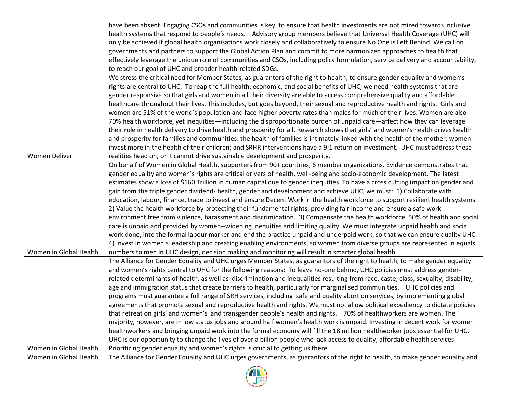|                        | have been absent. Engaging CSOs and communities is key, to ensure that health investments are optimized towards inclusive            |
|------------------------|--------------------------------------------------------------------------------------------------------------------------------------|
|                        | health systems that respond to people's needs. Advisory group members believe that Universal Health Coverage (UHC) will              |
|                        | only be achieved if global health organisations work closely and collaboratively to ensure No One is Left Behind. We call on         |
|                        | governments and partners to support the Global Action Plan and commit to more harmonized approaches to health that                   |
|                        | effectively leverage the unique role of communities and CSOs, including policy formulation, service delivery and accountability,     |
|                        | to reach our goal of UHC and broader health-related SDGs.                                                                            |
|                        | We stress the critical need for Member States, as guarantors of the right to health, to ensure gender equality and women's           |
|                        | rights are central to UHC. To reap the full health, economic, and social benefits of UHC, we need health systems that are            |
|                        | gender responsive so that girls and women in all their diversity are able to access comprehensive quality and affordable             |
|                        | healthcare throughout their lives. This includes, but goes beyond, their sexual and reproductive health and rights. Girls and        |
|                        | women are 51% of the world's population and face higher poverty rates than males for much of their lives. Women are also             |
|                        | 70% health workforce, yet inequities—including the disproportionate burden of unpaid care—affect how they can leverage               |
|                        | their role in health delivery to drive health and prosperity for all. Research shows that girls' and women's health drives health    |
|                        | and prosperity for families and communities: the health of families is intimately linked with the health of the mother; women        |
|                        | invest more in the health of their children; and SRHR interventions have a 9:1 return on investment. UHC must address these          |
| <b>Women Deliver</b>   | realities head on, or it cannot drive sustainable development and prosperity.                                                        |
|                        | On behalf of Women in Global Health, supporters from 90+ countries, 6 member organizations. Evidence demonstrates that               |
|                        | gender equality and women's rights are critical drivers of health, well-being and socio-economic development. The latest             |
|                        | estimates show a loss of \$160 Trillion in human capital due to gender inequities. To have a cross cutting impact on gender and      |
|                        | gain from the triple gender dividend- health, gender and development and achieve UHC, we must: 1) Collaborate with                   |
|                        | education, labour, finance, trade to invest and ensure Decent Work in the health workforce to support resilient health systems.      |
|                        | 2) Value the health workforce by protecting their fundamental rights, providing fair income and ensure a safe work                   |
|                        | environment free from violence, harassment and discrimination. 3) Compensate the health workforce, 50% of health and social          |
|                        | care is unpaid and provided by women--widening inequities and limiting quality. We must integrate unpaid health and social           |
|                        | work done, into the formal labour marker and end the practice unpaid and underpaid work, so that we can ensure quality UHC.          |
|                        | 4) Invest in women's leadership and creating enabling environments, so women from diverse groups are represented in equals           |
| Women in Global Health | numbers to men in UHC design, decision making and monitoring will result in smarter global health.                                   |
|                        | The Alliance for Gender Equality and UHC urges Member States, as guarantors of the right to health, to make gender equality          |
|                        | and women's rights central to UHC for the following reasons: To leave no-one behind, UHC policies must address gender-               |
|                        | related determinants of health, as well as discrimination and inequalities resulting from race, caste, class, sexuality, disability, |
|                        | age and immigration status that create barriers to health, particularly for marginalised communities.  UHC policies and              |
|                        | programs must guarantee a full range of SRH services, including safe and quality abortion services, by implementing global           |
|                        | agreements that promote sexual and reproductive health and rights. We must not allow political expediency to dictate policies        |
|                        | that retreat on girls' and women's and transgender people's health and rights. 70% of healthworkers are women. The                   |
|                        | majority, however, are in low status jobs and around half women's health work is unpaid. Investing in decent work for women          |
|                        | healthworkers and bringing unpaid work into the formal economy will fill the 18 million healthworker jobs essential for UHC.         |
|                        | UHC is our opportunity to change the lives of over a billion people who lack access to quality, affordable health services.          |
| Women in Global Health | Prioritizing gender equality and women's rights is crucial to getting us there.                                                      |
| Women in Global Health | The Alliance for Gender Equality and UHC urges governments, as guarantors of the right to health, to make gender equality and        |

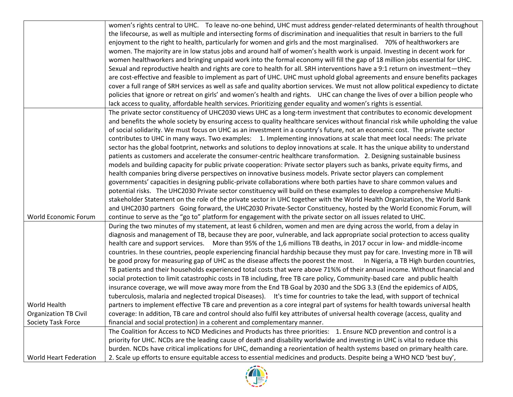|                               | women's rights central to UHC. To leave no-one behind, UHC must address gender-related determinants of health throughout            |
|-------------------------------|-------------------------------------------------------------------------------------------------------------------------------------|
|                               | the lifecourse, as well as multiple and intersecting forms of discrimination and inequalities that result in barriers to the full   |
|                               | enjoyment to the right to health, particularly for women and girls and the most marginalised. 70% of healthworkers are              |
|                               | women. The majority are in low status jobs and around half of women's health work is unpaid. Investing in decent work for           |
|                               | women healthworkers and bringing unpaid work into the formal economy will fill the gap of 18 million jobs essential for UHC.        |
|                               | Sexual and reproductive health and rights are core to health for all. SRH interventions have a 9:1 return on investment—they        |
|                               | are cost-effective and feasible to implement as part of UHC. UHC must uphold global agreements and ensure benefits packages         |
|                               | cover a full range of SRH services as well as safe and quality abortion services. We must not allow political expediency to dictate |
|                               | policies that ignore or retreat on girls' and women's health and rights.  UHC can change the lives of over a billion people who     |
|                               | lack access to quality, affordable health services. Prioritizing gender equality and women's rights is essential.                   |
|                               | The private sector constituency of UHC2030 views UHC as a long-term investment that contributes to economic development             |
|                               | and benefits the whole society by ensuring access to quality healthcare services without financial risk while upholding the value   |
|                               | of social solidarity. We must focus on UHC as an investment in a country's future, not an economic cost. The private sector         |
|                               | contributes to UHC in many ways. Two examples: 1. Implementing innovations at scale that meet local needs: The private              |
|                               | sector has the global footprint, networks and solutions to deploy innovations at scale. It has the unique ability to understand     |
|                               | patients as customers and accelerate the consumer-centric healthcare transformation. 2. Designing sustainable business              |
|                               | models and building capacity for public private cooperation: Private sector players such as banks, private equity firms, and        |
|                               | health companies bring diverse perspectives on innovative business models. Private sector players can complement                    |
|                               | governments' capacities in designing public-private collaborations where both parties have to share common values and               |
|                               | potential risks. The UHC2030 Private sector constituency will build on these examples to develop a comprehensive Multi-             |
|                               | stakeholder Statement on the role of the private sector in UHC together with the World Health Organization, the World Bank          |
|                               | and UHC2030 partners Going forward, the UHC2030 Private-Sector Constituency, hosted by the World Economic Forum, will               |
| World Economic Forum          | continue to serve as the "go to" platform for engagement with the private sector on all issues related to UHC.                      |
|                               | During the two minutes of my statement, at least 6 children, women and men are dying across the world, from a delay in              |
|                               | diagnosis and management of TB, because they are poor, vulnerable, and lack appropriate social protection to access quality         |
|                               | health care and support services. More than 95% of the 1,6 millions TB deaths, in 2017 occur in low- and middle-income              |
|                               | countries. In these countries, people experiencing financial hardship because they must pay for care. Investing more in TB will     |
|                               | be good proxy for measuring gap of UHC as the disease affects the poorest the most.  In Nigeria, a TB High burden countries,        |
|                               | TB patients and their households experienced total costs that were above 71%% of their annual income. Without financial and         |
|                               | social protection to limit catastrophic costs in TB including, free TB care policy, Community-based care and public health          |
|                               | insurance coverage, we will move away more from the End TB Goal by 2030 and the SDG 3.3 (End the epidemics of AIDS,                 |
|                               | tuberculosis, malaria and neglected tropical Diseases). It's time for countries to take the lead, with support of technical         |
| World Health                  | partners to implement effective TB care and prevention as a core integral part of systems for health towards universal health       |
| <b>Organization TB Civil</b>  | coverage: In addition, TB care and control should also fulfil key attributes of universal health coverage (access, quality and      |
| Society Task Force            | financial and social protection) in a coherent and complementary manner.                                                            |
|                               | The Coalition for Access to NCD Medicines and Products has three priorities: 1. Ensure NCD prevention and control is a              |
|                               | priority for UHC. NCDs are the leading cause of death and disability worldwide and investing in UHC is vital to reduce this         |
|                               | burden. NCDs have critical implications for UHC, demanding a reorientation of health systems based on primary health care.          |
| <b>World Heart Federation</b> | 2. Scale up efforts to ensure equitable access to essential medicines and products. Despite being a WHO NCD 'best buy',             |

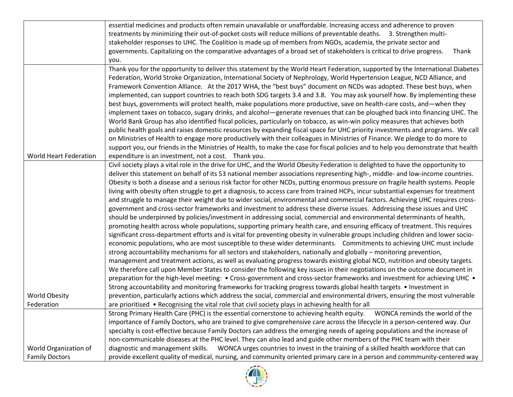|                        | essential medicines and products often remain unavailable or unaffordable. Increasing access and adherence to proven               |
|------------------------|------------------------------------------------------------------------------------------------------------------------------------|
|                        | treatments by minimizing their out-of-pocket costs will reduce millions of preventable deaths. 3. Strengthen multi-                |
|                        | stakeholder responses to UHC. The Coalition is made up of members from NGOs, academia, the private sector and                      |
|                        | governments. Capitalizing on the comparative advantages of a broad set of stakeholders is critical to drive progress.<br>Thank     |
|                        | you.                                                                                                                               |
|                        | Thank you for the opportunity to deliver this statement by the World Heart Federation, supported by the International Diabetes     |
|                        | Federation, World Stroke Organization, International Society of Nephrology, World Hypertension League, NCD Alliance, and           |
|                        | Framework Convention Alliance. At the 2017 WHA, the "best buys" document on NCDs was adopted. These best buys, when                |
|                        | implemented, can support countries to reach both SDG targets 3.4 and 3.8. You may ask yourself how. By implementing these          |
|                        | best buys, governments will protect health, make populations more productive, save on health-care costs, and—when they             |
|                        | implement taxes on tobacco, sugary drinks, and alcohol—generate revenues that can be ploughed back into financing UHC. The         |
|                        | World Bank Group has also identified fiscal policies, particularly on tobacco, as win-win policy measures that achieves both       |
|                        | public health goals and raises domestic resources by expanding fiscal space for UHC priority investments and programs. We call     |
|                        | on Ministries of Health to engage more productively with their colleagues in Ministries of Finance. We pledge to do more to        |
|                        | support you, our friends in the Ministries of Health, to make the case for fiscal policies and to help you demonstrate that health |
| World Heart Federation | expenditure is an investment, not a cost. Thank you.                                                                               |
|                        | Civil society plays a vital role in the drive for UHC, and the World Obesity Federation is delighted to have the opportunity to    |
|                        | deliver this statement on behalf of its 53 national member associations representing high-, middle- and low-income countries.      |
|                        | Obesity is both a disease and a serious risk factor for other NCDs, putting enormous pressure on fragile health systems. People    |
|                        | living with obesity often struggle to get a diagnosis, to access care from trained HCPs, incur substantial expenses for treatment  |
|                        | and struggle to manage their weight due to wider social, environmental and commercial factors. Achieving UHC requires cross-       |
|                        | government and cross-sector frameworks and investment to address these diverse issues. Addressing these issues and UHC             |
|                        | should be underpinned by policies/investment in addressing social, commercial and environmental determinants of health,            |
|                        | promoting health across whole populations, supporting primary health care, and ensuring efficacy of treatment. This requires       |
|                        | significant cross-department efforts and is vital for preventing obesity in vulnerable groups including children and lower socio-  |
|                        | economic populations, who are most susceptible to these wider determinants. Commitments to achieving UHC must include              |
|                        | strong accountability mechanisms for all sectors and stakeholders, nationally and globally - monitoring prevention,                |
|                        | management and treatment actions, as well as evaluating progress towards existing global NCD, nutrition and obesity targets.       |
|                        | We therefore call upon Member States to consider the following key issues in their negotiations on the outcome document in         |
|                        | preparation for the high-level meeting: • Cross-government and cross-sector frameworks and investment for achieving UHC •          |
|                        | Strong accountability and monitoring frameworks for tracking progress towards global health targets • Investment in                |
| <b>World Obesity</b>   | prevention, particularly actions which address the social, commercial and environmental drivers, ensuring the most vulnerable      |
| Federation             | are prioritised • Recognising the vital role that civil society plays in achieving health for all                                  |
|                        | Strong Primary Health Care (PHC) is the essential cornerstone to achieving health equity.<br>WONCA reminds the world of the        |
|                        | importance of Family Doctors, who are trained to give comprehensive care across the lifecycle in a person-centered way. Our        |
|                        | specialty is cost-effective because Family Doctors can address the emerging needs of ageing populations and the increase of        |
|                        | non-communicable diseases at the PHC level. They can also lead and guide other members of the PHC team with their                  |
| World Organization of  | WONCA urges countries to invest in the training of a skilled health workforce that can<br>diagnostic and management skills.        |
| <b>Family Doctors</b>  | provide excellent quality of medical, nursing, and community oriented primary care in a person and commmunity-centered way         |

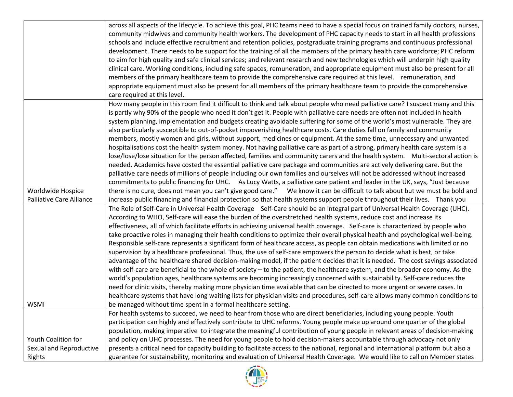|                          | across all aspects of the lifecycle. To achieve this goal, PHC teams need to have a special focus on trained family doctors, nurses, |
|--------------------------|--------------------------------------------------------------------------------------------------------------------------------------|
|                          | community midwives and community health workers. The development of PHC capacity needs to start in all health professions            |
|                          | schools and include effective recruitment and retention policies, postgraduate training programs and continuous professional         |
|                          | development. There needs to be support for the training of all the members of the primary health care workforce; PHC reform          |
|                          | to aim for high quality and safe clinical services; and relevant research and new technologies which will underpin high quality      |
|                          | clinical care. Working conditions, including safe spaces, remuneration, and appropriate equipment must also be present for all       |
|                          | members of the primary healthcare team to provide the comprehensive care required at this level. remuneration, and                   |
|                          | appropriate equipment must also be present for all members of the primary healthcare team to provide the comprehensive               |
|                          | care required at this level.                                                                                                         |
|                          | How many people in this room find it difficult to think and talk about people who need palliative care? I suspect many and this      |
|                          | is partly why 90% of the people who need it don't get it. People with palliative care needs are often not included in health         |
|                          | system planning, implementation and budgets creating avoidable suffering for some of the world's most vulnerable. They are           |
|                          | also particularly susceptible to out-of-pocket impoverishing healthcare costs. Care duties fall on family and community              |
|                          | members, mostly women and girls, without support, medicines or equipment. At the same time, unnecessary and unwanted                 |
|                          | hospitalisations cost the health system money. Not having palliative care as part of a strong, primary health care system is a       |
|                          | lose/lose/lose situation for the person affected, families and community carers and the health system. Multi-sectoral action is      |
|                          | needed. Academics have costed the essential palliative care package and communities are actively delivering care. But the            |
|                          | palliative care needs of millions of people including our own families and ourselves will not be addressed without increased         |
|                          | commitments to public financing for UHC. As Lucy Watts, a palliative care patient and leader in the UK, says, "Just because          |
| Worldwide Hospice        | there is no cure, does not mean you can't give good care." We know it can be difficult to talk about but we must be bold and         |
| Palliative Care Alliance | increase public financing and financial protection so that health systems support people throughout their lives. Thank you           |
|                          | The Role of Self-Care in Universal Health Coverage Self-Care should be an integral part of Universal Health Coverage (UHC).          |
|                          | According to WHO, Self-care will ease the burden of the overstretched health systems, reduce cost and increase its                   |
|                          | effectiveness, all of which facilitate efforts in achieving universal health coverage. Self-care is characterized by people who      |
|                          | take proactive roles in managing their health conditions to optimize their overall physical health and psychological well-being.     |
|                          | Responsible self-care represents a significant form of healthcare access, as people can obtain medications with limited or no        |
|                          | supervision by a healthcare professional. Thus, the use of self-care empowers the person to decide what is best, or take             |
|                          | advantage of the healthcare shared decision-making model, if the patient decides that it is needed. The cost savings associated      |
|                          | with self-care are beneficial to the whole of society – to the patient, the healthcare system, and the broader economy. As the       |
|                          | world's population ages, healthcare systems are becoming increasingly concerned with sustainability. Self-care reduces the           |
|                          | need for clinic visits, thereby making more physician time available that can be directed to more urgent or severe cases. In         |
|                          | healthcare systems that have long waiting lists for physician visits and procedures, self-care allows many common conditions to      |
| <b>WSMI</b>              | be managed without time spent in a formal healthcare setting.                                                                        |
|                          | For health systems to succeed, we need to hear from those who are direct beneficiaries, including young people. Youth                |
|                          | participation can highly and effectively contribute to UHC reforms. Young people make up around one quarter of the global            |
|                          | population, making imperative to integrate the meaningful contribution of young people in relevant areas of decision-making          |
| Youth Coalition for      | and policy on UHC processes. The need for young people to hold decision-makers accountable through advocacy not only                 |
| Sexual and Reproductive  | presents a critical need for capacity building to facilitate access to the national, regional and international platform but also a  |
| Rights                   |                                                                                                                                      |

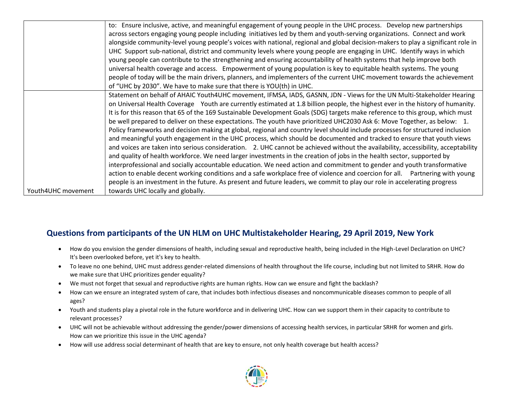|                    | to: Ensure inclusive, active, and meaningful engagement of young people in the UHC process. Develop new partnerships              |
|--------------------|-----------------------------------------------------------------------------------------------------------------------------------|
|                    | across sectors engaging young people including initiatives led by them and youth-serving organizations. Connect and work          |
|                    | alongside community-level young people's voices with national, regional and global decision-makers to play a significant role in  |
|                    | UHC Support sub-national, district and community levels where young people are engaging in UHC. Identify ways in which            |
|                    | young people can contribute to the strengthening and ensuring accountability of health systems that help improve both             |
|                    | universal health coverage and access. Empowerment of young population is key to equitable health systems. The young               |
|                    | people of today will be the main drivers, planners, and implementers of the current UHC movement towards the achievement          |
|                    | of "UHC by 2030". We have to make sure that there is YOU(th) in UHC.                                                              |
|                    | Statement on behalf of AHAIC Youth4UHC movement, IFMSA, IADS, GASNN, JDN - Views for the UN Multi-Stakeholder Hearing             |
|                    | on Universal Health Coverage Youth are currently estimated at 1.8 billion people, the highest ever in the history of humanity.    |
|                    | It is for this reason that 65 of the 169 Sustainable Development Goals (SDG) targets make reference to this group, which must     |
|                    | be well prepared to deliver on these expectations. The youth have prioritized UHC2030 Ask 6: Move Together, as below: 1.          |
|                    | Policy frameworks and decision making at global, regional and country level should include processes for structured inclusion     |
|                    | and meaningful youth engagement in the UHC process, which should be documented and tracked to ensure that youth views             |
|                    | and voices are taken into serious consideration. 2. UHC cannot be achieved without the availability, accessibility, acceptability |
|                    | and quality of health workforce. We need larger investments in the creation of jobs in the health sector, supported by            |
|                    | interprofessional and socially accountable education. We need action and commitment to gender and youth transformative            |
|                    | action to enable decent working conditions and a safe workplace free of violence and coercion for all. Partnering with young      |
|                    | people is an investment in the future. As present and future leaders, we commit to play our role in accelerating progress         |
| Youth4UHC movement | towards UHC locally and globally.                                                                                                 |

## **Questions from participants of the UN HLM on UHC Multistakeholder Hearing, 29 April 2019, New York**

- How do you envision the gender dimensions of health, including sexual and reproductive health, being included in the High-Level Declaration on UHC? It's been overlooked before, yet it's key to health.
- To leave no one behind, UHC must address gender-related dimensions of health throughout the life course, including but not limited to SRHR. How do we make sure that UHC prioritizes gender equality?
- We must not forget that sexual and reproductive rights are human rights. How can we ensure and fight the backlash?
- How can we ensure an integrated system of care, that includes both infectious diseases and noncommunicable diseases common to people of all ages?
- Youth and students play a pivotal role in the future workforce and in delivering UHC. How can we support them in their capacity to contribute to relevant processes?
- UHC will not be achievable without addressing the gender/power dimensions of accessing health services, in particular SRHR for women and girls. How can we prioritize this issue in the UHC agenda?
- How will use address social determinant of health that are key to ensure, not only health coverage but health access?

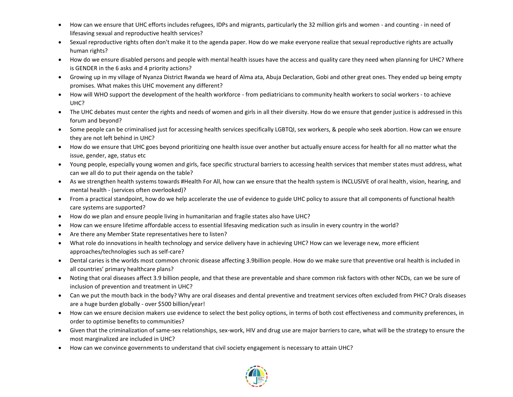- How can we ensure that UHC efforts includes refugees, IDPs and migrants, particularly the 32 million girls and women and counting in need of lifesaving sexual and reproductive health services?
- Sexual reproductive rights often don't make it to the agenda paper. How do we make everyone realize that sexual reproductive rights are actually human rights?
- How do we ensure disabled persons and people with mental health issues have the access and quality care they need when planning for UHC? Where is GENDER in the 6 asks and 4 priority actions?
- Growing up in my village of Nyanza District Rwanda we heard of Alma ata, Abuja Declaration, Gobi and other great ones. They ended up being empty promises. What makes this UHC movement any different?
- How will WHO support the development of the health workforce from pediatricians to community health workers to social workers to achieve UHC?
- The UHC debates must center the rights and needs of women and girls in all their diversity. How do we ensure that gender justice is addressed in this forum and beyond?
- Some people can be criminalised just for accessing health services specifically LGBTQI, sex workers, & people who seek abortion. How can we ensure they are not left behind in UHC?
- How do we ensure that UHC goes beyond prioritizing one health issue over another but actually ensure access for health for all no matter what the issue, gender, age, status etc
- Young people, especially young women and girls, face specific structural barriers to accessing health services that member states must address, what can we all do to put their agenda on the table?
- As we strengthen health systems towards #Health For All, how can we ensure that the health system is INCLUSIVE of oral health, vision, hearing, and mental health - (services often overlooked)?
- From a practical standpoint, how do we help accelerate the use of evidence to guide UHC policy to assure that all components of functional health care systems are supported?
- How do we plan and ensure people living in humanitarian and fragile states also have UHC?
- How can we ensure lifetime affordable access to essential lifesaving medication such as insulin in every country in the world?
- Are there any Member State representatives here to listen?
- What role do innovations in health technology and service delivery have in achieving UHC? How can we leverage new, more efficient approaches/technologies such as self-care?
- Dental caries is the worlds most common chronic disease affecting 3.9billion people. How do we make sure that preventive oral health is included in all countries' primary healthcare plans?
- Noting that oral diseases affect 3.9 billion people, and that these are preventable and share common risk factors with other NCDs, can we be sure of inclusion of prevention and treatment in UHC?
- Can we put the mouth back in the body? Why are oral diseases and dental preventive and treatment services often excluded from PHC? Orals diseases are a huge burden globally - over \$500 billion/year!
- How can we ensure decision makers use evidence to select the best policy options, in terms of both cost effectiveness and community preferences, in order to optimise benefits to communities?
- Given that the criminalization of same-sex relationships, sex-work, HIV and drug use are major barriers to care, what will be the strategy to ensure the most marginalized are included in UHC?
- How can we convince governments to understand that civil society engagement is necessary to attain UHC?

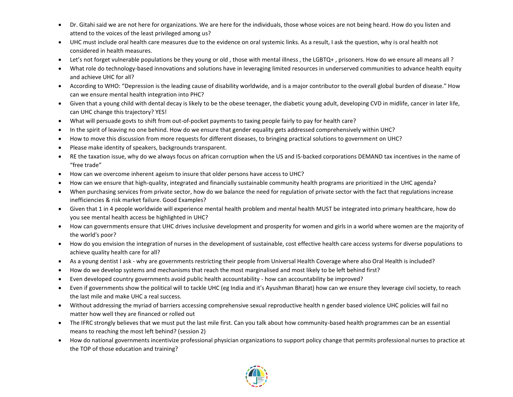- Dr. Gitahi said we are not here for organizations. We are here for the individuals, those whose voices are not being heard. How do you listen and attend to the voices of the least privileged among us?
- UHC must include oral health care measures due to the evidence on oral systemic links. As a result, I ask the question, why is oral health not considered in health measures.
- Let's not forget vulnerable populations be they young or old , those with mental illness , the LGBTQ+ , prisoners. How do we ensure all means all ?
- What role do technology-based innovations and solutions have in leveraging limited resources in underserved communities to advance health equity and achieve UHC for all?
- According to WHO: "Depression is the leading cause of disability worldwide, and is a major contributor to the overall global burden of disease." How can we ensure mental health integration into PHC?
- Given that a young child with dental decay is likely to be the obese teenager, the diabetic young adult, developing CVD in midlife, cancer in later life, can UHC change this trajectory? YES!
- What will persuade govts to shift from out-of-pocket payments to taxing people fairly to pay for health care?
- In the spirit of leaving no one behind. How do we ensure that gender equality gets addressed comprehensively within UHC?
- How to move this discussion from more requests for different diseases, to bringing practical solutions to government on UHC?
- Please make identity of speakers, backgrounds transparent.
- RE the taxation issue, why do we always focus on african corruption when the US and IS-backed corporations DEMAND tax incentives in the name of "free trade"
- How can we overcome inherent ageism to insure that older persons have access to UHC?
- How can we ensure that high-quality, integrated and financially sustainable community health programs are prioritized in the UHC agenda?
- When purchasing services from private sector, how do we balance the need for regulation of private sector with the fact that regulations increase inefficiencies & risk market failure. Good Examples?
- Given that 1 in 4 people worldwide will experience mental health problem and mental health MUST be integrated into primary healthcare, how do you see mental health access be highlighted in UHC?
- How can governments ensure that UHC drives inclusive development and prosperity for women and girls in a world where women are the majority of the world's poor?
- How do you envision the integration of nurses in the development of sustainable, cost effective health care access systems for diverse populations to achieve quality health care for all?
- As a young dentist I ask why are governments restricting their people from Universal Health Coverage where also Oral Health is included?
- How do we develop systems and mechanisms that reach the most marginalised and most likely to be left behind first?
- Even developed country governments avoid public health accountability how can accountability be improved?
- Even if governments show the political will to tackle UHC (eg India and it's Ayushman Bharat) how can we ensure they leverage civil society, to reach the last mile and make UHC a real success.
- Without addressing the myriad of barriers accessing comprehensive sexual reproductive health n gender based violence UHC policies will fail no matter how well they are financed or rolled out
- The IFRC strongly believes that we must put the last mile first. Can you talk about how community-based health programmes can be an essential means to reaching the most left behind? (session 2)
- How do national governments incentivize professional physician organizations to support policy change that permits professional nurses to practice at the TOP of those education and training?

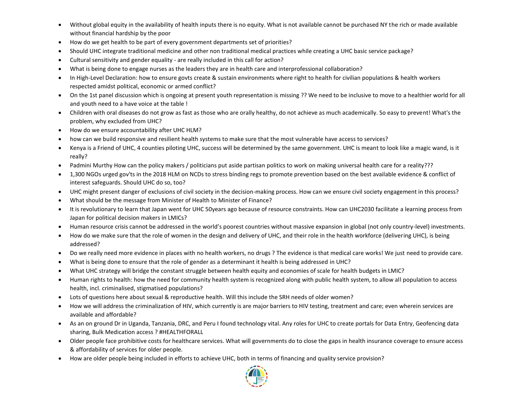- Without global equity in the availability of health inputs there is no equity. What is not available cannot be purchased NY the rich or made available without financial hardship by the poor
- How do we get health to be part of every government departments set of priorities?
- Should UHC integrate traditional medicine and other non traditional medical practices while creating a UHC basic service package?
- Cultural sensitivity and gender equality are really included in this call for action?
- What is being done to engage nurses as the leaders they are in health care and interprofessional collaboration?
- In High-Level Declaration: how to ensure govts create & sustain environments where right to health for civilian populations & health workers respected amidst political, economic or armed conflict?
- On the 1st panel discussion which is ongoing at present youth representation is missing ?? We need to be inclusive to move to a healthier world for all and youth need to a have voice at the table !
- Children with oral diseases do not grow as fast as those who are orally healthy, do not achieve as much academically. So easy to prevent! What's the problem, why excluded from UHC?
- How do we ensure accountability after UHC HLM?
- how can we build responsive and resilient health systems to make sure that the most vulnerable have access to services?
- Kenya is a Friend of UHC, 4 counties piloting UHC, success will be determined by the same government. UHC is meant to look like a magic wand, is it really?
- Padmini Murthy How can the policy makers / politicians put aside partisan politics to work on making universal health care for a reality???
- 1,300 NGOs urged gov'ts in the 2018 HLM on NCDs to stress binding regs to promote prevention based on the best available evidence & conflict of interest safeguards. Should UHC do so, too?
- UHC might present danger of exclusions of civil society in the decision-making process. How can we ensure civil society engagement in this process?
- What should be the message from Minister of Health to Minister of Finance?
- It is revolutionary to learn that Japan went for UHC 50years ago because of resource constraints. How can UHC2030 facilitate a learning process from Japan for political decision makers in LMICs?
- Human resource crisis cannot be addressed in the world's poorest countries without massive expansion in global (not only country-level) investments.
- How do we make sure that the role of women in the design and delivery of UHC, and their role in the health workforce (delivering UHC), is being addressed?
- Do we really need more evidence in places with no health workers, no drugs ? The evidence is that medical care works! We just need to provide care.
- What is being done to ensure that the role of gender as a determinant it health is being addressed in UHC?
- What UHC strategy will bridge the constant struggle between health equity and economies of scale for health budgets in LMIC?
- Human rights to health: how the need for community health system is recognized along with public health system, to allow all population to access health, incl. criminalised, stigmatised populations?
- Lots of questions here about sexual & reproductive health. Will this include the SRH needs of older women?
- How we will address the criminalization of HIV, which currently is are major barriers to HIV testing, treatment and care; even wherein services are available and affordable?
- As an on ground Dr in Uganda, Tanzania, DRC, and Peru I found technology vital. Any roles for UHC to create portals for Data Entry, Geofencing data sharing, Bulk Medication access ? #HEALTHFORALL
- Older people face prohibitive costs for healthcare services. What will governments do to close the gaps in health insurance coverage to ensure access & affordability of services for older people.
- How are older people being included in efforts to achieve UHC, both in terms of financing and quality service provision?

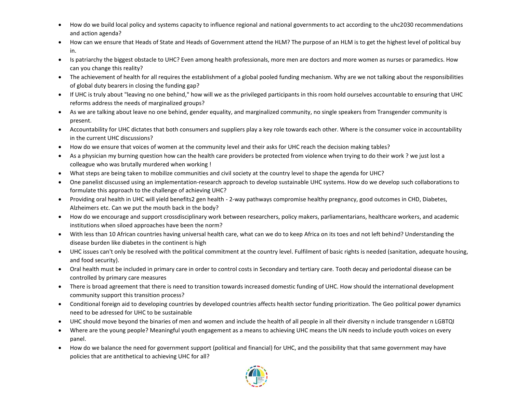- How do we build local policy and systems capacity to influence regional and national governments to act according to the uhc2030 recommendations and action agenda?
- How can we ensure that Heads of State and Heads of Government attend the HLM? The purpose of an HLM is to get the highest level of political buy in.
- Is patriarchy the biggest obstacle to UHC? Even among health professionals, more men are doctors and more women as nurses or paramedics. How can you change this reality?
- The achievement of health for all requires the establishment of a global pooled funding mechanism. Why are we not talking about the responsibilities of global duty bearers in closing the funding gap?
- If UHC is truly about "leaving no one behind," how will we as the privileged participants in this room hold ourselves accountable to ensuring that UHC reforms address the needs of marginalized groups?
- As we are talking about leave no one behind, gender equality, and marginalized community, no single speakers from Transgender community is present.
- Accountability for UHC dictates that both consumers and suppliers play a key role towards each other. Where is the consumer voice in accountability in the current UHC discussions?
- How do we ensure that voices of women at the community level and their asks for UHC reach the decision making tables?
- As a physician my burning question how can the health care providers be protected from violence when trying to do their work ? we just lost a colleague who was brutally murdered when working !
- What steps are being taken to mobilize communities and civil society at the country level to shape the agenda for UHC?
- One panelist discussed using an implementation-research approach to develop sustainable UHC systems. How do we develop such collaborations to formulate this approach to the challenge of achieving UHC?
- Providing oral health in UHC will yield benefits2 gen health 2-way pathways compromise healthy pregnancy, good outcomes in CHD, Diabetes, Alzheimers etc. Can we put the mouth back in the body?
- How do we encourage and support crossdisciplinary work between researchers, policy makers, parliamentarians, healthcare workers, and academic institutions when siloed approaches have been the norm?
- With less than 10 African countries having universal health care, what can we do to keep Africa on its toes and not left behind? Understanding the disease burden like diabetes in the continent is high
- UHC issues can't only be resolved with the political commitment at the country level. Fulfilment of basic rights is needed (sanitation, adequate housing, and food security).
- Oral health must be included in primary care in order to control costs in Secondary and tertiary care. Tooth decay and periodontal disease can be controlled by primary care measures
- There is broad agreement that there is need to transition towards increased domestic funding of UHC. How should the international development community support this transition process?
- Conditional foreign aid to developing countries by developed countries affects health sector funding prioritization. The Geo political power dynamics need to be adressed for UHC to be sustainable
- UHC should move beyond the binaries of men and women and include the health of all people in all their diversity n include transgender n LGBTQI
- Where are the young people? Meaningful youth engagement as a means to achieving UHC means the UN needs to include youth voices on every panel.
- How do we balance the need for government support (political and financial) for UHC, and the possibility that that same government may have policies that are antithetical to achieving UHC for all?

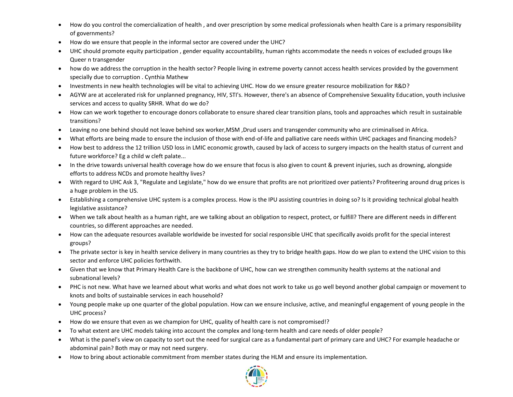- How do you control the comercialization of health , and over prescription by some medical professionals when health Care is a primary responsibility of governments?
- How do we ensure that people in the informal sector are covered under the UHC?
- UHC should promote equity participation , gender equality accountability, human rights accommodate the needs n voices of excluded groups like Queer n transgender
- how do we address the corruption in the health sector? People living in extreme poverty cannot access health services provided by the government specially due to corruption . Cynthia Mathew
- Investments in new health technologies will be vital to achieving UHC. How do we ensure greater resource mobilization for R&D?
- AGYW are at accelerated risk for unplanned pregnancy, HIV, STI's. However, there's an absence of Comprehensive Sexuality Education, youth inclusive services and access to quality SRHR. What do we do?
- How can we work together to encourage donors collaborate to ensure shared clear transition plans, tools and approaches which result in sustainable transitions?
- Leaving no one behind should not leave behind sex worker,MSM ,Drud users and transgender community who are criminalised in Africa.
- What efforts are being made to ensure the inclusion of those with end-of-life and palliative care needs within UHC packages and financing models?
- How best to address the 12 trillion USD loss in LMIC economic growth, caused by lack of access to surgery impacts on the health status of current and future workforce? Eg a child w cleft palate...
- In the drive towards universal health coverage how do we ensure that focus is also given to count & prevent injuries, such as drowning, alongside efforts to address NCDs and promote healthy lives?
- With regard to UHC Ask 3, "Regulate and Legislate," how do we ensure that profits are not prioritized over patients? Profiteering around drug prices is a huge problem in the US.
- Establishing a comprehensive UHC system is a complex process. How is the IPU assisting countries in doing so? Is it providing technical global health legislative assistance?
- When we talk about health as a human right, are we talking about an obligation to respect, protect, or fulfill? There are different needs in different countries, so different approaches are needed.
- How can the adequate resources available worldwide be invested for social responsible UHC that specifically avoids profit for the special interest groups?
- The private sector is key in health service delivery in many countries as they try to bridge health gaps. How do we plan to extend the UHC vision to this sector and enforce UHC policies forthwith.
- Given that we know that Primary Health Care is the backbone of UHC, how can we strengthen community health systems at the national and subnational levels?
- PHC is not new. What have we learned about what works and what does not work to take us go well beyond another global campaign or movement to knots and bolts of sustainable services in each household?
- Young people make up one quarter of the global population. How can we ensure inclusive, active, and meaningful engagement of young people in the UHC process?
- How do we ensure that even as we champion for UHC, quality of health care is not compromised!?
- To what extent are UHC models taking into account the complex and long-term health and care needs of older people?
- What is the panel's view on capacity to sort out the need for surgical care as a fundamental part of primary care and UHC? For example headache or abdominal pain? Both may or may not need surgery.
- How to bring about actionable commitment from member states during the HLM and ensure its implementation.

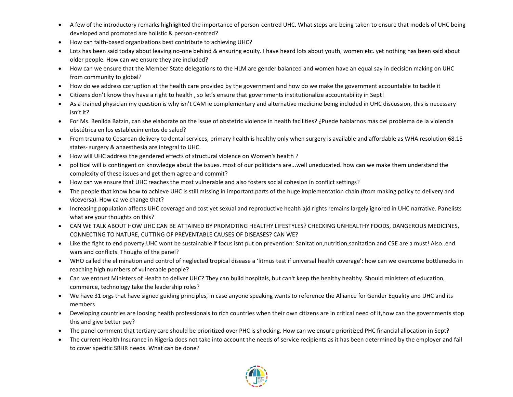- A few of the introductory remarks highlighted the importance of person-centred UHC. What steps are being taken to ensure that models of UHC being developed and promoted are holistic & person-centred?
- How can faith-based organizations best contribute to achieving UHC?
- Lots has been said today about leaving no-one behind & ensuring equity. I have heard lots about youth, women etc. yet nothing has been said about older people. How can we ensure they are included?
- How can we ensure that the Member State delegations to the HLM are gender balanced and women have an equal say in decision making on UHC from community to global?
- How do we address corruption at the health care provided by the government and how do we make the government accountable to tackle it
- Citizens don't know they have a right to health , so let's ensure that governments institutionalize accountability in Sept!
- As a trained physician my question is why isn't CAM ie complementary and alternative medicine being included in UHC discussion, this is necessary isn't it?
- For Ms. Benilda Batzin, can she elaborate on the issue of obstetric violence in health facilities? ¿Puede hablarnos más del problema de la violencia obstétrica en los establecimientos de salud?
- From trauma to Cesarean delivery to dental services, primary health is healthy only when surgery is available and affordable as WHA resolution 68.15 states- surgery & anaesthesia are integral to UHC.
- How will UHC address the gendered effects of structural violence on Women's health ?
- political will is contingent on knowledge about the issues. most of our politicians are...well uneducated. how can we make them understand the complexity of these issues and get them agree and commit?
- How can we ensure that UHC reaches the most vulnerable and also fosters social cohesion in conflict settings?
- The people that know how to achieve UHC is still missing in important parts of the huge implementation chain (from making policy to delivery and viceversa). How ca we change that?
- Increasing population affects UHC coverage and cost yet sexual and reproductive health ajd rights remains largely ignored in UHC narrative. Panelists what are your thoughts on this?
- CAN WE TALK ABOUT HOW UHC CAN BE ATTAINED BY PROMOTING HEALTHY LIFESTYLES? CHECKING UNHEALTHY FOODS, DANGEROUS MEDICINES, CONNECTING TO NATURE, CUTTING OF PREVENTABLE CAUSES OF DISEASES? CAN WE?
- Like the fight to end poverty,UHC wont be sustainable if focus isnt put on prevention: Sanitation,nutrition,sanitation and CSE are a must! Also..end wars and conflicts. Thoughs of the panel?
- WHO called the elimination and control of neglected tropical disease a 'litmus test if universal health coverage': how can we overcome bottlenecks in reaching high numbers of vulnerable people?
- Can we entrust Ministers of Health to deliver UHC? They can build hospitals, but can't keep the healthy healthy. Should ministers of education, commerce, technology take the leadership roles?
- We have 31 orgs that have signed guiding principles, in case anyone speaking wants to reference the Alliance for Gender Equality and UHC and its members
- Developing countries are loosing health professionals to rich countries when their own citizens are in critical need of it,how can the governments stop this and give better pay?
- The panel comment that tertiary care should be prioritized over PHC is shocking. How can we ensure prioritized PHC financial allocation in Sept?
- The current Health Insurance in Nigeria does not take into account the needs of service recipients as it has been determined by the employer and fail to cover specific SRHR needs. What can be done?

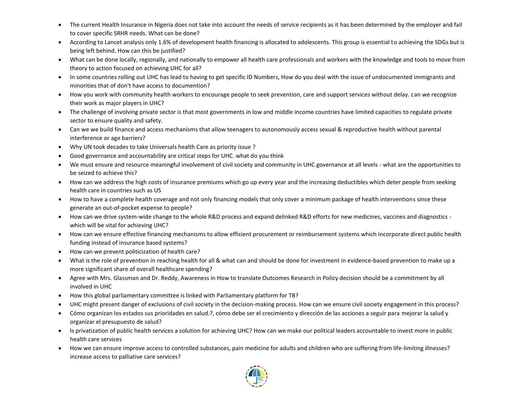- The current Health Insurance in Nigeria does not take into account the needs of service recipients as it has been determined by the employer and fail to cover specific SRHR needs. What can be done?
- According to Lancet analysis only 1.6% of development health financing is allocated to adolescents. This group is essential to achieving the SDGs but is being left behind. How can this be justified?
- What can be done locally, regionally, and nationally to empower all health care professionals and workers with the knowledge and tools to move from theory to action focused on achieving UHC for all?
- In some countries rolling out UHC has lead to having to get specific ID Numbers, How do you deal with the issue of undocumented immigrants and minorities that of don't have access to documention?
- How you work with community health workers to encourage people to seek prevention, care and support services without delay. can we recognize their work as major players in UHC?
- The challenge of involving private sector is that most governments in low and middle income countries have limited capacities to regulate private sector to ensure quality and safety.
- Can we we build finance and access mechanisms that allow teenagers to autonomously access sexual & reproductive health without parental interference or age barriers?
- Why UN took decades to take Universals health Care as priority issue ?
- Good governance and accountability are critical steps for UHC. what do you think
- We must ensure and resource meaningful involvement of civil society and community in UHC governance at all levels what are the opportunities to be seized to achieve this?
- How can we address the high costs of insurance premiums which go up every year and the increasing deductibles which deter people from seeking health care in countries such as US
- How to have a complete health coverage and not only financing models that only cover a minimum package of health interventions since these generate an out-of-pocket expense to people?
- How can we drive system-wide change to the whole R&D process and expand delinked R&D efforts for new medicines, vaccines and diagnostics which will be vital for achieving UHC?
- How can we ensure effective financing mechanisms to allow efficient procurement or reimbursement systems which incorporate direct public health funding instead of insurance based systems?
- How can we prevent politicization of health care?
- What is the role of prevention in reaching health for all & what can and should be done for investment in evidence-based prevention to make up a more significant share of overall healthcare spending?
- Agree with Mrs. Glassman and Dr. Reddy, Awareness in How to translate Outcomes Research in Policy decision should be a commitment by all involved in UHC
- How this global parliamentary committee is linked with Parliamentary platform for TB?
- UHC might present danger of exclusions of civil society in the decision-making process. How can we ensure civil society engagement in this process?
- Cómo organizan los estados sus prioridades en salud.?, cómo debe ser el crecimiento y dirección de las acciones a seguir para mejorar la salud y organizar el presupuesto de salud?
- Is privatization of public health services a solution for achieving UHC? How can we make our political leaders accountable to invest more in public health care services
- How we can ensure improve access to controlled substances, pain medicine for adults and children who are suffering from life-limiting illnesses? increase access to palliative care services?